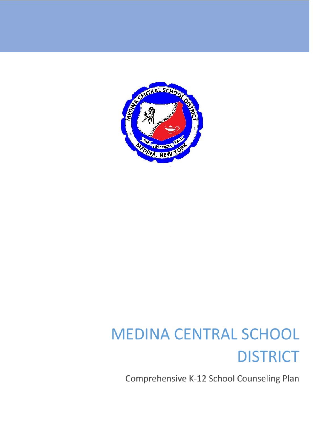

# **MEDINA CENTRAL SCHOOL DISTRICT**

Comprehensive K-12 School Counseling Plan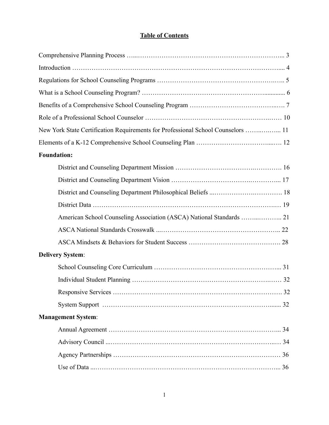### **Table of Contents**

| New York State Certification Requirements for Professional School Counselors  11 |  |
|----------------------------------------------------------------------------------|--|
|                                                                                  |  |
| <b>Foundation:</b>                                                               |  |
|                                                                                  |  |
|                                                                                  |  |
|                                                                                  |  |
|                                                                                  |  |
|                                                                                  |  |
|                                                                                  |  |
|                                                                                  |  |
| <b>Delivery System:</b>                                                          |  |
|                                                                                  |  |
|                                                                                  |  |
|                                                                                  |  |
|                                                                                  |  |
| <b>Management System:</b>                                                        |  |
|                                                                                  |  |
|                                                                                  |  |
|                                                                                  |  |
|                                                                                  |  |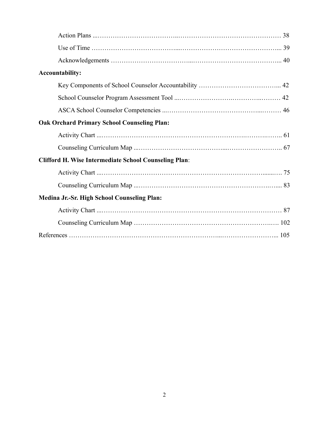| <b>Accountability:</b>                                       |
|--------------------------------------------------------------|
|                                                              |
|                                                              |
|                                                              |
| <b>Oak Orchard Primary School Counseling Plan:</b>           |
|                                                              |
|                                                              |
| <b>Clifford H. Wise Intermediate School Counseling Plan:</b> |
|                                                              |
|                                                              |
| Medina Jr.-Sr. High School Counseling Plan:                  |
|                                                              |
|                                                              |
|                                                              |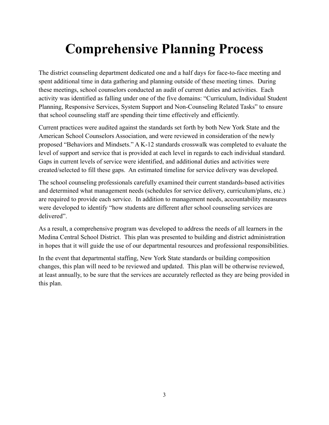## **Comprehensive Planning Process**

The district counseling department dedicated one and a half days for face-to-face meeting and spent additional time in data gathering and planning outside of these meeting times. During these meetings, school counselors conducted an audit of current duties and activities. Each activity was identified as falling under one of the five domains: "Curriculum, Individual Student Planning, Responsive Services, System Support and Non-Counseling Related Tasks" to ensure that school counseling staff are spending their time effectively and efficiently.

Current practices were audited against the standards set forth by both New York State and the American School Counselors Association, and were reviewed in consideration of the newly proposed "Behaviors and Mindsets." A K-12 standards crosswalk was completed to evaluate the level of support and service that is provided at each level in regards to each individual standard. Gaps in current levels of service were identified, and additional duties and activities were created/selected to fill these gaps. An estimated timeline for service delivery was developed.

The school counseling professionals carefully examined their current standards-based activities and determined what management needs (schedules for service delivery, curriculum/plans, etc.) are required to provide each service. In addition to management needs, accountability measures were developed to identify "how students are different after school counseling services are delivered".

As a result, a comprehensive program was developed to address the needs of all learners in the Medina Central School District. This plan was presented to building and district administration in hopes that it will guide the use of our departmental resources and professional responsibilities.

In the event that departmental staffing, New York State standards or building composition changes, this plan will need to be reviewed and updated. This plan will be otherwise reviewed, at least annually, to be sure that the services are accurately reflected as they are being provided in this plan.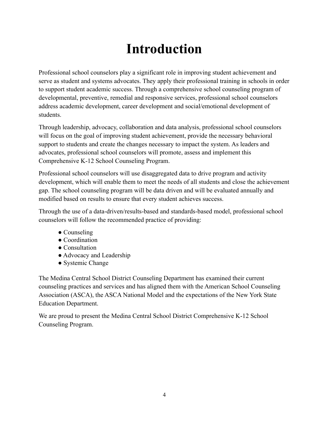## **Introduction**

Professional school counselors play a significant role in improving student achievement and serve as student and systems advocates. They apply their professional training in schools in order to support student academic success. Through a comprehensive school counseling program of developmental, preventive, remedial and responsive services, professional school counselors address academic development, career development and social/emotional development of students.

Through leadership, advocacy, collaboration and data analysis, professional school counselors will focus on the goal of improving student achievement, provide the necessary behavioral support to students and create the changes necessary to impact the system. As leaders and advocates, professional school counselors will promote, assess and implement this Comprehensive K-12 School Counseling Program.

Professional school counselors will use disaggregated data to drive program and activity development, which will enable them to meet the needs of all students and close the achievement gap. The school counseling program will be data driven and will be evaluated annually and modified based on results to ensure that every student achieves success.

Through the use of a data-driven/results-based and standards-based model, professional school counselors will follow the recommended practice of providing:

- Counseling
- Coordination
- Consultation
- Advocacy and Leadership
- Systemic Change

The Medina Central School District Counseling Department has examined their current counseling practices and services and has aligned them with the American School Counseling Association (ASCA), the ASCA National Model and the expectations of the New York State Education Department.

We are proud to present the Medina Central School District Comprehensive K-12 School Counseling Program.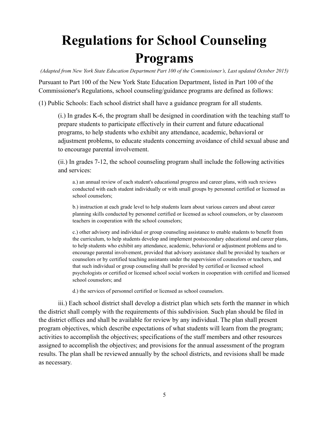# **Regulations for School Counseling Programs**

*(Adapted from New York State Education Department Part 100 of the Commissioner's, Last updated October 2015)*

Pursuant to Part 100 of the New York State Education Department, listed in Part 100 of the Commissioner's Regulations, school counseling/guidance programs are defined as follows:

(1) Public Schools: Each school district shall have a guidance program for all students.

(i.) In grades K-6, the program shall be designed in coordination with the teaching staff to prepare students to participate effectively in their current and future educational programs, to help students who exhibit any attendance, academic, behavioral or adjustment problems, to educate students concerning avoidance of child sexual abuse and to encourage parental involvement.

(ii.) In grades 7-12, the school counseling program shall include the following activities and services:

a.) an annual review of each student's educational progress and career plans, with such reviews conducted with each student individually or with small groups by personnel certified or licensed as school counselors;

b.) instruction at each grade level to help students learn about various careers and about career planning skills conducted by personnel certified or licensed as school counselors, or by classroom teachers in cooperation with the school counselors;

c.) other advisory and individual or group counseling assistance to enable students to benefit from the curriculum, to help students develop and implement postsecondary educational and career plans, to help students who exhibit any attendance, academic, behavioral or adjustment problems and to encourage parental involvement, provided that advisory assistance shall be provided by teachers or counselors or by certified teaching assistants under the supervision of counselors or teachers, and that such individual or group counseling shall be provided by certified or licensed school psychologists or certified or licensed school social workers in cooperation with certified and licensed school counselors; and

d.) the services of personnel certified or licensed as school counselors.

iii.) Each school district shall develop a district plan which sets forth the manner in which the district shall comply with the requirements of this subdivision. Such plan should be filed in the district offices and shall be available for review by any individual. The plan shall present program objectives, which describe expectations of what students will learn from the program; activities to accomplish the objectives; specifications of the staff members and other resources assigned to accomplish the objectives; and provisions for the annual assessment of the program results. The plan shall be reviewed annually by the school districts, and revisions shall be made as necessary.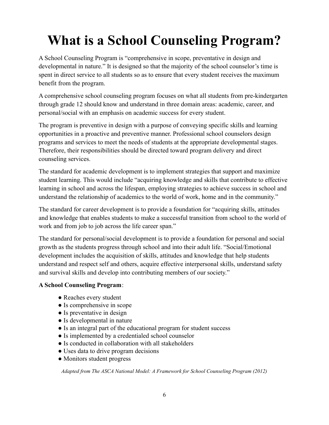# **What is a School Counseling Program?**

A School Counseling Program is "comprehensive in scope, preventative in design and developmental in nature." It is designed so that the majority of the school counselor's time is spent in direct service to all students so as to ensure that every student receives the maximum benefit from the program.

A comprehensive school counseling program focuses on what all students from pre-kindergarten through grade 12 should know and understand in three domain areas: academic, career, and personal/social with an emphasis on academic success for every student.

The program is preventive in design with a purpose of conveying specific skills and learning opportunities in a proactive and preventive manner. Professional school counselors design programs and services to meet the needs of students at the appropriate developmental stages. Therefore, their responsibilities should be directed toward program delivery and direct counseling services.

The standard for academic development is to implement strategies that support and maximize student learning. This would include "acquiring knowledge and skills that contribute to effective learning in school and across the lifespan, employing strategies to achieve success in school and understand the relationship of academics to the world of work, home and in the community."

The standard for career development is to provide a foundation for "acquiring skills, attitudes and knowledge that enables students to make a successful transition from school to the world of work and from job to job across the life career span."

The standard for personal/social development is to provide a foundation for personal and social growth as the students progress through school and into their adult life. "Social/Emotional development includes the acquisition of skills, attitudes and knowledge that help students understand and respect self and others, acquire effective interpersonal skills, understand safety and survival skills and develop into contributing members of our society."

### **A School Counseling Program**:

- Reaches every student
- Is comprehensive in scope
- Is preventative in design
- Is developmental in nature
- Is an integral part of the educational program for student success
- Is implemented by a credentialed school counselor
- Is conducted in collaboration with all stakeholders
- Uses data to drive program decisions
- Monitors student progress

*Adapted from The ASCA National Model: A Framework for School Counseling Program (2012)*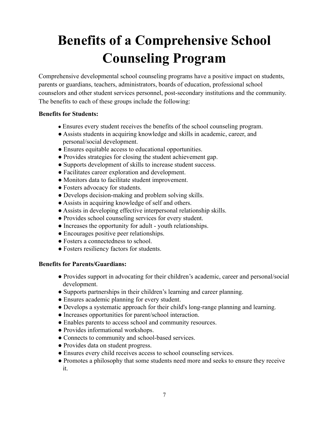# **Benefits of a Comprehensive School Counseling Program**

Comprehensive developmental school counseling programs have a positive impact on students, parents or guardians, teachers, administrators, boards of education, professional school counselors and other student services personnel, post-secondary institutions and the community. The benefits to each of these groups include the following:

### **Benefits for Students:**

- Ensures every student receives the benefits of the school counseling program.
- Assists students in acquiring knowledge and skills in academic, career, and personal/social development.
- Ensures equitable access to educational opportunities.
- Provides strategies for closing the student achievement gap.
- Supports development of skills to increase student success.
- Facilitates career exploration and development.
- Monitors data to facilitate student improvement.
- Fosters advocacy for students.
- Develops decision-making and problem solving skills.
- Assists in acquiring knowledge of self and others.
- Assists in developing effective interpersonal relationship skills.
- Provides school counseling services for every student.
- Increases the opportunity for adult youth relationships.
- Encourages positive peer relationships.
- Fosters a connectedness to school.
- Fosters resiliency factors for students.

#### **Benefits for Parents/Guardians:**

- Provides support in advocating for their children's academic, career and personal/social development.
- Supports partnerships in their children's learning and career planning.
- Ensures academic planning for every student.
- Develops a systematic approach for their child's long-range planning and learning.
- Increases opportunities for parent/school interaction.
- Enables parents to access school and community resources.
- Provides informational workshops.
- Connects to community and school-based services.
- Provides data on student progress.
- Ensures every child receives access to school counseling services.
- Promotes a philosophy that some students need more and seeks to ensure they receive it.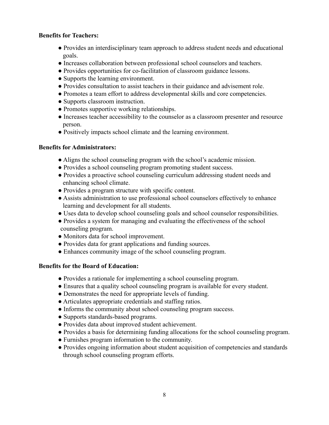### **Benefits for Teachers:**

- Provides an interdisciplinary team approach to address student needs and educational goals.
- Increases collaboration between professional school counselors and teachers.
- Provides opportunities for co-facilitation of classroom guidance lessons.
- Supports the learning environment.
- Provides consultation to assist teachers in their guidance and advisement role.
- Promotes a team effort to address developmental skills and core competencies.
- Supports classroom instruction.
- Promotes supportive working relationships.
- Increases teacher accessibility to the counselor as a classroom presenter and resource person.
- Positively impacts school climate and the learning environment.

### **Benefits for Administrators:**

- Aligns the school counseling program with the school's academic mission.
- Provides a school counseling program promoting student success.
- Provides a proactive school counseling curriculum addressing student needs and enhancing school climate.
- Provides a program structure with specific content.
- Assists administration to use professional school counselors effectively to enhance learning and development for all students.
- Uses data to develop school counseling goals and school counselor responsibilities.
- Provides a system for managing and evaluating the effectiveness of the school counseling program.
- Monitors data for school improvement.
- Provides data for grant applications and funding sources.
- Enhances community image of the school counseling program.

### **Benefits for the Board of Education:**

- Provides a rationale for implementing a school counseling program.
- Ensures that a quality school counseling program is available for every student.
- Demonstrates the need for appropriate levels of funding.
- Articulates appropriate credentials and staffing ratios.
- Informs the community about school counseling program success.
- Supports standards-based programs.
- Provides data about improved student achievement.
- Provides a basis for determining funding allocations for the school counseling program.
- Furnishes program information to the community.
- Provides ongoing information about student acquisition of competencies and standards through school counseling program efforts.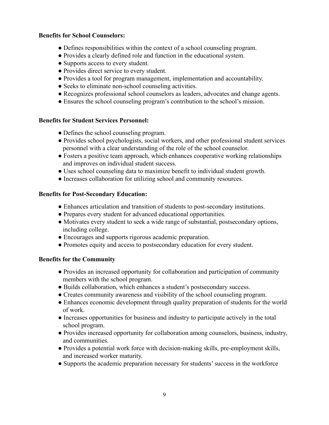#### **Benefits for School Counselors:**

- Defines responsibilities within the context of a school counseling program.
- Provides a clearly defined role and function in the educational system.
- Supports access to every student.
- Provides direct service to every student.
- Provides a tool for program management, implementation and accountability.
- Seeks to eliminate non-school counseling activities.
- Recognizes professional school counselors as leaders, advocates and change agents.
- Ensures the school counseling program's contribution to the school's mission.

#### **Benefits for Student Services Personnel:**

- Defines the school counseling program.
- Provides school psychologists, social workers, and other professional student services personnel with a clear understanding of the role of the school counselor.
- Fosters a positive team approach, which enhances cooperative working relationships and improves on individual student success.
- Uses school counseling data to maximize benefit to individual student growth.
- Increases collaboration for utilizing school and community resources.

#### **Benefits for Post-Secondary Education:**

- Enhances articulation and transition of students to post-secondary institutions.
- Prepares every student for advanced educational opportunities.
- Motivates every student to seek a wide range of substantial, postsecondary options, including college.
- Encourages and supports rigorous academic preparation.
- Promotes equity and access to postsecondary education for every student.

#### **Benefits for the Community**

- Provides an increased opportunity for collaboration and participation of community members with the school program.
- Builds collaboration, which enhances a student's postsecondary success.
- Creates community awareness and visibility of the school counseling program.
- Enhances economic development through quality preparation of students for the world of work.
- Increases opportunities for business and industry to participate actively in the total school program.
- Provides increased opportunity for collaboration among counselors, business, industry, and communities.
- Provides a potential work force with decision-making skills, pre-employment skills, and increased worker maturity.
- Supports the academic preparation necessary for students' success in the workforce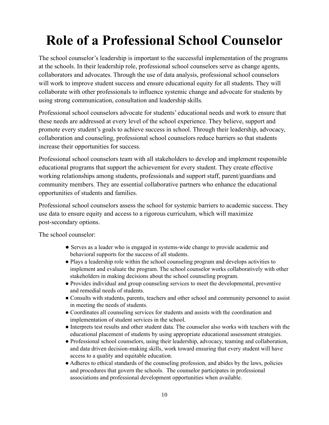# **Role of a Professional School Counselor**

The school counselor's leadership is important to the successful implementation of the programs at the schools. In their leadership role, professional school counselors serve as change agents, collaborators and advocates. Through the use of data analysis, professional school counselors will work to improve student success and ensure educational equity for all students. They will collaborate with other professionals to influence systemic change and advocate for students by using strong communication, consultation and leadership skills.

Professional school counselors advocate for students' educational needs and work to ensure that these needs are addressed at every level of the school experience. They believe, support and promote every student's goals to achieve success in school. Through their leadership, advocacy, collaboration and counseling, professional school counselors reduce barriers so that students increase their opportunities for success.

Professional school counselors team with all stakeholders to develop and implement responsible educational programs that support the achievement for every student. They create effective working relationships among students, professionals and support staff, parent/guardians and community members. They are essential collaborative partners who enhance the educational opportunities of students and families.

Professional school counselors assess the school for systemic barriers to academic success. They use data to ensure equity and access to a rigorous curriculum, which will maximize post-secondary options.

The school counselor:

- Serves as a leader who is engaged in systems-wide change to provide academic and behavioral supports for the success of all students.
- Plays a leadership role within the school counseling program and develops activities to implement and evaluate the program. The school counselor works collaboratively with other stakeholders in making decisions about the school counseling program.
- Provides individual and group counseling services to meet the developmental, preventive and remedial needs of students.
- Consults with students, parents, teachers and other school and community personnel to assist in meeting the needs of students.
- Coordinates all counseling services for students and assists with the coordination and implementation of student services in the school.
- Interprets test results and other student data. The counselor also works with teachers with the educational placement of students by using appropriate educational assessment strategies.
- Professional school counselors, using their leadership, advocacy, teaming and collaboration, and data driven decision-making skills, work toward ensuring that every student will have access to a quality and equitable education.
- Adheres to ethical standards of the counseling profession, and abides by the laws, policies and procedures that govern the schools. The counselor participates in professional associations and professional development opportunities when available.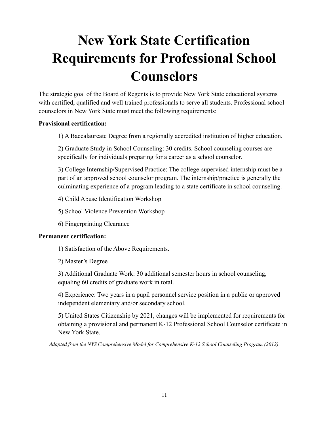# **New York State Certification Requirements for Professional School Counselors**

The strategic goal of the Board of Regents is to provide New York State educational systems with certified, qualified and well trained professionals to serve all students. Professional school counselors in New York State must meet the following requirements:

### **Provisional certification:**

1) A Baccalaureate Degree from a regionally accredited institution of higher education.

2) Graduate Study in School Counseling: 30 credits. School counseling courses are specifically for individuals preparing for a career as a school counselor.

3) College Internship/Supervised Practice: The college-supervised internship must be a part of an approved school counselor program. The internship/practice is generally the culminating experience of a program leading to a state certificate in school counseling.

4) Child Abuse Identification Workshop

5) School Violence Prevention Workshop

6) Fingerprinting Clearance

### **Permanent certification:**

1) Satisfaction of the Above Requirements.

2) Master's Degree

3) Additional Graduate Work: 30 additional semester hours in school counseling, equaling 60 credits of graduate work in total.

4) Experience: Two years in a pupil personnel service position in a public or approved independent elementary and/or secondary school.

5) United States Citizenship by 2021, changes will be implemented for requirements for obtaining a provisional and permanent K-12 Professional School Counselor certificate in New York State.

*Adapted from the NYS Comprehensive Model for Comprehensive K-12 School Counseling Program (2012)*.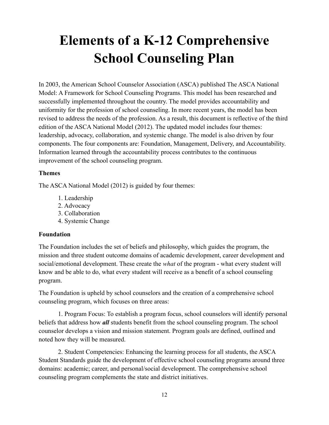# **Elements of a K-12 Comprehensive School Counseling Plan**

In 2003, the American School Counselor Association (ASCA) published The ASCA National Model: A Framework for School Counseling Programs. This model has been researched and successfully implemented throughout the country. The model provides accountability and uniformity for the profession of school counseling. In more recent years, the model has been revised to address the needs of the profession. As a result, this document is reflective of the third edition of the ASCA National Model (2012). The updated model includes four themes: leadership, advocacy, collaboration, and systemic change. The model is also driven by four components. The four components are: Foundation, Management, Delivery, and Accountability. Information learned through the accountability process contributes to the continuous improvement of the school counseling program.

### **Themes**

The ASCA National Model (2012) is guided by four themes:

- 1. Leadership
- 2. Advocacy
- 3. Collaboration
- 4. Systemic Change

### **Foundation**

The Foundation includes the set of beliefs and philosophy, which guides the program, the mission and three student outcome domains of academic development, career development and social/emotional development. These create the *what* of the program - what every student will know and be able to do, what every student will receive as a benefit of a school counseling program.

The Foundation is upheld by school counselors and the creation of a comprehensive school counseling program, which focuses on three areas:

1. Program Focus: To establish a program focus, school counselors will identify personal beliefs that address how *all* students benefit from the school counseling program. The school counselor develops a vision and mission statement. Program goals are defined, outlined and noted how they will be measured.

2. Student Competencies: Enhancing the learning process for all students, the ASCA Student Standards guide the development of effective school counseling programs around three domains: academic; career, and personal/social development. The comprehensive school counseling program complements the state and district initiatives.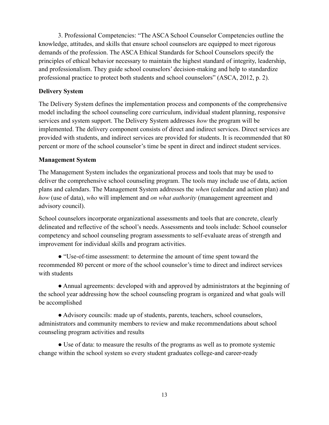3. Professional Competencies: "The ASCA School Counselor Competencies outline the knowledge, attitudes, and skills that ensure school counselors are equipped to meet rigorous demands of the profession. The ASCA Ethical Standards for School Counselors specify the principles of ethical behavior necessary to maintain the highest standard of integrity, leadership, and professionalism. They guide school counselors' decision-making and help to standardize professional practice to protect both students and school counselors" (ASCA, 2012, p. 2).

### **Delivery System**

The Delivery System defines the implementation process and components of the comprehensive model including the school counseling core curriculum, individual student planning, responsive services and system support. The Delivery System addresses *how* the program will be implemented. The delivery component consists of direct and indirect services. Direct services are provided with students, and indirect services are provided for students. It is recommended that 80 percent or more of the school counselor's time be spent in direct and indirect student services.

### **Management System**

The Management System includes the organizational process and tools that may be used to deliver the comprehensive school counseling program. The tools may include use of data, action plans and calendars. The Management System addresses the *when* (calendar and action plan) and *how* (use of data), *who* will implement and *on what authority* (management agreement and advisory council).

School counselors incorporate organizational assessments and tools that are concrete, clearly delineated and reflective of the school's needs. Assessments and tools include: School counselor competency and school counseling program assessments to self-evaluate areas of strength and improvement for individual skills and program activities.

● "Use-of-time assessment: to determine the amount of time spent toward the recommended 80 percent or more of the school counselor's time to direct and indirect services with students

• Annual agreements: developed with and approved by administrators at the beginning of the school year addressing how the school counseling program is organized and what goals will be accomplished

● Advisory councils: made up of students, parents, teachers, school counselors, administrators and community members to review and make recommendations about school counseling program activities and results

• Use of data: to measure the results of the programs as well as to promote systemic change within the school system so every student graduates college-and career-ready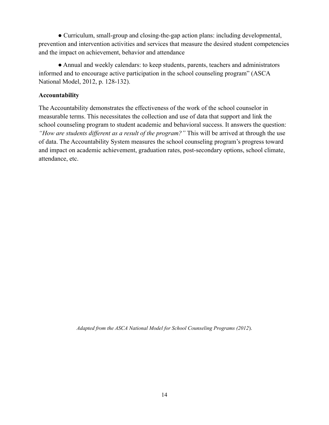● Curriculum, small-group and closing-the-gap action plans: including developmental, prevention and intervention activities and services that measure the desired student competencies and the impact on achievement, behavior and attendance

• Annual and weekly calendars: to keep students, parents, teachers and administrators informed and to encourage active participation in the school counseling program" (ASCA National Model, 2012, p. 128-132).

#### **Accountability**

The Accountability demonstrates the effectiveness of the work of the school counselor in measurable terms. This necessitates the collection and use of data that support and link the school counseling program to student academic and behavioral success. It answers the question: *"How are students different as a result of the program?"* This will be arrived at through the use of data. The Accountability System measures the school counseling program's progress toward and impact on academic achievement, graduation rates, post-secondary options, school climate, attendance, etc.

*Adapted from the ASCA National Model for School Counseling Programs (2012*).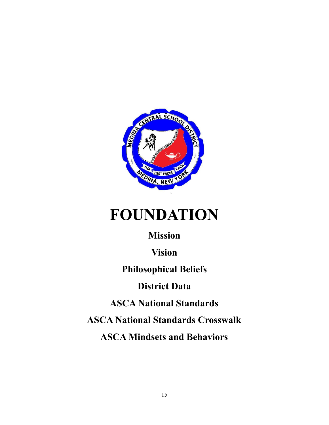

# **FOUNDATION**

## **Mission**

**Vision**

**Philosophical Beliefs**

## **District Data**

**ASCA National Standards**

**ASCA National Standards Crosswalk**

**ASCA Mindsets and Behaviors**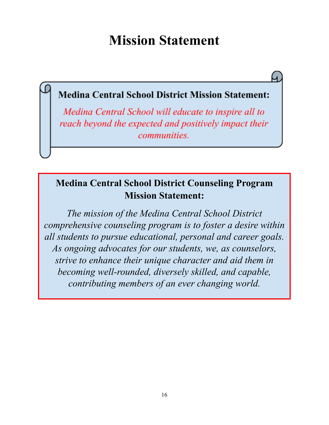## **Mission Statement**

## **Medina Central School District Mission Statement:**

Medina Central School will educate to inspire all to reach beyond the expected and positively impact their *communities.* 

## **Medina Central School District Counseling Program Mission Statement:**

*The mission of the Medina Central School District comprehensive counseling program is to foster a desire within all students to pursue educational, personal and career goals. As ongoing advocates for our students, we, as counselors, strive to enhance their unique character and aid them in becoming well-rounded, diversely skilled, and capable, contributing members of an ever changing world.*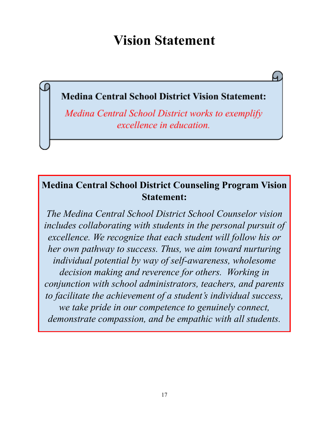## **Vision Statement**

## **Medina Central School District Vision Statement:**

Medina Central School District works to exemplify excellence in education.

## **Medina Central School District Counseling Program Vision Statement:**

*The Medina Central School District School Counselor vision includes collaborating with students in the personal pursuit of excellence. We recognize that each student will follow his or her own pathway to success. Thus, we aim toward nurturing individual potential by way of self-awareness, wholesome decision making and reverence for others. Working in conjunction with school administrators, teachers, and parents to facilitate the achievement of a student's individual success, we take pride in our competence to genuinely connect, demonstrate compassion, and be empathic with all students.*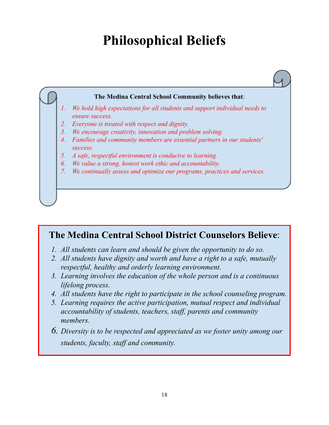## **Philosophical Beliefs**



## **The Medina Central School District Counselors Believe**:

- *1. All students can learn and should be given the opportunity to do so.*
- *2. All students have dignity and worth and have a right to a safe, mutually respectful, healthy and orderly learning environment.*
- *3. Learning involves the education of the whole person and is a continuous lifelong process.*
- *4. All students have the right to participate in the school counseling program.*
- *5. Learning requires the active participation, mutual respect and individual accountability of students, teachers, staf , parents and community members.*
- *6. Diversity is to be respected and appreciated as we foster unity among our students, faculty, staf and community.*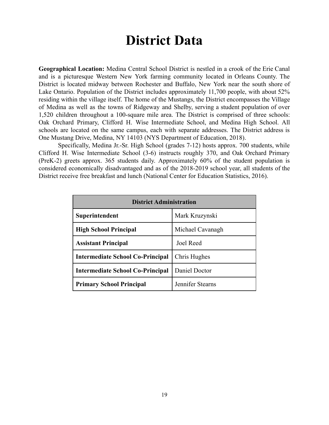## **District Data**

**Geographical Location:** Medina Central School District is nestled in a crook of the Erie Canal and is a picturesque Western New York farming community located in Orleans County. The District is located midway between Rochester and Buffalo, New York near the south shore of Lake Ontario. Population of the District includes approximately 11,700 people, with about 52% residing within the village itself. The home of the Mustangs, the District encompasses the Village of Medina as well as the towns of Ridgeway and Shelby, serving a student population of over 1,520 children throughout a 100-square mile area. The District is comprised of three schools: Oak Orchard Primary, Clifford H. Wise Intermediate School, and Medina High School. All schools are located on the same campus, each with separate addresses. The District address is One Mustang Drive, Medina, NY 14103 (NYS Department of Education, 2018).

Specifically, Medina Jr.-Sr. High School (grades 7-12) hosts approx. 700 students, while Clifford H. Wise Intermediate School (3-6) instructs roughly 370, and Oak Orchard Primary (PreK-2) greets approx. 365 students daily. Approximately 60% of the student population is considered economically disadvantaged and as of the 2018-2019 school year, all students of the District receive free breakfast and lunch (National Center for Education Statistics, 2016).

| <b>District Administration</b>                          |                |  |  |
|---------------------------------------------------------|----------------|--|--|
| Superintendent                                          | Mark Kruzynski |  |  |
| Michael Cavanagh<br><b>High School Principal</b>        |                |  |  |
| Joel Reed<br><b>Assistant Principal</b>                 |                |  |  |
| Chris Hughes<br><b>Intermediate School Co-Principal</b> |                |  |  |
| <b>Intermediate School Co-Principal</b>                 | Daniel Doctor  |  |  |
| Jennifer Stearns<br><b>Primary School Principal</b>     |                |  |  |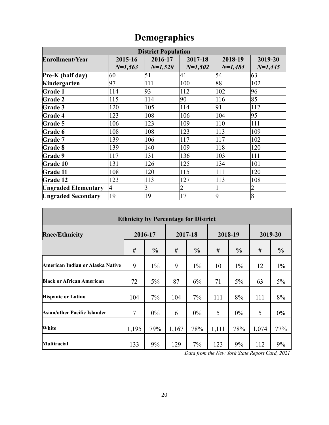| <b>District Population</b> |                      |                         |                      |                      |                      |  |
|----------------------------|----------------------|-------------------------|----------------------|----------------------|----------------------|--|
| <b>Enrollment/Year</b>     | 2015-16<br>$N=1,563$ | 2016-17<br>$N=1,520$    | 2017-18<br>$N=1,502$ | 2018-19<br>$N=1,484$ | 2019-20<br>$N=1,445$ |  |
| Pre-K (half day)           | 60                   | 51                      | 41                   | 54                   | 63                   |  |
| Kindergarten               | 97                   | 111                     | 100                  | 88                   | 102                  |  |
| <b>Grade 1</b>             | 114                  | 93                      | 112                  | 102                  | 96                   |  |
| <b>Grade 2</b>             | 115                  | 114                     | 90                   | 116                  | 85                   |  |
| <b>Grade 3</b>             | 120                  | 105                     | 114                  | 91                   | 112                  |  |
| Grade 4                    | 123                  | 108                     | 106                  | 104                  | 95                   |  |
| Grade 5                    | 106                  | 123                     | 109                  | 110                  | 111                  |  |
| Grade 6                    | 108                  | 108                     | 123                  | 113                  | 109                  |  |
| <b>Grade 7</b>             | 139                  | 106                     | 117                  | 117                  | 102                  |  |
| <b>Grade 8</b>             | 139                  | 140                     | 109                  | 118                  | 120                  |  |
| Grade 9                    | 117                  | 131                     | 136                  | 103                  | 111                  |  |
| Grade 10                   | 131                  | 126                     | 125                  | 134                  | 101                  |  |
| <b>Grade 11</b>            | 108                  | 120                     | 115                  | 111                  | 120                  |  |
| Grade 12                   | 123                  | 113                     | 127                  | 113                  | 108                  |  |
| <b>Ungraded Elementary</b> | 4                    | $\overline{\mathbf{3}}$ |                      |                      | 2                    |  |
| <b>Ungraded Secondary</b>  | 19                   | 19                      | 17                   | 19                   | 18                   |  |

## **Demographics**

| <b>Ethnicity by Percentage for District</b> |                    |               |         |               |         |               |       |               |
|---------------------------------------------|--------------------|---------------|---------|---------------|---------|---------------|-------|---------------|
| <b>Race/Ethnicity</b>                       | 2016-17<br>2017-18 |               | 2018-19 |               | 2019-20 |               |       |               |
|                                             | #                  | $\frac{0}{0}$ | #       | $\frac{0}{0}$ | #       | $\frac{6}{6}$ | #     | $\frac{0}{0}$ |
| American Indian or Alaska Native            | 9                  | $1\%$         | 9       | $1\%$         | 10      | $1\%$         | 12    | $1\%$         |
| <b>Black or African American</b>            | 72                 | 5%            | 87      | 6%            | 71      | 5%            | 63    | 5%            |
| <b>Hispanic or Latino</b>                   | 104                | 7%            | 104     | 7%            | 111     | 8%            | 111   | 8%            |
| Asian/other Pacific Islander                | 7                  | $0\%$         | 6       | 0%            | 5       | 0%            | 5     | $0\%$         |
| White                                       | 1,195              | 79%           | 1,167   | 78%           | 1,111   | 78%           | 1,074 | 77%           |
| Multiracial                                 | 133                | 9%            | 129     | 7%            | 123     | 9%            | 112   | 9%            |

*Data from the New York State Report Card, 2021*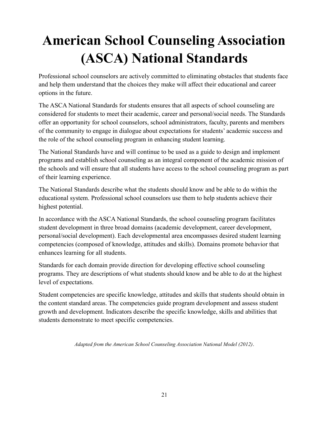# **American School Counseling Association (ASCA) National Standards**

Professional school counselors are actively committed to eliminating obstacles that students face and help them understand that the choices they make will affect their educational and career options in the future.

The ASCA National Standards for students ensures that all aspects of school counseling are considered for students to meet their academic, career and personal/social needs. The Standards offer an opportunity for school counselors, school administrators, faculty, parents and members of the community to engage in dialogue about expectations for students' academic success and the role of the school counseling program in enhancing student learning.

The National Standards have and will continue to be used as a guide to design and implement programs and establish school counseling as an integral component of the academic mission of the schools and will ensure that all students have access to the school counseling program as part of their learning experience.

The National Standards describe what the students should know and be able to do within the educational system. Professional school counselors use them to help students achieve their highest potential.

In accordance with the ASCA National Standards, the school counseling program facilitates student development in three broad domains (academic development, career development, personal/social development). Each developmental area encompasses desired student learning competencies (composed of knowledge, attitudes and skills). Domains promote behavior that enhances learning for all students.

Standards for each domain provide direction for developing effective school counseling programs. They are descriptions of what students should know and be able to do at the highest level of expectations.

Student competencies are specific knowledge, attitudes and skills that students should obtain in the content standard areas. The competencies guide program development and assess student growth and development. Indicators describe the specific knowledge, skills and abilities that students demonstrate to meet specific competencies.

*Adapted from the American School Counseling Association National Model (2012)*.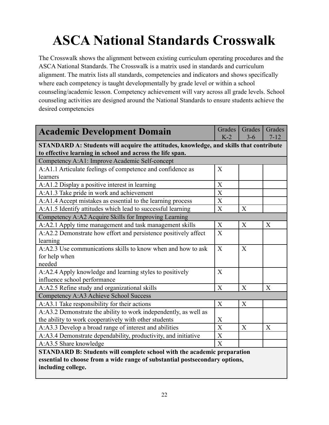# **ASCA National Standards Crosswalk**

The Crosswalk shows the alignment between existing curriculum operating procedures and the ASCA National Standards. The Crosswalk is a matrix used in standards and curriculum alignment. The matrix lists all standards, competencies and indicators and shows specifically where each competency is taught developmentally by grade level or within a school counseling/academic lesson. Competency achievement will vary across all grade levels. School counseling activities are designed around the National Standards to ensure students achieve the desired competencies

| <b>Academic Development Domain</b>                                                                                                                  | Grades<br>$K-2$           | Grades<br>$3 - 6$ | Grades<br>$7 - 12$ |  |
|-----------------------------------------------------------------------------------------------------------------------------------------------------|---------------------------|-------------------|--------------------|--|
| STANDARD A: Students will acquire the attitudes, knowledge, and skills that contribute<br>to effective learning in school and across the life span. |                           |                   |                    |  |
| Competency A:A1: Improve Academic Self-concept                                                                                                      |                           |                   |                    |  |
| A:A1.1 Articulate feelings of competence and confidence as                                                                                          | X                         |                   |                    |  |
| learners                                                                                                                                            |                           |                   |                    |  |
| A:A1.2 Display a positive interest in learning                                                                                                      | X                         |                   |                    |  |
| A:A1.3 Take pride in work and achievement                                                                                                           | X                         |                   |                    |  |
| A:A1.4 Accept mistakes as essential to the learning process                                                                                         | $\boldsymbol{\mathrm{X}}$ |                   |                    |  |
| A:A1.5 Identify attitudes which lead to successful learning                                                                                         | $\boldsymbol{\mathrm{X}}$ | X                 |                    |  |
| Competency A:A2 Acquire Skills for Improving Learning                                                                                               |                           |                   |                    |  |
| A:A2.1 Apply time management and task management skills                                                                                             | X                         | X                 | X                  |  |
| A:A2.2 Demonstrate how effort and persistence positively affect                                                                                     | X                         |                   |                    |  |
| learning                                                                                                                                            |                           |                   |                    |  |
| A:A2.3 Use communications skills to know when and how to ask                                                                                        | X                         | X                 |                    |  |
| for help when                                                                                                                                       |                           |                   |                    |  |
| needed                                                                                                                                              |                           |                   |                    |  |
| A:A2.4 Apply knowledge and learning styles to positively                                                                                            | $\overline{X}$            |                   |                    |  |
| influence school performance                                                                                                                        |                           |                   |                    |  |
| A:A2.5 Refine study and organizational skills                                                                                                       | $\overline{X}$            | $\overline{X}$    | X                  |  |
| Competency A:A3 Achieve School Success                                                                                                              |                           |                   |                    |  |
| A:A3.1 Take responsibility for their actions                                                                                                        | $\boldsymbol{X}$          | X                 |                    |  |
| A:A3.2 Demonstrate the ability to work independently, as well as                                                                                    |                           |                   |                    |  |
| the ability to work cooperatively with other students                                                                                               | X                         |                   |                    |  |
| A:A3.3 Develop a broad range of interest and abilities                                                                                              | $\boldsymbol{\mathrm{X}}$ | X                 | X                  |  |
| A:A3.4 Demonstrate dependability, productivity, and initiative                                                                                      | $\overline{X}$            |                   |                    |  |
| A:A3.5 Share knowledge                                                                                                                              | X                         |                   |                    |  |
| STANDARD B: Students will complete school with the academic preparation                                                                             |                           |                   |                    |  |
| essential to choose from a wide range of substantial postsecondary options,                                                                         |                           |                   |                    |  |
| including college.                                                                                                                                  |                           |                   |                    |  |
|                                                                                                                                                     |                           |                   |                    |  |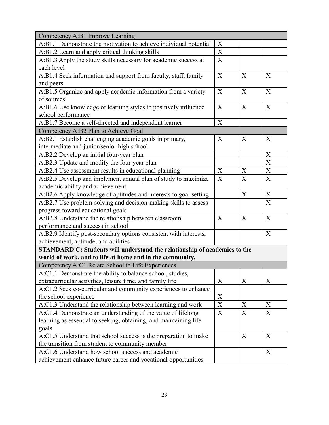| Competency A:B1 Improve Learning                                                 |             |   |                           |  |
|----------------------------------------------------------------------------------|-------------|---|---------------------------|--|
| A:B1.1 Demonstrate the motivation to achieve individual potential                | X           |   |                           |  |
| A:B1.2 Learn and apply critical thinking skills                                  | $\mathbf X$ |   |                           |  |
| A:B1.3 Apply the study skills necessary for academic success at                  | X           |   |                           |  |
| each level                                                                       |             |   |                           |  |
| A:B1.4 Seek information and support from faculty, staff, family                  | X           | X | X                         |  |
| and peers                                                                        |             |   |                           |  |
| A:B1.5 Organize and apply academic information from a variety                    | X           | X | X                         |  |
| of sources                                                                       |             |   |                           |  |
| A:B1.6 Use knowledge of learning styles to positively influence                  | X           | X | X                         |  |
| school performance                                                               |             |   |                           |  |
| A:B1.7 Become a self-directed and independent learner                            | X           |   |                           |  |
| Competency A:B2 Plan to Achieve Goal                                             |             |   |                           |  |
| A:B2.1 Establish challenging academic goals in primary,                          | X           | X | X                         |  |
| intermediate and junior/senior high school                                       |             |   |                           |  |
| A:B2.2 Develop an initial four-year plan                                         |             |   | X                         |  |
| A:B2.3 Update and modify the four-year plan                                      |             |   | X                         |  |
| A:B2.4 Use assessment results in educational planning                            | X           | X | $\boldsymbol{X}$          |  |
| A:B2.5 Develop and implement annual plan of study to maximize                    | X           | X | X                         |  |
| academic ability and achievement                                                 |             |   |                           |  |
| A:B2.6 Apply knowledge of aptitudes and interests to goal setting                |             | X | $\boldsymbol{\mathrm{X}}$ |  |
| A:B2.7 Use problem-solving and decision-making skills to assess                  |             |   | X                         |  |
| progress toward educational goals                                                |             |   |                           |  |
| A:B2.8 Understand the relationship between classroom                             | X           | X | X                         |  |
| performance and success in school                                                |             |   |                           |  |
| A:B2.9 Identify post-secondary options consistent with interests,                |             |   | X                         |  |
| achievement, aptitude, and abilities                                             |             |   |                           |  |
| <b>STANDARD C: Students will understand the relationship of academics to the</b> |             |   |                           |  |
| world of work, and to life at home and in the community.                         |             |   |                           |  |
| Competency A:C1 Relate School to Life Experiences                                |             |   |                           |  |
| A:C1.1 Demonstrate the ability to balance school, studies,                       |             |   |                           |  |
| extracurricular activities, leisure time, and family life                        | X           | X | X                         |  |
| A:C1.2 Seek co-curricular and community experiences to enhance                   |             |   |                           |  |
| the school experience                                                            | X           |   |                           |  |
| A:C1.3 Understand the relationship between learning and work                     | $\mathbf X$ | X | X                         |  |
| A:C1.4 Demonstrate an understanding of the value of lifelong                     | X           | X | X                         |  |
| learning as essential to seeking, obtaining, and maintaining life                |             |   |                           |  |
| goals                                                                            |             |   |                           |  |
| A:C1.5 Understand that school success is the preparation to make                 |             | X | X                         |  |
| the transition from student to community member                                  |             |   |                           |  |
| A:C1.6 Understand how school success and academic                                |             |   | X                         |  |
| achievement enhance future career and vocational opportunities                   |             |   |                           |  |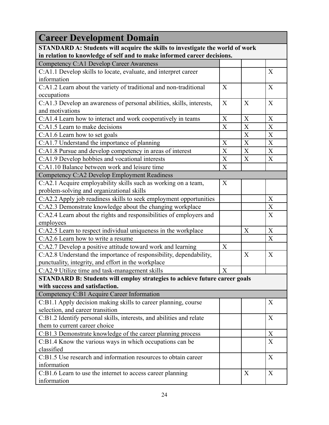| <b>Career Development Domain</b>                                                                                                                         |                           |                  |                           |  |
|----------------------------------------------------------------------------------------------------------------------------------------------------------|---------------------------|------------------|---------------------------|--|
| STANDARD A: Students will acquire the skills to investigate the world of work<br>in relation to knowledge of self and to make informed career decisions. |                           |                  |                           |  |
| Competency C:A1 Develop Career Awareness                                                                                                                 |                           |                  |                           |  |
| C:A1.1 Develop skills to locate, evaluate, and interpret career                                                                                          |                           |                  | X                         |  |
| information                                                                                                                                              |                           |                  |                           |  |
| C:A1.2 Learn about the variety of traditional and non-traditional                                                                                        | X                         |                  | X                         |  |
| occupations                                                                                                                                              |                           |                  |                           |  |
| C:A1.3 Develop an awareness of personal abilities, skills, interests,                                                                                    | X                         | X                | X                         |  |
| and motivations                                                                                                                                          |                           |                  |                           |  |
| C:A1.4 Learn how to interact and work cooperatively in teams                                                                                             | X                         | X                | X                         |  |
| C:A1.5 Learn to make decisions                                                                                                                           | X                         | $\boldsymbol{X}$ | $\boldsymbol{\mathrm{X}}$ |  |
| C:A1.6 Learn how to set goals                                                                                                                            |                           | X                | X                         |  |
| C:A1.7 Understand the importance of planning                                                                                                             | X                         | $\boldsymbol{X}$ | $\boldsymbol{\mathrm{X}}$ |  |
| C:A1.8 Pursue and develop competency in areas of interest                                                                                                | X                         | X                | $\mathbf X$               |  |
| C:A1.9 Develop hobbies and vocational interests                                                                                                          | $\boldsymbol{\mathrm{X}}$ | X                | X                         |  |
| C:A1.10 Balance between work and leisure time                                                                                                            | X                         |                  |                           |  |
| Competency C:A2 Develop Employment Readiness                                                                                                             |                           |                  |                           |  |
| C:A2.1 Acquire employability skills such as working on a team,                                                                                           | X                         |                  |                           |  |
| problem-solving and organizational skills                                                                                                                |                           |                  |                           |  |
| C:A2.2 Apply job readiness skills to seek employment opportunities                                                                                       |                           |                  | X                         |  |
| C:A2.3 Demonstrate knowledge about the changing workplace                                                                                                |                           |                  | $\mathbf X$               |  |
| C:A2.4 Learn about the rights and responsibilities of employers and                                                                                      |                           |                  | $\overline{X}$            |  |
| employees                                                                                                                                                |                           |                  |                           |  |
| C:A2.5 Learn to respect individual uniqueness in the workplace                                                                                           |                           | $\mathbf X$      | X                         |  |
| C:A2.6 Learn how to write a resume                                                                                                                       |                           |                  | X                         |  |
| C:A2.7 Develop a positive attitude toward work and learning                                                                                              | $\mathbf X$               |                  |                           |  |
| C:A2.8 Understand the importance of responsibility, dependability,                                                                                       |                           | X                | X                         |  |
| punctuality, integrity, and effort in the workplace                                                                                                      |                           |                  |                           |  |
| C:A2.9 Utilize time and task-management skills                                                                                                           | $\boldsymbol{X}$          |                  |                           |  |
| STANDARD B: Students will employ strategies to achieve future career goals                                                                               |                           |                  |                           |  |
| with success and satisfaction.                                                                                                                           |                           |                  |                           |  |
| Competency C:B1 Acquire Career Information                                                                                                               |                           |                  |                           |  |
| C:B1.1 Apply decision making skills to career planning, course                                                                                           |                           |                  | X                         |  |
| selection, and career transition                                                                                                                         |                           |                  |                           |  |
| C:B1.2 Identify personal skills, interests, and abilities and relate                                                                                     |                           |                  | X                         |  |
| them to current career choice                                                                                                                            |                           |                  |                           |  |
| C:B1.3 Demonstrate knowledge of the career planning process                                                                                              |                           |                  | $\boldsymbol{X}$          |  |
| C:B1.4 Know the various ways in which occupations can be                                                                                                 |                           |                  | $\boldsymbol{\mathrm{X}}$ |  |
| classified                                                                                                                                               |                           |                  |                           |  |
| C:B1.5 Use research and information resources to obtain career                                                                                           |                           |                  | X                         |  |
| information                                                                                                                                              |                           |                  |                           |  |
| C:B1.6 Learn to use the internet to access career planning                                                                                               |                           | X                | X                         |  |
| information                                                                                                                                              |                           |                  |                           |  |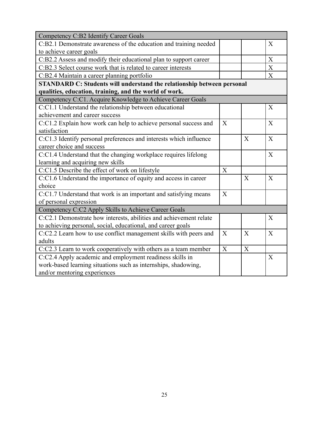| <b>Competency C:B2 Identify Career Goals</b>                           |                |                |              |
|------------------------------------------------------------------------|----------------|----------------|--------------|
| C:B2.1 Demonstrate awareness of the education and training needed      |                |                | X            |
| to achieve career goals                                                |                |                |              |
| C:B2.2 Assess and modify their educational plan to support career      |                |                | X            |
| C:B2.3 Select course work that is related to career interests          |                |                | $\mathbf X$  |
| C:B2.4 Maintain a career planning portfolio                            |                |                | X            |
| STANDARD C: Students will understand the relationship between personal |                |                |              |
| qualities, education, training, and the world of work.                 |                |                |              |
| Competency C:C1. Acquire Knowledge to Achieve Career Goals             |                |                |              |
| C:C1.1 Understand the relationship between educational                 |                |                | X            |
| achievement and career success                                         |                |                |              |
| C:C1.2 Explain how work can help to achieve personal success and       | X              |                | X            |
| satisfaction                                                           |                |                |              |
| C:C1.3 Identify personal preferences and interests which influence     |                | $\overline{X}$ | X            |
| career choice and success                                              |                |                |              |
| C:C1.4 Understand that the changing workplace requires lifelong        |                |                | X            |
| learning and acquiring new skills                                      |                |                |              |
| C:C1.5 Describe the effect of work on lifestyle                        | X              |                |              |
| C:C1.6 Understand the importance of equity and access in career        |                | X              | X            |
| choice                                                                 |                |                |              |
| C:C1.7 Understand that work is an important and satisfying means       | X              |                |              |
| of personal expression                                                 |                |                |              |
| Competency C:C2 Apply Skills to Achieve Career Goals                   |                |                |              |
| C:C2.1 Demonstrate how interests, abilities and achievement relate     |                |                | X            |
| to achieving personal, social, educational, and career goals           |                |                |              |
| C:C2.2 Learn how to use conflict management skills with peers and      | $\overline{X}$ | $\overline{X}$ | $\mathbf{X}$ |
| adults                                                                 |                |                |              |
| C:C2.3 Learn to work cooperatively with others as a team member        | X              | X              |              |
| C:C2.4 Apply academic and employment readiness skills in               |                |                | X            |
| work-based learning situations such as internships, shadowing,         |                |                |              |
| and/or mentoring experiences                                           |                |                |              |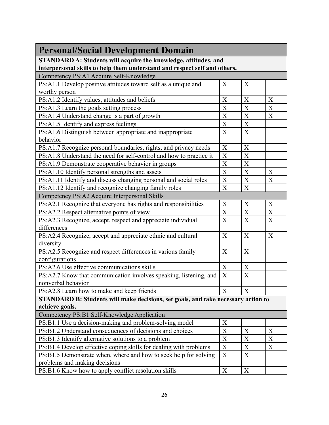| <b>Personal/Social Development Domain</b>                                         |             |             |                  |
|-----------------------------------------------------------------------------------|-------------|-------------|------------------|
| STANDARD A: Students will acquire the knowledge, attitudes, and                   |             |             |                  |
| interpersonal skills to help them understand and respect self and others.         |             |             |                  |
| Competency PS:A1 Acquire Self-Knowledge                                           | X           | X           |                  |
| PS:A1.1 Develop positive attitudes toward self as a unique and                    |             |             |                  |
| worthy person                                                                     |             |             |                  |
| PS:A1.2 Identify values, attitudes and beliefs                                    | X           | X           | X                |
| PS:A1.3 Learn the goals setting process                                           | $\mathbf X$ | $\mathbf X$ | $\mathbf X$      |
| PS:A1.4 Understand change is a part of growth                                     | X           | $\mathbf X$ | X                |
| PS:A1.5 Identify and express feelings                                             | $\mathbf X$ | $\mathbf X$ |                  |
| PS:A1.6 Distinguish between appropriate and inappropriate                         | X           | X           |                  |
| behavior                                                                          |             |             |                  |
| PS:A1.7 Recognize personal boundaries, rights, and privacy needs                  | $\mathbf X$ | $\mathbf X$ |                  |
| PS:A1.8 Understand the need for self-control and how to practice it               | $\mathbf X$ | $\mathbf X$ |                  |
| PS:A1.9 Demonstrate cooperative behavior in groups                                | $\mathbf X$ | $\mathbf X$ |                  |
| PS:A1.10 Identify personal strengths and assets                                   | $\mathbf X$ | $\mathbf X$ | X                |
| PS:A1.11 Identify and discuss changing personal and social roles                  | X           | $\mathbf X$ | X                |
| PS:A1.12 Identify and recognize changing family roles                             | $\mathbf X$ | $\mathbf X$ |                  |
| Competency PS:A2 Acquire Interpersonal Skills                                     |             |             |                  |
| PS:A2.1 Recognize that everyone has rights and responsibilities                   | $\mathbf X$ | X           | X                |
| PS:A2.2 Respect alternative points of view                                        | X           | $\mathbf X$ | X                |
| PS:A2.3 Recognize, accept, respect and appreciate individual                      | X           | X           | X                |
| differences                                                                       |             |             |                  |
| PS:A2.4 Recognize, accept and appreciate ethnic and cultural                      | X           | X           | X                |
| diversity                                                                         |             |             |                  |
| PS:A2.5 Recognize and respect differences in various family                       | X           | X           |                  |
| configurations                                                                    |             |             |                  |
| PS:A2.6 Use effective communications skills                                       | X           | X           |                  |
| PS:A2.7 Know that communication involves speaking, listening, and                 | $\mathbf X$ | $\mathbf X$ |                  |
| nonverbal behavior                                                                |             |             |                  |
| PS:A2.8 Learn how to make and keep friends                                        | X           | X           |                  |
| STANDARD B: Students will make decisions, set goals, and take necessary action to |             |             |                  |
| achieve goals.                                                                    |             |             |                  |
| Competency PS:B1 Self-Knowledge Application                                       |             |             |                  |
| PS:B1.1 Use a decision-making and problem-solving model                           | X           |             |                  |
| PS:B1.2 Understand consequences of decisions and choices                          | X           | X           | $\boldsymbol{X}$ |
| PS:B1.3 Identify alternative solutions to a problem                               | $\mathbf X$ | X           | $\boldsymbol{X}$ |
| PS:B1.4 Develop effective coping skills for dealing with problems                 | X           | X           | X                |
| PS:B1.5 Demonstrate when, where and how to seek help for solving                  | X           | X           |                  |
| problems and making decisions                                                     |             |             |                  |
| PS:B1.6 Know how to apply conflict resolution skills                              | X           | X           |                  |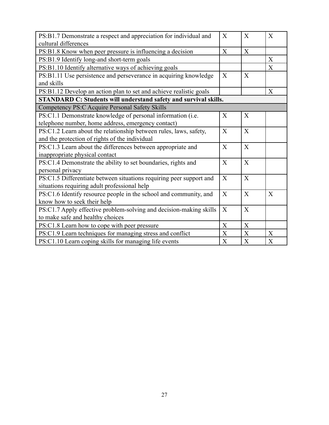| PS:B1.7 Demonstrate a respect and appreciation for individual and       | X           | X              | X           |
|-------------------------------------------------------------------------|-------------|----------------|-------------|
| cultural differences                                                    |             |                |             |
| PS:B1.8 Know when peer pressure is influencing a decision               | X           | X              |             |
| PS:B1.9 Identify long-and short-term goals                              |             |                | X           |
| PS:B1.10 Identify alternative ways of achieving goals                   |             |                | $\mathbf X$ |
| PS:B1.11 Use persistence and perseverance in acquiring knowledge        | X           | X              |             |
| and skills                                                              |             |                |             |
| PS:B1.12 Develop an action plan to set and achieve realistic goals      |             |                | X           |
| <b>STANDARD C: Students will understand safety and survival skills.</b> |             |                |             |
| Competency PS:C Acquire Personal Safety Skills                          |             |                |             |
| PS:C1.1 Demonstrate knowledge of personal information (i.e.             | X           | $\overline{X}$ |             |
| telephone number, home address, emergency contact)                      |             |                |             |
| PS:C1.2 Learn about the relationship between rules, laws, safety,       | X           | X              |             |
| and the protection of rights of the individual                          |             |                |             |
| PS:C1.3 Learn about the differences between appropriate and             | X           | $\overline{X}$ |             |
| inappropriate physical contact                                          |             |                |             |
| PS:C1.4 Demonstrate the ability to set boundaries, rights and           | X           | X              |             |
| personal privacy                                                        |             |                |             |
| PS:C1.5 Differentiate between situations requiring peer support and     | X           | X              |             |
| situations requiring adult professional help                            |             |                |             |
| PS:C1.6 Identify resource people in the school and community, and       | X           | $\overline{X}$ | X           |
| know how to seek their help                                             |             |                |             |
| PS:C1.7 Apply effective problem-solving and decision-making skills      | X           | X              |             |
| to make safe and healthy choices                                        |             |                |             |
| PS:C1.8 Learn how to cope with peer pressure                            | X           | $\overline{X}$ |             |
| PS:C1.9 Learn techniques for managing stress and conflict               | X           | X              | X           |
| PS:C1.10 Learn coping skills for managing life events                   | $\mathbf X$ | $\mathbf X$    | X           |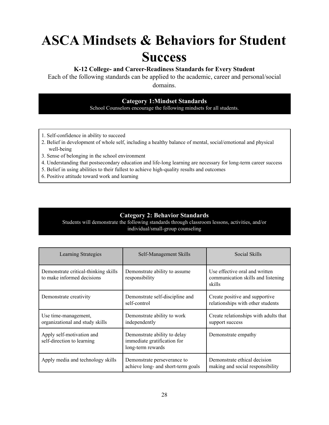# **ASCA Mindsets & Behaviors for Student Success**

### **K-12 College- and Career-Readiness Standards for Every Student**

Each of the following standards can be applied to the academic, career and personal/social domains.

### **Category 1:Mindset Standards**

School Counselors encourage the following mindsets for all students.

- 1. Self-confidence in ability to succeed
- 2. Belief in development of whole self, including a healthy balance of mental, social/emotional and physical well-being
- 3. Sense of belonging in the school environment
- 4. Understanding that postsecondary education and life-long learning are necessary for long-term career success
- 5. Belief in using abilities to their fullest to achieve high-quality results and outcomes
- 6. Positive attitude toward work and learning

#### **Category 2: Behavior Standards**

Students will demonstrate the following standards through classroom lessons, activities, and/or individual/small-group counseling

| Learning Strategies                                                | Self-Management Skills                                                           | Social Skills                                                                  |
|--------------------------------------------------------------------|----------------------------------------------------------------------------------|--------------------------------------------------------------------------------|
| Demonstrate critical-thinking skills<br>to make informed decisions | Demonstrate ability to assume<br>responsibility                                  | Use effective oral and written<br>communication skills and listening<br>skills |
| Demonstrate creativity                                             | Demonstrate self-discipline and<br>self-control                                  | Create positive and supportive<br>relationships with other students            |
| Use time-management,<br>organizational and study skills            | Demonstrate ability to work<br>independently                                     | Create relationships with adults that<br>support success                       |
| Apply self-motivation and<br>self-direction to learning            | Demonstrate ability to delay<br>immediate gratification for<br>long-term rewards | Demonstrate empathy                                                            |
| Apply media and technology skills                                  | Demonstrate perseverance to<br>achieve long- and short-term goals                | Demonstrate ethical decision<br>making and social responsibility               |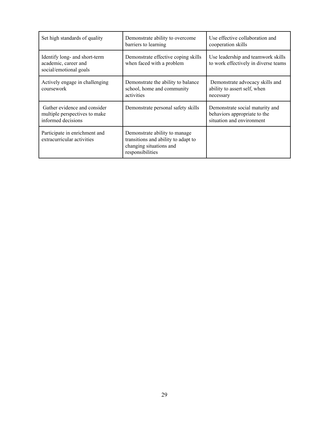| Set high standards of quality                                                       | Demonstrate ability to overcome<br>barriers to learning                                                              | Use effective collaboration and<br>cooperation skills                                        |
|-------------------------------------------------------------------------------------|----------------------------------------------------------------------------------------------------------------------|----------------------------------------------------------------------------------------------|
| Identify long- and short-term<br>academic, career and<br>social/emotional goals     | Demonstrate effective coping skills<br>when faced with a problem                                                     | Use leadership and teamwork skills<br>to work effectively in diverse teams                   |
| Actively engage in challenging<br>coursework                                        | Demonstrate the ability to balance<br>school, home and community<br>activities                                       | Demonstrate advocacy skills and<br>ability to assert self, when<br>necessary                 |
| Gather evidence and consider<br>multiple perspectives to make<br>informed decisions | Demonstrate personal safety skills                                                                                   | Demonstrate social maturity and<br>behaviors appropriate to the<br>situation and environment |
| Participate in enrichment and<br>extracurricular activities                         | Demonstrate ability to manage.<br>transitions and ability to adapt to<br>changing situations and<br>responsibilities |                                                                                              |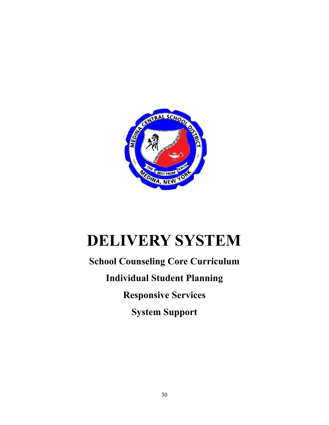

# **DELIVERY SYSTEM**

## **School Counseling Core Curriculum Individual Student Planning Responsive Services System Support**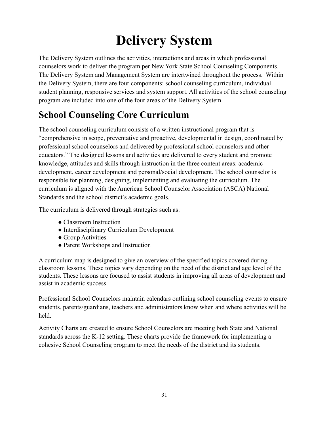# **Delivery System**

The Delivery System outlines the activities, interactions and areas in which professional counselors work to deliver the program per New York State School Counseling Components. The Delivery System and Management System are intertwined throughout the process. Within the Delivery System, there are four components: school counseling curriculum, individual student planning, responsive services and system support. All activities of the school counseling program are included into one of the four areas of the Delivery System.

## **School Counseling Core Curriculum**

The school counseling curriculum consists of a written instructional program that is "comprehensive in scope, preventative and proactive, developmental in design, coordinated by professional school counselors and delivered by professional school counselors and other educators." The designed lessons and activities are delivered to every student and promote knowledge, attitudes and skills through instruction in the three content areas: academic development, career development and personal/social development. The school counselor is responsible for planning, designing, implementing and evaluating the curriculum. The curriculum is aligned with the American School Counselor Association (ASCA) National Standards and the school district's academic goals.

The curriculum is delivered through strategies such as:

- Classroom Instruction
- Interdisciplinary Curriculum Development
- Group Activities
- Parent Workshops and Instruction

A curriculum map is designed to give an overview of the specified topics covered during classroom lessons. These topics vary depending on the need of the district and age level of the students. These lessons are focused to assist students in improving all areas of development and assist in academic success.

Professional School Counselors maintain calendars outlining school counseling events to ensure students, parents/guardians, teachers and administrators know when and where activities will be held.

Activity Charts are created to ensure School Counselors are meeting both State and National standards across the K-12 setting. These charts provide the framework for implementing a cohesive School Counseling program to meet the needs of the district and its students.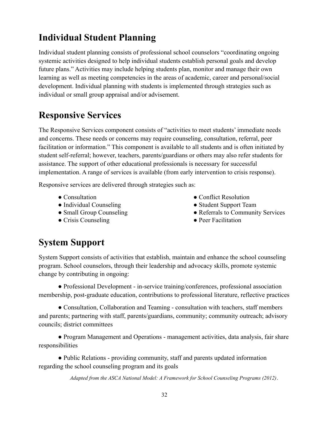## **Individual Student Planning**

Individual student planning consists of professional school counselors "coordinating ongoing systemic activities designed to help individual students establish personal goals and develop future plans." Activities may include helping students plan, monitor and manage their own learning as well as meeting competencies in the areas of academic, career and personal/social development. Individual planning with students is implemented through strategies such as individual or small group appraisal and/or advisement.

## **Responsive Services**

The Responsive Services component consists of "activities to meet students' immediate needs and concerns. These needs or concerns may require counseling, consultation, referral, peer facilitation or information." This component is available to all students and is often initiated by student self-referral; however, teachers, parents/guardians or others may also refer students for assistance. The support of other educational professionals is necessary for successful implementation. A range of services is available (from early intervention to crisis response).

Responsive services are delivered through strategies such as:

- Consultation
- Individual Counseling
- Small Group Counseling
- Crisis Counseling
- Conflict Resolution
- Student Support Team
- Referrals to Community Services
- Peer Facilitation

## **System Support**

System Support consists of activities that establish, maintain and enhance the school counseling program. School counselors, through their leadership and advocacy skills, promote systemic change by contributing in ongoing:

● Professional Development - in-service training/conferences, professional association membership, post-graduate education, contributions to professional literature, reflective practices

● Consultation, Collaboration and Teaming - consultation with teachers, staff members and parents; partnering with staff, parents/guardians, community; community outreach; advisory councils; district committees

• Program Management and Operations - management activities, data analysis, fair share responsibilities

● Public Relations - providing community, staff and parents updated information regarding the school counseling program and its goals

*Adapted from the ASCA National Model: A Framework for School Counseling Programs (2012)*.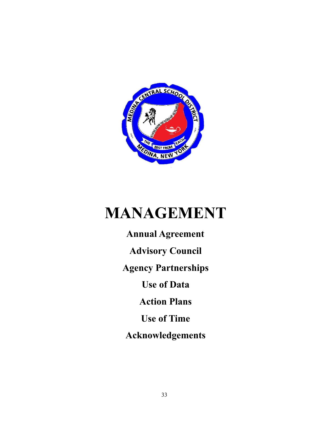

# **MANAGEMENT**

**Annual Agreement Advisory Council Agency Partnerships Use of Data Action Plans Use of Time Acknowledgements**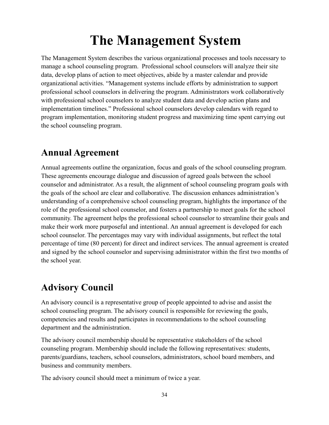## **The Management System**

The Management System describes the various organizational processes and tools necessary to manage a school counseling program. Professional school counselors will analyze their site data, develop plans of action to meet objectives, abide by a master calendar and provide organizational activities. "Management systems include efforts by administration to support professional school counselors in delivering the program. Administrators work collaboratively with professional school counselors to analyze student data and develop action plans and implementation timelines." Professional school counselors develop calendars with regard to program implementation, monitoring student progress and maximizing time spent carrying out the school counseling program.

### **Annual Agreement**

Annual agreements outline the organization, focus and goals of the school counseling program. These agreements encourage dialogue and discussion of agreed goals between the school counselor and administrator. As a result, the alignment of school counseling program goals with the goals of the school are clear and collaborative. The discussion enhances administration's understanding of a comprehensive school counseling program, highlights the importance of the role of the professional school counselor, and fosters a partnership to meet goals for the school community. The agreement helps the professional school counselor to streamline their goals and make their work more purposeful and intentional. An annual agreement is developed for each school counselor. The percentages may vary with individual assignments, but reflect the total percentage of time (80 percent) for direct and indirect services. The annual agreement is created and signed by the school counselor and supervising administrator within the first two months of the school year.

## **Advisory Council**

An advisory council is a representative group of people appointed to advise and assist the school counseling program. The advisory council is responsible for reviewing the goals, competencies and results and participates in recommendations to the school counseling department and the administration.

The advisory council membership should be representative stakeholders of the school counseling program. Membership should include the following representatives: students, parents/guardians, teachers, school counselors, administrators, school board members, and business and community members.

The advisory council should meet a minimum of twice a year.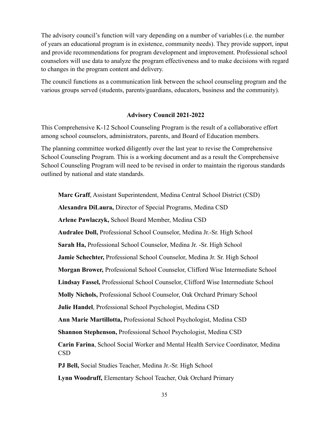The advisory council's function will vary depending on a number of variables (i.e. the number of years an educational program is in existence, community needs). They provide support, input and provide recommendations for program development and improvement. Professional school counselors will use data to analyze the program effectiveness and to make decisions with regard to changes in the program content and delivery.

The council functions as a communication link between the school counseling program and the various groups served (students, parents/guardians, educators, business and the community).

#### **Advisory Council 2021-2022**

This Comprehensive K-12 School Counseling Program is the result of a collaborative effort among school counselors, administrators, parents, and Board of Education members.

The planning committee worked diligently over the last year to revise the Comprehensive School Counseling Program. This is a working document and as a result the Comprehensive School Counseling Program will need to be revised in order to maintain the rigorous standards outlined by national and state standards.

**Marc Graff**, Assistant Superintendent, Medina Central School District (CSD) **Alexandra DiLaura,** Director of Special Programs, Medina CSD **Arlene Pawlaczyk,** School Board Member, Medina CSD **Audralee Doll,** Professional School Counselor, Medina Jr.-Sr. High School **Sarah Ha,** Professional School Counselor, Medina Jr. -Sr. High School **Jamie Schechter,** Professional School Counselor, Medina Jr. Sr. High School **Morgan Brower,** Professional School Counselor, Clifford Wise Intermediate School **Lindsay Fassel,** Professional School Counselor, Clifford Wise Intermediate School **Molly Nichols,** Professional School Counselor, Oak Orchard Primary School **Julie Handel**, Professional School Psychologist, Medina CSD **Ann Marie Martillotta,** Professional School Psychologist, Medina CSD **Shannon Stephenson,** Professional School Psychologist, Medina CSD **Carin Farina**, School Social Worker and Mental Health Service Coordinator, Medina CSD **PJ Bell,** Social Studies Teacher, Medina Jr.-Sr. High School **Lynn Woodruff,** Elementary School Teacher, Oak Orchard Primary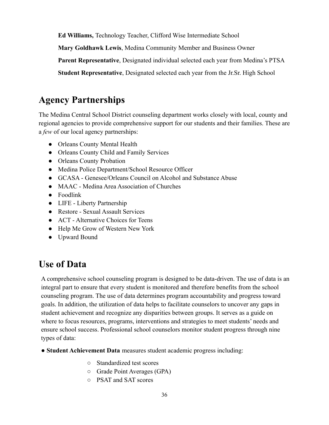**Ed Williams,** Technology Teacher, Clifford Wise Intermediate School

**Mary Goldhawk Lewis**, Medina Community Member and Business Owner

**Parent Representative**, Designated individual selected each year from Medina's PTSA

**Student Representative**, Designated selected each year from the Jr.Sr. High School

## **Agency Partnerships**

The Medina Central School District counseling department works closely with local, county and regional agencies to provide comprehensive support for our students and their families. These are a *few* of our local agency partnerships:

- Orleans County Mental Health
- Orleans County Child and Family Services
- Orleans County Probation
- Medina Police Department/School Resource Officer
- GCASA Genesee/Orleans Council on Alcohol and Substance Abuse
- MAAC Medina Area Association of Churches
- Foodlink
- LIFE Liberty Partnership
- Restore Sexual Assault Services
- ACT Alternative Choices for Teens
- Help Me Grow of Western New York
- Upward Bound

## **Use of Data**

A comprehensive school counseling program is designed to be data-driven. The use of data is an integral part to ensure that every student is monitored and therefore benefits from the school counseling program. The use of data determines program accountability and progress toward goals. In addition, the utilization of data helps to facilitate counselors to uncover any gaps in student achievement and recognize any disparities between groups. It serves as a guide on where to focus resources, programs, interventions and strategies to meet students' needs and ensure school success. Professional school counselors monitor student progress through nine types of data:

- **Student Achievement Data** measures student academic progress including:
	- Standardized test scores
	- Grade Point Averages (GPA)
	- PSAT and SAT scores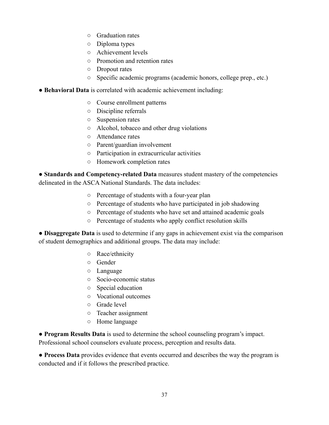- Graduation rates
- Diploma types
- Achievement levels
- Promotion and retention rates
- Dropout rates
- Specific academic programs (academic honors, college prep., etc.)
- **Behavioral Data** is correlated with academic achievement including:
	- Course enrollment patterns
	- Discipline referrals
	- Suspension rates
	- Alcohol, tobacco and other drug violations
	- Attendance rates
	- Parent/guardian involvement
	- Participation in extracurricular activities
	- Homework completion rates

● **Standards and Competency-related Data** measures student mastery of the competencies delineated in the ASCA National Standards. The data includes:

- Percentage of students with a four-year plan
- Percentage of students who have participated in job shadowing
- Percentage of students who have set and attained academic goals
- Percentage of students who apply conflict resolution skills

● **Disaggregate Data** is used to determine if any gaps in achievement exist via the comparison of student demographics and additional groups. The data may include:

- Race/ethnicity
- Gender
- Language
- Socio-economic status
- Special education
- Vocational outcomes
- Grade level
- Teacher assignment
- Home language

● **Program Results Data** is used to determine the school counseling program's impact. Professional school counselors evaluate process, perception and results data.

● **Process Data** provides evidence that events occurred and describes the way the program is conducted and if it follows the prescribed practice.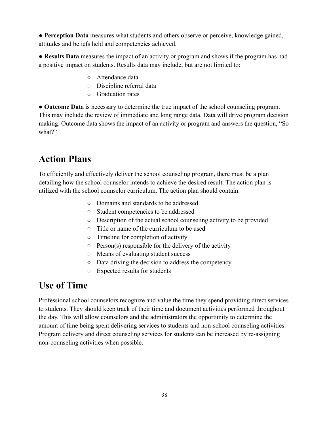● **Perception Data** measures what students and others observe or perceive, knowledge gained, attitudes and beliefs held and competencies achieved.

● **Results Data** measures the impact of an activity or program and shows if the program has had a positive impact on students. Results data may include, but are not limited to:

- Attendance data
- Discipline referral data
- Graduation rates

● **Outcome Dat**a is necessary to determine the true impact of the school counseling program. This may include the review of immediate and long range data. Data will drive program decision making. Outcome data shows the impact of an activity or program and answers the question, "So what?"

## **Action Plans**

To efficiently and effectively deliver the school counseling program, there must be a plan detailing how the school counselor intends to achieve the desired result. The action plan is utilized with the school counselor curriculum. The action plan should contain:

- Domains and standards to be addressed
- Student competencies to be addressed
- Description of the actual school counseling activity to be provided
- Title or name of the curriculum to be used
- Timeline for completion of activity
- $\circ$  Person(s) responsible for the delivery of the activity
- Means of evaluating student success
- Data driving the decision to address the competency
- Expected results for students

## **Use of Time**

Professional school counselors recognize and value the time they spend providing direct services to students. They should keep track of their time and document activities performed throughout the day. This will allow counselors and the administrators the opportunity to determine the amount of time being spent delivering services to students and non-school counseling activities. Program delivery and direct counseling services for students can be increased by re-assigning non-counseling activities when possible.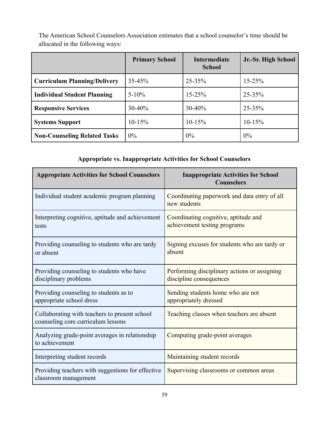|                                     | <b>Primary School</b> | <b>Intermediate</b><br><b>School</b> | Jr.-Sr. High School |  |
|-------------------------------------|-----------------------|--------------------------------------|---------------------|--|
| <b>Curriculum Planning/Delivery</b> | $35 - 45%$            | 25-35%                               | $15 - 25%$          |  |
| <b>Individual Student Planning</b>  | $5 - 10\%$            | $15 - 25%$                           | $25 - 35%$          |  |
| <b>Responsive Services</b>          | $30 - 40%$            | 30-40%                               | $25 - 35%$          |  |
| <b>Systems Support</b>              | $10-15%$              | $10-15%$                             | $10-15%$            |  |
| <b>Non-Counseling Related Tasks</b> | $0\%$                 | 0%                                   | $0\%$               |  |

The American School Counselors Association estimates that a school counselor's time should be allocated in the following ways:

#### **Appropriate vs. Inappropriate Activities for School Counselors**

| <b>Appropriate Activities for School Counselors</b>                                 | <b>Inappropriate Activities for School</b><br><b>Counselors</b>         |
|-------------------------------------------------------------------------------------|-------------------------------------------------------------------------|
| Individual student academic program planning                                        | Coordinating paperwork and data entry of all<br>new students            |
| Interpreting cognitive, aptitude and achievement<br>tests                           | Coordinating cognitive, aptitude and<br>achievement testing programs    |
| Providing counseling to students who are tardy<br>or absent                         | Signing excuses for students who are tardy or<br>absent                 |
| Providing counseling to students who have<br>disciplinary problems                  | Performing disciplinary actions or assigning<br>discipline consequences |
| Providing counseling to students as to<br>appropriate school dress                  | Sending students home who are not<br>appropriately dressed              |
| Collaborating with teachers to present school<br>counseling core curriculum lessons | Teaching classes when teachers are absent                               |
| Analyzing grade-point averages in relationship<br>to achievement                    | Computing grade-point averages                                          |
| Interpreting student records                                                        | Maintaining student records                                             |
| Providing teachers with suggestions for effective<br>classroom management           | Supervising classrooms or common areas                                  |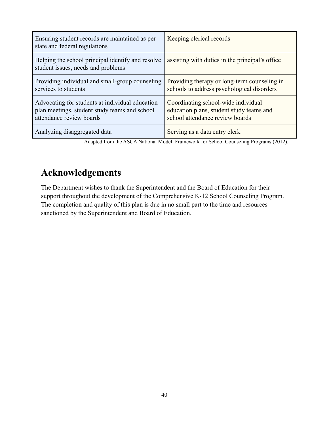| Ensuring student records are maintained as per<br>state and federal regulations                                              | Keeping clerical records                                                                                           |
|------------------------------------------------------------------------------------------------------------------------------|--------------------------------------------------------------------------------------------------------------------|
| Helping the school principal identify and resolve<br>student issues, needs and problems                                      | assisting with duties in the principal's office                                                                    |
| Providing individual and small-group counseling<br>services to students                                                      | Providing therapy or long-term counseling in<br>schools to address psychological disorders                         |
| Advocating for students at individual education<br>plan meetings, student study teams and school<br>attendance review boards | Coordinating school-wide individual<br>education plans, student study teams and<br>school attendance review boards |
| Analyzing disaggregated data                                                                                                 | Serving as a data entry clerk                                                                                      |

Adapted from the ASCA National Model: Framework for School Counseling Programs (2012).

## **Acknowledgements**

The Department wishes to thank the Superintendent and the Board of Education for their support throughout the development of the Comprehensive K-12 School Counseling Program. The completion and quality of this plan is due in no small part to the time and resources sanctioned by the Superintendent and Board of Education.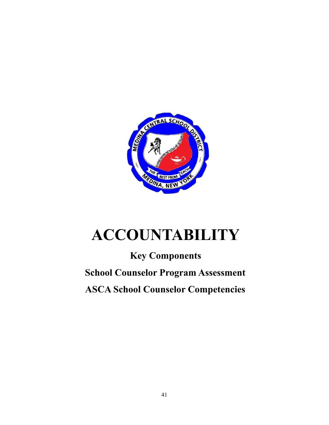

# **ACCOUNTABILITY**

## **Key Components School Counselor Program Assessment ASCA School Counselor Competencies**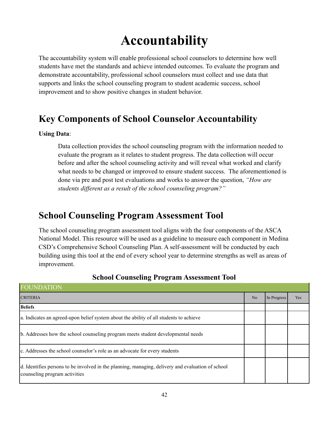## **Accountability**

The accountability system will enable professional school counselors to determine how well students have met the standards and achieve intended outcomes. To evaluate the program and demonstrate accountability, professional school counselors must collect and use data that supports and links the school counseling program to student academic success, school improvement and to show positive changes in student behavior.

## **Key Components of School Counselor Accountability**

#### **Using Data**:

Data collection provides the school counseling program with the information needed to evaluate the program as it relates to student progress. The data collection will occur before and after the school counseling activity and will reveal what worked and clarify what needs to be changed or improved to ensure student success. The aforementioned is done via pre and post test evaluations and works to answer the question, *"How are students different as a result of the school counseling program?"*

### **School Counseling Program Assessment Tool**

The school counseling program assessment tool aligns with the four components of the ASCA National Model. This resource will be used as a guideline to measure each component in Medina CSD's Comprehensive School Counseling Plan. A self-assessment will be conducted by each building using this tool at the end of every school year to determine strengths as well as areas of improvement.

| <b>FOUNDATION</b>                                                                                                                  |    |             |     |
|------------------------------------------------------------------------------------------------------------------------------------|----|-------------|-----|
| <b>CRITERIA</b>                                                                                                                    | No | In Progress | Yes |
| <b>Beliefs</b>                                                                                                                     |    |             |     |
| a. Indicates an agreed-upon belief system about the ability of all students to achieve                                             |    |             |     |
| b. Addresses how the school counseling program meets student developmental needs                                                   |    |             |     |
| c. Addresses the school counselor's role as an advocate for every students                                                         |    |             |     |
| d. Identifies persons to be involved in the planning, managing, delivery and evaluation of school<br>counseling program activities |    |             |     |

#### **School Counseling Program Assessment Tool**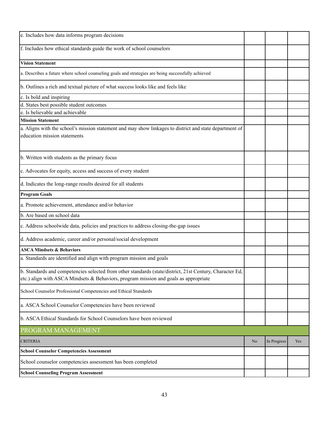| e. Includes how data informs program decisions                                                                                                                                                   |                |             |     |
|--------------------------------------------------------------------------------------------------------------------------------------------------------------------------------------------------|----------------|-------------|-----|
| f. Includes how ethical standards guide the work of school counselors                                                                                                                            |                |             |     |
| <b>Vision Statement</b>                                                                                                                                                                          |                |             |     |
| a. Describes a future where school counseling goals and strategies are being successfully achieved                                                                                               |                |             |     |
| b. Outlines a rich and textual picture of what success looks like and feels like                                                                                                                 |                |             |     |
| c. Is bold and inspiring                                                                                                                                                                         |                |             |     |
| d. States best possible student outcomes                                                                                                                                                         |                |             |     |
| e. Is believable and achievable                                                                                                                                                                  |                |             |     |
| <b>Mission Statement</b>                                                                                                                                                                         |                |             |     |
| a. Aligns with the school's mission statement and may show linkages to district and state department of<br>education mission statements                                                          |                |             |     |
| b. Written with students as the primary focus                                                                                                                                                    |                |             |     |
| c. Advocates for equity, access and success of every student                                                                                                                                     |                |             |     |
| d. Indicates the long-range results desired for all students                                                                                                                                     |                |             |     |
| <b>Program Goals</b>                                                                                                                                                                             |                |             |     |
| a. Promote achievement, attendance and/or behavior                                                                                                                                               |                |             |     |
| b. Are based on school data                                                                                                                                                                      |                |             |     |
| c. Address schoolwide data, policies and practices to address closing-the-gap issues                                                                                                             |                |             |     |
| d. Address academic, career and/or personal/social development                                                                                                                                   |                |             |     |
| <b>ASCA Mindsets &amp; Behaviors</b>                                                                                                                                                             |                |             |     |
| a. Standards are identified and align with program mission and goals                                                                                                                             |                |             |     |
| b. Standards and competencies selected from other standards (state/district, 21st Century, Character Ed,<br>etc.) align with ASCA Mindsets & Behaviors, program mission and goals as appropriate |                |             |     |
| School Counselor Professional Competencies and Ethical Standards                                                                                                                                 |                |             |     |
| a. ASCA School Counselor Competencies have been reviewed                                                                                                                                         |                |             |     |
| b. ASCA Ethical Standards for School Counselors have been reviewed                                                                                                                               |                |             |     |
| PROGRAM MANAGEMENT                                                                                                                                                                               |                |             |     |
| <b>CRITERIA</b>                                                                                                                                                                                  | N <sub>0</sub> | In Progress | Yes |
| <b>School Counselor Competencies Assessment</b>                                                                                                                                                  |                |             |     |
| School counselor competencies assessment has been completed                                                                                                                                      |                |             |     |
| <b>School Counseling Program Assessment</b>                                                                                                                                                      |                |             |     |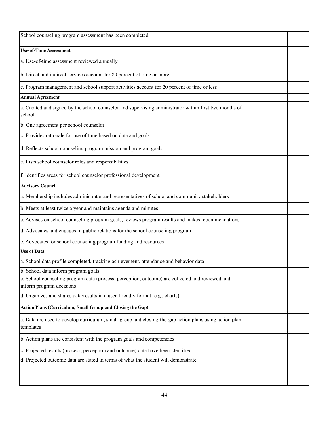| School counseling program assessment has been completed                                                                     |  |  |
|-----------------------------------------------------------------------------------------------------------------------------|--|--|
| <b>Use-of-Time Assessment</b>                                                                                               |  |  |
| a. Use-of-time assessment reviewed annually                                                                                 |  |  |
| b. Direct and indirect services account for 80 percent of time or more                                                      |  |  |
| c. Program management and school support activities account for 20 percent of time or less                                  |  |  |
| <b>Annual Agreement</b>                                                                                                     |  |  |
| a. Created and signed by the school counselor and supervising administrator within first two months of<br>school            |  |  |
| b. One agreement per school counselor                                                                                       |  |  |
| c. Provides rationale for use of time based on data and goals                                                               |  |  |
| d. Reflects school counseling program mission and program goals                                                             |  |  |
| e. Lists school counselor roles and responsibilities                                                                        |  |  |
| f. Identifies areas for school counselor professional development                                                           |  |  |
| <b>Advisory Council</b>                                                                                                     |  |  |
| a. Membership includes administrator and representatives of school and community stakeholders                               |  |  |
| b. Meets at least twice a year and maintains agenda and minutes                                                             |  |  |
| c. Advises on school counseling program goals, reviews program results and makes recommendations                            |  |  |
| d. Advocates and engages in public relations for the school counseling program                                              |  |  |
| e. Advocates for school counseling program funding and resources                                                            |  |  |
| <b>Use of Data</b>                                                                                                          |  |  |
| a. School data profile completed, tracking achievement, attendance and behavior data                                        |  |  |
| b. School data inform program goals                                                                                         |  |  |
| c. School counseling program data (process, perception, outcome) are collected and reviewed and<br>inform program decisions |  |  |
| d. Organizes and shares data/results in a user-friendly format (e.g., charts)                                               |  |  |
| Action Plans (Curriculum, Small Group and Closing the Gap)                                                                  |  |  |
| a. Data are used to develop curriculum, small-group and closing-the-gap action plans using action plan<br>templates         |  |  |
| b. Action plans are consistent with the program goals and competencies                                                      |  |  |
| c. Projected results (process, perception and outcome) data have been identified                                            |  |  |
| d. Projected outcome data are stated in terms of what the student will demonstrate                                          |  |  |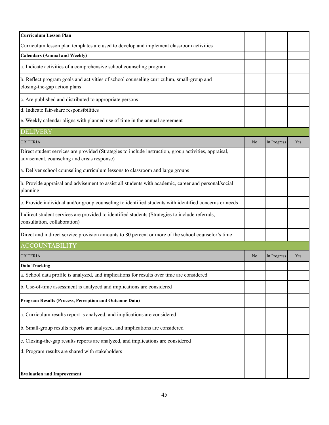| <b>Curriculum Lesson Plan</b>                                                                                                                        |    |             |     |
|------------------------------------------------------------------------------------------------------------------------------------------------------|----|-------------|-----|
| Curriculum lesson plan templates are used to develop and implement classroom activities                                                              |    |             |     |
| <b>Calendars (Annual and Weekly)</b>                                                                                                                 |    |             |     |
| a. Indicate activities of a comprehensive school counseling program                                                                                  |    |             |     |
| b. Reflect program goals and activities of school counseling curriculum, small-group and<br>closing-the-gap action plans                             |    |             |     |
| c. Are published and distributed to appropriate persons                                                                                              |    |             |     |
| d. Indicate fair-share responsibilities                                                                                                              |    |             |     |
| e. Weekly calendar aligns with planned use of time in the annual agreement                                                                           |    |             |     |
| <b>DELIVERY</b>                                                                                                                                      |    |             |     |
| <b>CRITERIA</b>                                                                                                                                      | No | In Progress | Yes |
| Direct student services are provided (Strategies to include instruction, group activities, appraisal,<br>advisement, counseling and crisis response) |    |             |     |
| a. Deliver school counseling curriculum lessons to classroom and large groups                                                                        |    |             |     |
| b. Provide appraisal and advisement to assist all students with academic, career and personal/social<br>planning                                     |    |             |     |
| c. Provide individual and/or group counseling to identified students with identified concerns or needs                                               |    |             |     |
| Indirect student services are provided to identified students (Strategies to include referrals,<br>consultation, collaboration)                      |    |             |     |
| Direct and indirect service provision amounts to 80 percent or more of the school counselor's time                                                   |    |             |     |
| <b>ACCOUNTABILITY</b>                                                                                                                                |    |             |     |
| <b>CRITERIA</b>                                                                                                                                      | No | In Progress | Yes |
| <b>Data Tracking</b>                                                                                                                                 |    |             |     |
| a. School data profile is analyzed, and implications for results over time are considered                                                            |    |             |     |
| b. Use-of-time assessment is analyzed and implications are considered                                                                                |    |             |     |
| Program Results (Process, Perception and Outcome Data)                                                                                               |    |             |     |
| a. Curriculum results report is analyzed, and implications are considered                                                                            |    |             |     |
| b. Small-group results reports are analyzed, and implications are considered                                                                         |    |             |     |
| c. Closing-the-gap results reports are analyzed, and implications are considered                                                                     |    |             |     |
| d. Program results are shared with stakeholders                                                                                                      |    |             |     |
| <b>Evaluation and Improvement</b>                                                                                                                    |    |             |     |
|                                                                                                                                                      |    |             |     |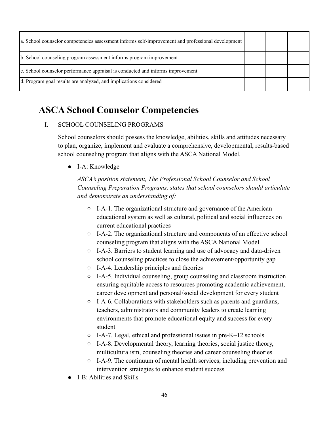| a. School counselor competencies assessment informs self-improvement and professional development |  |  |
|---------------------------------------------------------------------------------------------------|--|--|
| b. School counseling program assessment informs program improvement                               |  |  |
| c. School counselor performance appraisal is conducted and informs improvement                    |  |  |
| d. Program goal results are analyzed, and implications considered                                 |  |  |

## **ASCA School Counselor Competencies**

#### I. SCHOOL COUNSELING PROGRAMS

School counselors should possess the knowledge, abilities, skills and attitudes necessary to plan, organize, implement and evaluate a comprehensive, developmental, results-based school counseling program that aligns with the ASCA National Model.

● I-A: Knowledge

*ASCA's position statement, The Professional School Counselor and School Counseling Preparation Programs, states that school counselors should articulate and demonstrate an understanding of:*

- I-A-1. The organizational structure and governance of the American educational system as well as cultural, political and social influences on current educational practices
- I-A-2. The organizational structure and components of an effective school counseling program that aligns with the ASCA National Model
- I-A-3. Barriers to student learning and use of advocacy and data-driven school counseling practices to close the achievement/opportunity gap
- I-A-4. Leadership principles and theories
- I-A-5. Individual counseling, group counseling and classroom instruction ensuring equitable access to resources promoting academic achievement, career development and personal/social development for every student
- I-A-6. Collaborations with stakeholders such as parents and guardians, teachers, administrators and community leaders to create learning environments that promote educational equity and success for every student
- I-A-7. Legal, ethical and professional issues in pre-K–12 schools
- I-A-8. Developmental theory, learning theories, social justice theory, multiculturalism, counseling theories and career counseling theories
- I-A-9. The continuum of mental health services, including prevention and intervention strategies to enhance student success
- I-B: Abilities and Skills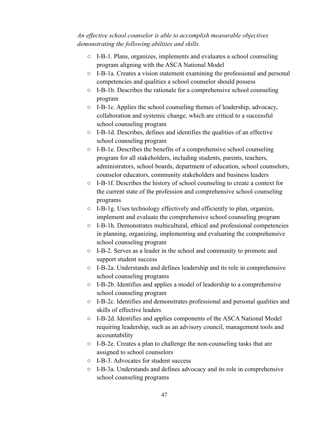*An effective school counselor is able to accomplish measurable objectives demonstrating the following abilities and skills.*

- I-B-1. Plans, organizes, implements and evaluates a school counseling program aligning with the ASCA National Model
- I-B-1a. Creates a vision statement examining the professional and personal competencies and qualities a school counselor should possess
- I-B-1b. Describes the rationale for a comprehensive school counseling program
- I-B-1c. Applies the school counseling themes of leadership, advocacy, collaboration and systemic change, which are critical to a successful school counseling program
- I-B-1d. Describes, defines and identifies the qualities of an effective school counseling program
- I-B-1e. Describes the benefits of a comprehensive school counseling program for all stakeholders, including students, parents, teachers, administrators, school boards, department of education, school counselors, counselor educators, community stakeholders and business leaders
- I-B-1f. Describes the history of school counseling to create a context for the current state of the profession and comprehensive school counseling programs
- I-B-1g. Uses technology effectively and efficiently to plan, organize, implement and evaluate the comprehensive school counseling program
- I-B-1h. Demonstrates multicultural, ethical and professional competencies in planning, organizing, implementing and evaluating the comprehensive school counseling program
- I-B-2. Serves as a leader in the school and community to promote and support student success
- I-B-2a. Understands and defines leadership and its role in comprehensive school counseling programs
- I-B-2b. Identifies and applies a model of leadership to a comprehensive school counseling program
- I-B-2c. Identifies and demonstrates professional and personal qualities and skills of effective leaders
- I-B-2d. Identifies and applies components of the ASCA National Model requiring leadership, such as an advisory council, management tools and accountability
- I-B-2e. Creates a plan to challenge the non-counseling tasks that are assigned to school counselors
- I-B-3. Advocates for student success
- I-B-3a. Understands and defines advocacy and its role in comprehensive school counseling programs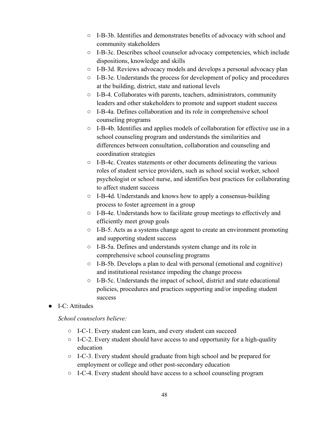- I-B-3b. Identifies and demonstrates benefits of advocacy with school and community stakeholders
- $\circ$  I-B-3c. Describes school counselor advocacy competencies, which include dispositions, knowledge and skills
- I-B-3d. Reviews advocacy models and develops a personal advocacy plan
- $\circ$  I-B-3e. Understands the process for development of policy and procedures at the building, district, state and national levels
- I-B-4. Collaborates with parents, teachers, administrators, community leaders and other stakeholders to promote and support student success
- I-B-4a. Defines collaboration and its role in comprehensive school counseling programs
- I-B-4b. Identifies and applies models of collaboration for effective use in a school counseling program and understands the similarities and differences between consultation, collaboration and counseling and coordination strategies
- I-B-4c. Creates statements or other documents delineating the various roles of student service providers, such as school social worker, school psychologist or school nurse, and identifies best practices for collaborating to affect student success
- I-B-4d. Understands and knows how to apply a consensus-building process to foster agreement in a group
- I-B-4e. Understands how to facilitate group meetings to effectively and efficiently meet group goals
- I-B-5. Acts as a systems change agent to create an environment promoting and supporting student success
- I-B-5a. Defines and understands system change and its role in comprehensive school counseling programs
- I-B-5b. Develops a plan to deal with personal (emotional and cognitive) and institutional resistance impeding the change process
- I-B-5c. Understands the impact of school, district and state educational policies, procedures and practices supporting and/or impeding student success
- **I-C**: Attitudes

*School counselors believe:*

- I-C-1. Every student can learn, and every student can succeed
- I-C-2. Every student should have access to and opportunity for a high-quality education
- I-C-3. Every student should graduate from high school and be prepared for employment or college and other post-secondary education
- I-C-4. Every student should have access to a school counseling program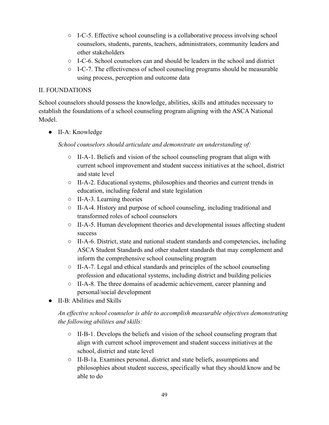- I-C-5. Effective school counseling is a collaborative process involving school counselors, students, parents, teachers, administrators, community leaders and other stakeholders
- $\circ$  I-C-6. School counselors can and should be leaders in the school and district
- $\circ$  I-C-7. The effectiveness of school counseling programs should be measurable using process, perception and outcome data

#### II. FOUNDATIONS

School counselors should possess the knowledge, abilities, skills and attitudes necessary to establish the foundations of a school counseling program aligning with the ASCA National Model.

● II-A: Knowledge

*School counselors should articulate and demonstrate an understanding of:*

- $\circ$  II-A-1. Beliefs and vision of the school counseling program that align with current school improvement and student success initiatives at the school, district and state level
- II-A-2. Educational systems, philosophies and theories and current trends in education, including federal and state legislation
- II-A-3. Learning theories
- II-A-4. History and purpose of school counseling, including traditional and transformed roles of school counselors
- II-A-5. Human development theories and developmental issues affecting student success
- II-A-6. District, state and national student standards and competencies, including ASCA Student Standards and other student standards that may complement and inform the comprehensive school counseling program
- $\circ$  II-A-7. Legal and ethical standards and principles of the school counseling profession and educational systems, including district and building policies
- II-A-8. The three domains of academic achievement, career planning and personal/social development
- II-B: Abilities and Skills

#### *An effective school counselor is able to accomplish measurable objectives demonstrating the following abilities and skills:*

- $\circ$  II-B-1. Develops the beliefs and vision of the school counseling program that align with current school improvement and student success initiatives at the school, district and state level
- II-B-1a. Examines personal, district and state beliefs, assumptions and philosophies about student success, specifically what they should know and be able to do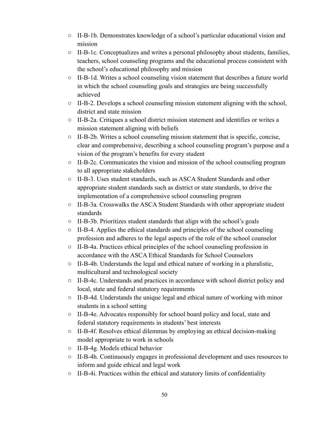- II-B-1b. Demonstrates knowledge of a school's particular educational vision and mission
- $\circ$  II-B-1c. Conceptualizes and writes a personal philosophy about students, families, teachers, school counseling programs and the educational process consistent with the school's educational philosophy and mission
- II-B-1d. Writes a school counseling vision statement that describes a future world in which the school counseling goals and strategies are being successfully achieved
- II-B-2. Develops a school counseling mission statement aligning with the school, district and state mission
- $\circ$  II-B-2a. Critiques a school district mission statement and identifies or writes a mission statement aligning with beliefs
- II-B-2b. Writes a school counseling mission statement that is specific, concise, clear and comprehensive, describing a school counseling program's purpose and a vision of the program's benefits for every student
- II-B-2c. Communicates the vision and mission of the school counseling program to all appropriate stakeholders
- II-B-3. Uses student standards, such as ASCA Student Standards and other appropriate student standards such as district or state standards, to drive the implementation of a comprehensive school counseling program
- II-B-3a. Crosswalks the ASCA Student Standards with other appropriate student standards
- II-B-3b. Prioritizes student standards that align with the school's goals
- $\circ$  II-B-4. Applies the ethical standards and principles of the school counseling profession and adheres to the legal aspects of the role of the school counselor
- II-B-4a. Practices ethical principles of the school counseling profession in accordance with the ASCA Ethical Standards for School Counselors
- II-B-4b. Understands the legal and ethical nature of working in a pluralistic, multicultural and technological society
- II-B-4c. Understands and practices in accordance with school district policy and local, state and federal statutory requirements
- $\circ$  II-B-4d. Understands the unique legal and ethical nature of working with minor students in a school setting
- II-B-4e. Advocates responsibly for school board policy and local, state and federal statutory requirements in students' best interests
- II-B-4f. Resolves ethical dilemmas by employing an ethical decision-making model appropriate to work in schools
- II-B-4g. Models ethical behavior
- II-B-4h. Continuously engages in professional development and uses resources to inform and guide ethical and legal work
- II-B-4i. Practices within the ethical and statutory limits of confidentiality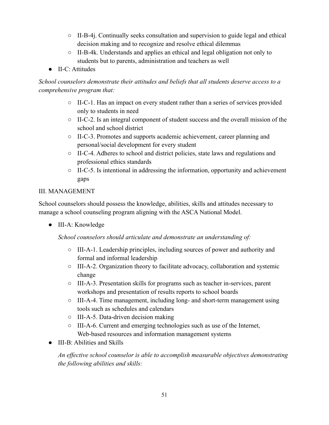- II-B-4j. Continually seeks consultation and supervision to guide legal and ethical decision making and to recognize and resolve ethical dilemmas
- $\circ$  II-B-4k. Understands and applies an ethical and legal obligation not only to students but to parents, administration and teachers as well
- II-C: Attitudes

*School counselors demonstrate their attitudes and beliefs that all students deserve access to a comprehensive program that:*

- II-C-1. Has an impact on every student rather than a series of services provided only to students in need
- II-C-2. Is an integral component of student success and the overall mission of the school and school district
- II-C-3. Promotes and supports academic achievement, career planning and personal/social development for every student
- II-C-4. Adheres to school and district policies, state laws and regulations and professional ethics standards
- $\circ$  II-C-5. Is intentional in addressing the information, opportunity and achievement gaps

#### III. MANAGEMENT

School counselors should possess the knowledge, abilities, skills and attitudes necessary to manage a school counseling program aligning with the ASCA National Model.

● III-A: Knowledge

*School counselors should articulate and demonstrate an understanding of:*

- III-A-1. Leadership principles, including sources of power and authority and formal and informal leadership
- III-A-2. Organization theory to facilitate advocacy, collaboration and systemic change
- III-A-3. Presentation skills for programs such as teacher in-services, parent workshops and presentation of results reports to school boards
- III-A-4. Time management, including long- and short-term management using tools such as schedules and calendars
- III-A-5. Data-driven decision making
- III-A-6. Current and emerging technologies such as use of the Internet, Web-based resources and information management systems
- III-B: Abilities and Skills

*An effective school counselor is able to accomplish measurable objectives demonstrating the following abilities and skills:*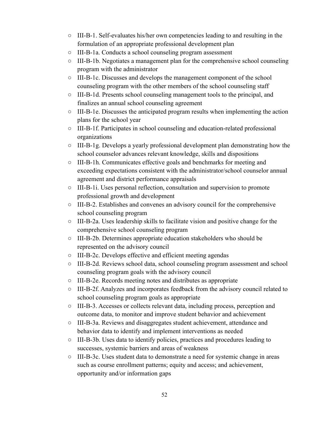- III-B-1. Self-evaluates his/her own competencies leading to and resulting in the formulation of an appropriate professional development plan
- III-B-1a. Conducts a school counseling program assessment
- $\circ$  III-B-1b. Negotiates a management plan for the comprehensive school counseling program with the administrator
- III-B-1c. Discusses and develops the management component of the school counseling program with the other members of the school counseling staff
- III-B-1d. Presents school counseling management tools to the principal, and finalizes an annual school counseling agreement
- III-B-1e. Discusses the anticipated program results when implementing the action plans for the school year
- III-B-1f. Participates in school counseling and education-related professional organizations
- III-B-1g. Develops a yearly professional development plan demonstrating how the school counselor advances relevant knowledge, skills and dispositions
- III-B-1h. Communicates effective goals and benchmarks for meeting and exceeding expectations consistent with the administrator/school counselor annual agreement and district performance appraisals
- III-B-1i. Uses personal reflection, consultation and supervision to promote professional growth and development
- III-B-2. Establishes and convenes an advisory council for the comprehensive school counseling program
- III-B-2a. Uses leadership skills to facilitate vision and positive change for the comprehensive school counseling program
- III-B-2b. Determines appropriate education stakeholders who should be represented on the advisory council
- III-B-2c. Develops effective and efficient meeting agendas
- III-B-2d. Reviews school data, school counseling program assessment and school counseling program goals with the advisory council
- III-B-2e. Records meeting notes and distributes as appropriate
- III-B-2f. Analyzes and incorporates feedback from the advisory council related to school counseling program goals as appropriate
- III-B-3. Accesses or collects relevant data, including process, perception and outcome data, to monitor and improve student behavior and achievement
- III-B-3a. Reviews and disaggregates student achievement, attendance and behavior data to identify and implement interventions as needed
- III-B-3b. Uses data to identify policies, practices and procedures leading to successes, systemic barriers and areas of weakness
- III-B-3c. Uses student data to demonstrate a need for systemic change in areas such as course enrollment patterns; equity and access; and achievement, opportunity and/or information gaps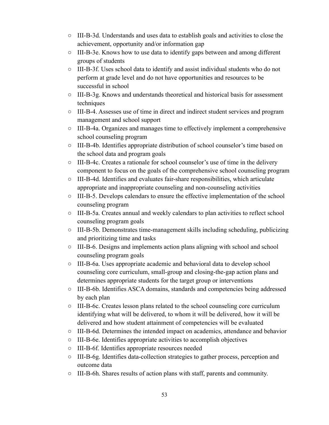- III-B-3d. Understands and uses data to establish goals and activities to close the achievement, opportunity and/or information gap
- III-B-3e. Knows how to use data to identify gaps between and among different groups of students
- III-B-3f. Uses school data to identify and assist individual students who do not perform at grade level and do not have opportunities and resources to be successful in school
- III-B-3g. Knows and understands theoretical and historical basis for assessment techniques
- III-B-4. Assesses use of time in direct and indirect student services and program management and school support
- III-B-4a. Organizes and manages time to effectively implement a comprehensive school counseling program
- III-B-4b. Identifies appropriate distribution of school counselor's time based on the school data and program goals
- III-B-4c. Creates a rationale for school counselor's use of time in the delivery component to focus on the goals of the comprehensive school counseling program
- III-B-4d. Identifies and evaluates fair-share responsibilities, which articulate appropriate and inappropriate counseling and non-counseling activities
- III-B-5. Develops calendars to ensure the effective implementation of the school counseling program
- III-B-5a. Creates annual and weekly calendars to plan activities to reflect school counseling program goals
- III-B-5b. Demonstrates time-management skills including scheduling, publicizing and prioritizing time and tasks
- III-B-6. Designs and implements action plans aligning with school and school counseling program goals
- III-B-6a. Uses appropriate academic and behavioral data to develop school counseling core curriculum, small-group and closing-the-gap action plans and determines appropriate students for the target group or interventions
- III-B-6b. Identifies ASCA domains, standards and competencies being addressed by each plan
- III-B-6c. Creates lesson plans related to the school counseling core curriculum identifying what will be delivered, to whom it will be delivered, how it will be delivered and how student attainment of competencies will be evaluated
- III-B-6d. Determines the intended impact on academics, attendance and behavior
- III-B-6e. Identifies appropriate activities to accomplish objectives
- III-B-6f. Identifies appropriate resources needed
- III-B-6g. Identifies data-collection strategies to gather process, perception and outcome data
- III-B-6h. Shares results of action plans with staff, parents and community.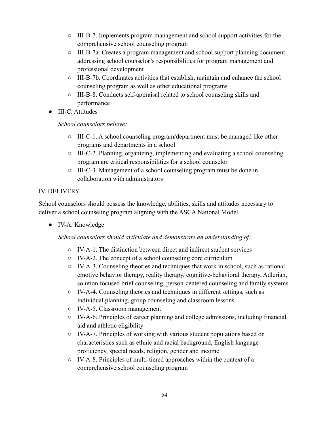- III-B-7. Implements program management and school support activities for the comprehensive school counseling program
- III-B-7a. Creates a program management and school support planning document addressing school counselor's responsibilities for program management and professional development
- III-B-7b. Coordinates activities that establish, maintain and enhance the school counseling program as well as other educational programs
- III-B-8. Conducts self-appraisal related to school counseling skills and performance
- III-C: Attitudes

*School counselors believe:*

- $\circ$  III-C-1. A school counseling program/department must be managed like other programs and departments in a school
- III-C-2. Planning, organizing, implementing and evaluating a school counseling program are critical responsibilities for a school counselor
- III-C-3. Management of a school counseling program must be done in collaboration with administrators

#### IV. DELIVERY

School counselors should possess the knowledge, abilities, skills and attitudes necessary to deliver a school counseling program aligning with the ASCA National Model.

● IV-A: Knowledge

#### *School counselors should articulate and demonstrate an understanding of:*

- IV-A-1. The distinction between direct and indirect student services
- IV-A-2. The concept of a school counseling core curriculum
- IV-A-3. Counseling theories and techniques that work in school, such as rational emotive behavior therapy, reality therapy, cognitive-behavioral therapy, Adlerian, solution focused brief counseling, person-centered counseling and family systems
- IV-A-4. Counseling theories and techniques in different settings, such as individual planning, group counseling and classroom lessons
- IV-A-5. Classroom management
- $\circ$  IV-A-6. Principles of career planning and college admissions, including financial aid and athletic eligibility
- IV-A-7. Principles of working with various student populations based on characteristics such as ethnic and racial background, English language proficiency, special needs, religion, gender and income
- IV-A-8. Principles of multi-tiered approaches within the context of a comprehensive school counseling program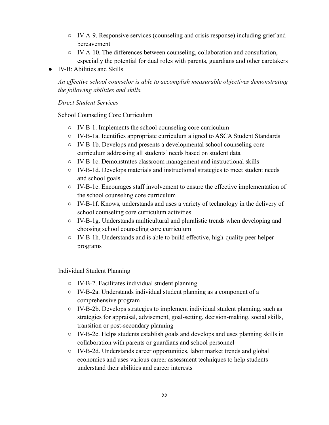- IV-A-9. Responsive services (counseling and crisis response) including grief and bereavement
- IV-A-10. The differences between counseling, collaboration and consultation, especially the potential for dual roles with parents, guardians and other caretakers
- IV-B: Abilities and Skills

*An effective school counselor is able to accomplish measurable objectives demonstrating the following abilities and skills.*

*Direct Student Services*

School Counseling Core Curriculum

- IV-B-1. Implements the school counseling core curriculum
- IV-B-1a. Identifies appropriate curriculum aligned to ASCA Student Standards
- IV-B-1b. Develops and presents a developmental school counseling core curriculum addressing all students' needs based on student data
- IV-B-1c. Demonstrates classroom management and instructional skills
- IV-B-1d. Develops materials and instructional strategies to meet student needs and school goals
- IV-B-1e. Encourages staff involvement to ensure the effective implementation of the school counseling core curriculum
- IV-B-1f. Knows, understands and uses a variety of technology in the delivery of school counseling core curriculum activities
- IV-B-1g. Understands multicultural and pluralistic trends when developing and choosing school counseling core curriculum
- $\circ$  IV-B-1h. Understands and is able to build effective, high-quality peer helper programs

Individual Student Planning

- IV-B-2. Facilitates individual student planning
- IV-B-2a. Understands individual student planning as a component of a comprehensive program
- $\circ$  IV-B-2b. Develops strategies to implement individual student planning, such as strategies for appraisal, advisement, goal-setting, decision-making, social skills, transition or post-secondary planning
- IV-B-2c. Helps students establish goals and develops and uses planning skills in collaboration with parents or guardians and school personnel
- IV-B-2d. Understands career opportunities, labor market trends and global economics and uses various career assessment techniques to help students understand their abilities and career interests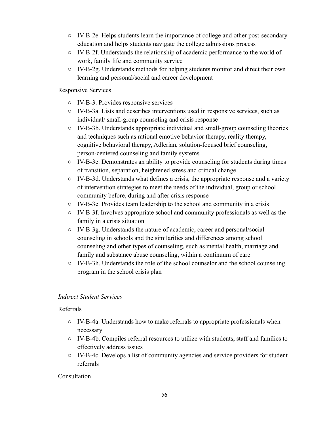- IV-B-2e. Helps students learn the importance of college and other post-secondary education and helps students navigate the college admissions process
- IV-B-2f. Understands the relationship of academic performance to the world of work, family life and community service
- $\circ$  IV-B-2g. Understands methods for helping students monitor and direct their own learning and personal/social and career development

#### Responsive Services

- IV-B-3. Provides responsive services
- IV-B-3a. Lists and describes interventions used in responsive services, such as individual/ small-group counseling and crisis response
- $\circ$  IV-B-3b. Understands appropriate individual and small-group counseling theories and techniques such as rational emotive behavior therapy, reality therapy, cognitive behavioral therapy, Adlerian, solution-focused brief counseling, person-centered counseling and family systems
- IV-B-3c. Demonstrates an ability to provide counseling for students during times of transition, separation, heightened stress and critical change
- $\circ$  IV-B-3d. Understands what defines a crisis, the appropriate response and a variety of intervention strategies to meet the needs of the individual, group or school community before, during and after crisis response
- IV-B-3e. Provides team leadership to the school and community in a crisis
- IV-B-3f. Involves appropriate school and community professionals as well as the family in a crisis situation
- IV-B-3g. Understands the nature of academic, career and personal/social counseling in schools and the similarities and differences among school counseling and other types of counseling, such as mental health, marriage and family and substance abuse counseling, within a continuum of care
- IV-B-3h. Understands the role of the school counselor and the school counseling program in the school crisis plan

#### *Indirect Student Services*

#### Referrals

- IV-B-4a. Understands how to make referrals to appropriate professionals when necessary
- IV-B-4b. Compiles referral resources to utilize with students, staff and families to effectively address issues
- IV-B-4c. Develops a list of community agencies and service providers for student referrals

#### **Consultation**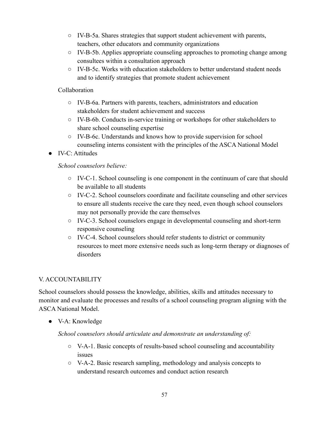- IV-B-5a. Shares strategies that support student achievement with parents, teachers, other educators and community organizations
- $\circ$  IV-B-5b. Applies appropriate counseling approaches to promoting change among consultees within a consultation approach
- IV-B-5c. Works with education stakeholders to better understand student needs and to identify strategies that promote student achievement

#### Collaboration

- IV-B-6a. Partners with parents, teachers, administrators and education stakeholders for student achievement and success
- IV-B-6b. Conducts in-service training or workshops for other stakeholders to share school counseling expertise
- IV-B-6c. Understands and knows how to provide supervision for school counseling interns consistent with the principles of the ASCA National Model
- IV-C: Attitudes

#### *School counselors believe:*

- $\circ$  IV-C-1. School counseling is one component in the continuum of care that should be available to all students
- IV-C-2. School counselors coordinate and facilitate counseling and other services to ensure all students receive the care they need, even though school counselors may not personally provide the care themselves
- IV-C-3. School counselors engage in developmental counseling and short-term responsive counseling
- IV-C-4. School counselors should refer students to district or community resources to meet more extensive needs such as long-term therapy or diagnoses of disorders

#### V. ACCOUNTABILITY

School counselors should possess the knowledge, abilities, skills and attitudes necessary to monitor and evaluate the processes and results of a school counseling program aligning with the ASCA National Model.

● V-A: Knowledge

#### *School counselors should articulate and demonstrate an understanding of:*

- $\circ$  V-A-1. Basic concepts of results-based school counseling and accountability issues
- V-A-2. Basic research sampling, methodology and analysis concepts to understand research outcomes and conduct action research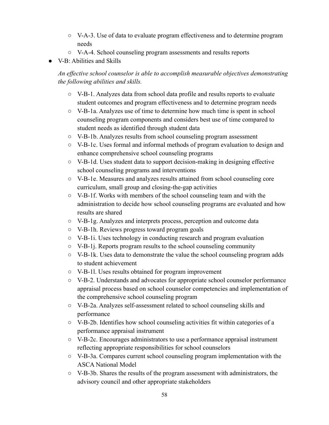- V-A-3. Use of data to evaluate program effectiveness and to determine program needs
- V-A-4. School counseling program assessments and results reports
- V-B: Abilities and Skills

*An effective school counselor is able to accomplish measurable objectives demonstrating the following abilities and skills.*

- V-B-1. Analyzes data from school data profile and results reports to evaluate student outcomes and program effectiveness and to determine program needs
- $\circ$  V-B-1a. Analyzes use of time to determine how much time is spent in school counseling program components and considers best use of time compared to student needs as identified through student data
- V-B-1b. Analyzes results from school counseling program assessment
- V-B-1c. Uses formal and informal methods of program evaluation to design and enhance comprehensive school counseling programs
- V-B-1d. Uses student data to support decision-making in designing effective school counseling programs and interventions
- V-B-1e. Measures and analyzes results attained from school counseling core curriculum, small group and closing-the-gap activities
- V-B-1f. Works with members of the school counseling team and with the administration to decide how school counseling programs are evaluated and how results are shared
- V-B-1g. Analyzes and interprets process, perception and outcome data
- V-B-1h. Reviews progress toward program goals
- V-B-1i. Uses technology in conducting research and program evaluation
- V-B-1j. Reports program results to the school counseling community
- V-B-1k. Uses data to demonstrate the value the school counseling program adds to student achievement
- V-B-1l. Uses results obtained for program improvement
- V-B-2. Understands and advocates for appropriate school counselor performance appraisal process based on school counselor competencies and implementation of the comprehensive school counseling program
- V-B-2a. Analyzes self-assessment related to school counseling skills and performance
- V-B-2b. Identifies how school counseling activities fit within categories of a performance appraisal instrument
- V-B-2c. Encourages administrators to use a performance appraisal instrument reflecting appropriate responsibilities for school counselors
- V-B-3a. Compares current school counseling program implementation with the ASCA National Model
- V-B-3b. Shares the results of the program assessment with administrators, the advisory council and other appropriate stakeholders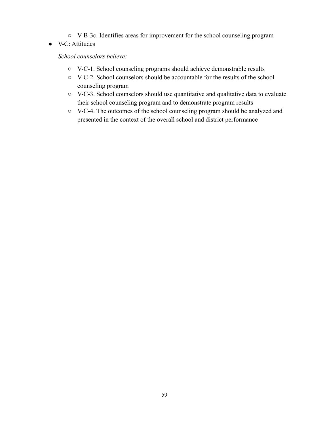- V-B-3c. Identifies areas for improvement for the school counseling program
- V-C: Attitudes

*School counselors believe:*

- V-C-1. School counseling programs should achieve demonstrable results
- V-C-2. School counselors should be accountable for the results of the school counseling program
- V-C-3. School counselors should use quantitative and qualitative data to evaluate their school counseling program and to demonstrate program results
- V-C-4. The outcomes of the school counseling program should be analyzed and presented in the context of the overall school and district performance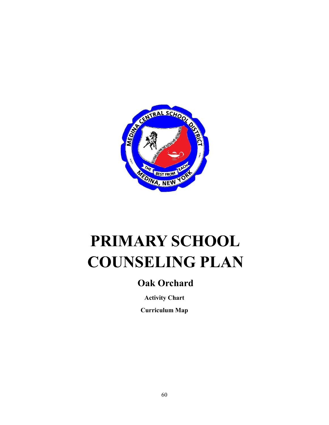

# **PRIMARY SCHOOL COUNSELING PLAN**

## **Oak Orchard**

**Activity Chart**

**Curriculum Map**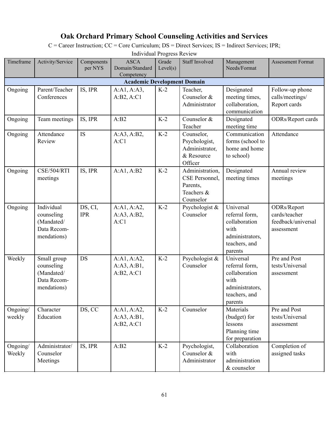### **Oak Orchard Primary School Counseling Activities and Services**

C = Career Instruction; CC = Core Curriculum; DS = Direct Services; IS = Indirect Services; IPR;

| Timeframe          | Activity/Service                                                      | Components<br>per NYS | <b>ASCA</b><br>Domain/Standard<br>Competency | Grade<br>Level(s) | <b>Staff Involved</b>                                                    | Management<br>Needs/Format                                                                          | <b>Assessment Format</b>                                         |
|--------------------|-----------------------------------------------------------------------|-----------------------|----------------------------------------------|-------------------|--------------------------------------------------------------------------|-----------------------------------------------------------------------------------------------------|------------------------------------------------------------------|
|                    |                                                                       |                       | <b>Academic Development Domain</b>           |                   |                                                                          |                                                                                                     |                                                                  |
| Ongoing            | Parent/Teacher<br>Conferences                                         | IS, IPR               | A:A1, A:A3,<br>A:B2, A:C1                    | $K-2$             | Teacher,<br>Counselor &<br>Administrator                                 | Designated<br>meeting times,<br>collaboration,<br>communication                                     | Follow-up phone<br>calls/meetings/<br>Report cards               |
| Ongoing            | Team meetings                                                         | IS, IPR               | A:B2                                         | $K-2$             | Counselor &<br>Teacher                                                   | Designated<br>meeting time                                                                          | <b>ODRs/Report cards</b>                                         |
| Ongoing            | Attendance<br>Review                                                  | IS                    | A:A3, A:B2,<br>A:Cl                          | $K-2$             | Counselor,<br>Psychologist,<br>Administrator,<br>& Resource<br>Officer   | Communication<br>forms (school to<br>home and home<br>to school)                                    | Attendance                                                       |
| Ongoing            | CSE/504/RTI<br>meetings                                               | IS, IPR               | A:A1, A:B2                                   | $K-2$             | Administration,<br>CSE Personnel,<br>Parents,<br>Teachers &<br>Counselor | Designated<br>meeting times                                                                         | Annual review<br>meetings                                        |
| Ongoing            | Individual<br>counseling<br>(Mandated/<br>Data Recom-<br>mendations)  | DS, CI,<br><b>IPR</b> | A:A1, A:A2,<br>A:A3, A:B2,<br>A:Cl           | $K-2$             | Psychologist &<br>Counselor                                              | Universal<br>referral form,<br>collaboration<br>with<br>administrators,<br>teachers, and<br>parents | ODRs/Report<br>cards/teacher<br>feedback/universal<br>assessment |
| Weekly             | Small group<br>counseling<br>(Mandated/<br>Data Recom-<br>mendations) | DS                    | A:A1, A:A2,<br>A:A3, A:B1,<br>A:B2, A:C1     | $K-2$             | Psychologist &<br>Counselor                                              | Universal<br>referral form,<br>collaboration<br>with<br>administrators,<br>teachers, and<br>parents | Pre and Post<br>tests/Universal<br>assessment                    |
| Ongoing/<br>weekly | Character<br>Education                                                | DS, CC                | A:A1, A:A2,<br>A:A3, A:B1,<br>A:B2, A:C1     | $K-2$             | Counselor                                                                | Materials<br>(budget) for<br>lessons<br>Planning time<br>for preparation                            | Pre and Post<br>tests/Universal<br>assessment                    |
| Ongoing/<br>Weekly | Administrator/<br>Counselor<br>Meetings                               | IS, IPR               | A:B2                                         | $K-2$             | Psychologist,<br>Counselor &<br>Administrator                            | Collaboration<br>with<br>administration<br>& counselor                                              | Completion of<br>assigned tasks                                  |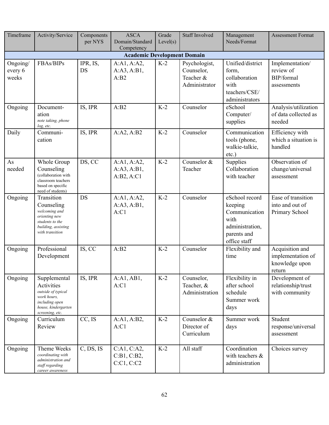| Timeframe                          | Activity/Service                                                                                                            | Components<br>per NYS | <b>ASCA</b><br>Domain/Standard<br>Competency | Grade<br>Level(s) | <b>Staff Involved</b>                                     | Management<br>Needs/Format                                                                           | <b>Assessment Format</b>                                         |  |  |
|------------------------------------|-----------------------------------------------------------------------------------------------------------------------------|-----------------------|----------------------------------------------|-------------------|-----------------------------------------------------------|------------------------------------------------------------------------------------------------------|------------------------------------------------------------------|--|--|
| <b>Academic Development Domain</b> |                                                                                                                             |                       |                                              |                   |                                                           |                                                                                                      |                                                                  |  |  |
| Ongoing/<br>every 6<br>weeks       | FBAs/BIPs                                                                                                                   | IPR, IS,<br>DS        | A:A1, A:A2,<br>A:A3, A:B1,<br>A:B2           | $K-2$             | Psychologist,<br>Counselor,<br>Teacher &<br>Administrator | Unified/district<br>form,<br>collaboration<br>with<br>teachers/CSE/<br>administrators                | Implementation/<br>review of<br>BIP/formal<br>assessments        |  |  |
| Ongoing                            | Document-<br>ation<br>note taking, phone<br>log, etc.                                                                       | IS, IPR               | A:B2                                         | $K-2$             | Counselor                                                 | eSchool<br>Computer/<br>supplies                                                                     | Analysis/utilization<br>of data collected as<br>needed           |  |  |
| Daily                              | Communi-<br>cation                                                                                                          | IS, IPR               | A:A2, A:B2                                   | $K-2$             | Counselor                                                 | Communication<br>tools (phone,<br>walkie-talkie,<br>$etc.$ )                                         | Efficiency with<br>which a situation is<br>handled               |  |  |
| As<br>needed                       | Whole Group<br>Counseling<br>(collaboration with<br>classroom teachers<br>based on specific<br>need of students)            | DS, CC                | A:A1, A:A2,<br>A:A3, A:B1,<br>A:B2, A:C1     | $K-2$             | Counselor &<br>Teacher                                    | Supplies<br>Collaboration<br>with teacher                                                            | Observation of<br>change/universal<br>assessment                 |  |  |
| Ongoing                            | Transition<br>Counseling<br>welcoming and<br>orienting new<br>students to the<br>building, assisting<br>with transition     | DS                    | A:A1, A:A2,<br>A:A3, A:B1,<br>A:Cl           | $K-2$             | Counselor                                                 | eSchool record<br>keeping<br>Communication<br>with<br>administration,<br>parents and<br>office staff | Ease of transition<br>into and out of<br>Primary School          |  |  |
| Ongoing                            | Professional<br>Development                                                                                                 | IS, CC                | A:B2                                         | $K-2$             | Counselor                                                 | Flexibility and<br>time                                                                              | Acquisition and<br>implementation of<br>knowledge upon<br>return |  |  |
| Ongoing                            | Supplemental<br>Activities<br>outside of typical<br>work hours,<br>including open<br>house, kindergarten<br>screening, etc. | IS, IPR               | A:A1,AB1,<br>A:Cl                            | $K-2$             | Counselor,<br>Teacher, &<br>Administration                | Flexibility in<br>after school<br>schedule<br>Summer work<br>days                                    | Development of<br>relationship/trust<br>with community           |  |  |
| Ongoing                            | Curriculum<br>Review                                                                                                        | CC, IS                | A:A1, A:B2,<br>A:Cl                          | $K-2$             | Counselor &<br>Director of<br>Curriculum                  | Summer work<br>days                                                                                  | Student<br>response/universal<br>assessment                      |  |  |
| Ongoing                            | Theme Weeks<br>coordinating with<br>administration and<br>staff regarding<br>career awareness                               | C, DS, IS             | C:A1, C:A2,<br>C:B1, C:B2,<br>C:Cl, C:Cl     | $K-2$             | All staff                                                 | Coordination<br>with teachers &<br>administration                                                    | Choices survey                                                   |  |  |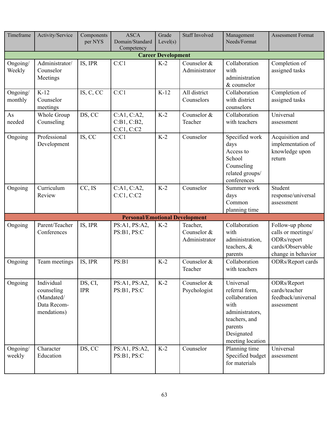| Timeframe                 | Activity/Service                                                     | Components<br>per NYS | <b>ASCA</b><br>Domain/Standard<br>Competency | Grade<br>Level(s) | <b>Staff Involved</b>                    | Management<br>Needs/Format                                                                                                            | <b>Assessment Format</b>                                                                       |  |  |  |
|---------------------------|----------------------------------------------------------------------|-----------------------|----------------------------------------------|-------------------|------------------------------------------|---------------------------------------------------------------------------------------------------------------------------------------|------------------------------------------------------------------------------------------------|--|--|--|
| <b>Career Development</b> |                                                                      |                       |                                              |                   |                                          |                                                                                                                                       |                                                                                                |  |  |  |
| Ongoing/<br>Weekly        | Administrator/<br>Counselor<br>Meetings                              | IS, IPR               | C:Cl                                         | $K-2$             | Counselor &<br>Administrator             | Collaboration<br>with<br>administration<br>& counselor                                                                                | Completion of<br>assigned tasks                                                                |  |  |  |
| Ongoing/<br>monthly       | $K-12$<br>Counselor<br>meetings                                      | IS, C, CC             | C:Cl                                         | $K-12$            | All district<br>Counselors               | Collaboration<br>with district<br>counselors                                                                                          | Completion of<br>assigned tasks                                                                |  |  |  |
| As<br>needed              | Whole Group<br>Counseling                                            | DS, CC                | C:A1, C:A2,<br>C:B1, C:B2,<br>C:Cl, C:Cl     | $K-2$             | Counselor &<br>Teacher                   | Collaboration<br>with teachers                                                                                                        | Universal<br>assessment                                                                        |  |  |  |
| Ongoing                   | Professional<br>Development                                          | IS, CC                | C:Cl                                         | $K-2$             | Counselor                                | Specified work<br>days<br>Access to<br>School<br>Counseling<br>related groups/<br>conferences                                         | Acquisition and<br>implementation of<br>knowledge upon<br>return                               |  |  |  |
| Ongoing                   | Curriculum<br>Review                                                 | CC, IS                | C:A1, C:A2,<br>C:Cl, C:Cl                    | $K-2$             | Counselor                                | Summer work<br>days<br>Common<br>planning time                                                                                        | Student<br>response/universal<br>assessment                                                    |  |  |  |
|                           |                                                                      |                       | <b>Personal/Emotional Development</b>        |                   |                                          |                                                                                                                                       |                                                                                                |  |  |  |
| Ongoing                   | Parent/Teacher<br>Conferences                                        | IS, IPR               | PS:A1, PS:A2,<br>PS:B1, PS:C                 | $K-2$             | Teacher,<br>Counselor &<br>Administrator | Collaboration<br>with<br>administration,<br>teachers, &<br>parents                                                                    | Follow-up phone<br>calls or meetings/<br>ODRs/report<br>cards/Observable<br>change in behavior |  |  |  |
| Ongoing                   | Team meetings                                                        | IS, IPR               | PS:B1                                        | $K-2$             | Counselor &<br>Teacher                   | Collaboration<br>with teachers                                                                                                        | <b>ODRs/Report cards</b>                                                                       |  |  |  |
| Ongoing                   | Individual<br>counseling<br>(Mandated/<br>Data Recom-<br>mendations) | DS, CI,<br><b>IPR</b> | PS:A1, PS:A2,<br>PS:B1, PS:C                 | $K-2$             | Counselor &<br>Psychologist              | Universal<br>referral form,<br>collaboration<br>with<br>administrators,<br>teachers, and<br>parents<br>Designated<br>meeting location | ODRs/Report<br>cards/teacher<br>feedback/universal<br>assessment                               |  |  |  |
| Ongoing/<br>weekly        | Character<br>Education                                               | DS, CC                | PS:A1, PS:A2,<br>PS:B1, PS:C                 | $K-2$             | Counselor                                | Planning time<br>Specified budget<br>for materials                                                                                    | Universal<br>assessment                                                                        |  |  |  |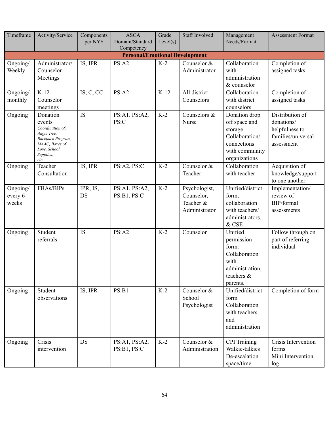| Timeframe                    | Activity/Service                                                                                                                  | Components<br>per NYS | <b>ASCA</b><br>Domain/Standard<br>Competency | Grade<br>Level(s) | <b>Staff Involved</b>                                     | Management<br>Needs/Format                                                                                    | <b>Assessment Format</b>                                                            |
|------------------------------|-----------------------------------------------------------------------------------------------------------------------------------|-----------------------|----------------------------------------------|-------------------|-----------------------------------------------------------|---------------------------------------------------------------------------------------------------------------|-------------------------------------------------------------------------------------|
|                              |                                                                                                                                   |                       | <b>Personal/Emotional Development</b>        |                   |                                                           |                                                                                                               |                                                                                     |
| Ongoing/<br>Weekly           | Administrator/<br>Counselor<br>Meetings                                                                                           | IS, IPR               | PS:A2                                        | $K-2$             | Counselor &<br>Administrator                              | Collaboration<br>with<br>administration<br>& counselor                                                        | Completion of<br>assigned tasks                                                     |
| Ongoing/<br>monthly          | $K-12$<br>Counselor<br>meetings                                                                                                   | IS, C, CC             | PS:A2                                        | $K-12$            | All district<br>Counselors                                | Collaboration<br>with district<br>counselors                                                                  | Completion of<br>assigned tasks                                                     |
| Ongoing                      | Donation<br>events<br>Coordination of:<br>Angel Tree,<br>Backpack Program,<br>MAAC, Boxes of<br>Love, School<br>Supplies,<br>etc. | IS                    | PS:A1. PS:A2,<br>PS:C                        | $K-2$             | Counselors &<br>Nurse                                     | Donation drop<br>off space and<br>storage<br>Collaboration/<br>connections<br>with community<br>organizations | Distribution of<br>donations/<br>helpfulness to<br>families/universal<br>assessment |
| Ongoing                      | Teacher<br>Consultation                                                                                                           | IS, IPR               | PS:A2, PS:C                                  | $K-2$             | Counselor &<br>Teacher                                    | Collaboration<br>with teacher                                                                                 | Acquisition of<br>knowledge/support<br>to one another                               |
| Ongoing/<br>every 6<br>weeks | FBAs/BIPs                                                                                                                         | IPR, IS,<br>DS        | PS:A1, PS:A2,<br>PS:B1, PS:C                 | $K-2$             | Psychologist,<br>Counselor,<br>Teacher &<br>Administrator | Unified/district<br>form,<br>collaboration<br>with teachers/<br>administrators,<br>& CSE                      | Implementation/<br>review of<br>BIP/formal<br>assessments                           |
| Ongoing                      | Student<br>referrals                                                                                                              | <b>IS</b>             | PS:A2                                        | $K-2$             | Counselor                                                 | Unified<br>permission<br>form.<br>Collaboration<br>with<br>administration.<br>teachers &<br>parents.          | Follow through on<br>part of referring<br>individual                                |
| Ongoing                      | Student<br>observations                                                                                                           | IS, IPR               | PS:B1                                        | $K-2$             | Counselor &<br>School<br>Psychologist                     | Unified/district<br>form<br>Collaboration<br>with teachers<br>and<br>administration                           | Completion of form                                                                  |
| Ongoing                      | Crisis<br>intervention                                                                                                            | DS                    | PS:A1, PS:A2,<br>PS:B1, PS:C                 | $K-2$             | Counselor &<br>Administration                             | <b>CPI</b> Training<br>Walkie-talkies<br>De-escalation<br>space/time                                          | Crisis Intervention<br>forms<br>Mini Intervention<br>log                            |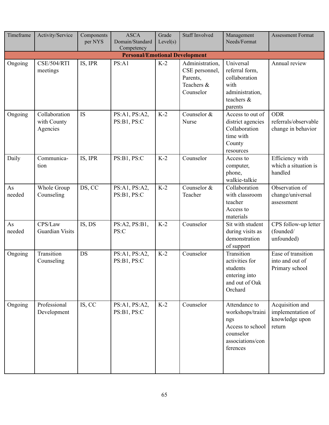| Timeframe    | Activity/Service                         | Components<br>per NYS | <b>ASCA</b><br>Domain/Standard<br>Competency | Grade<br>Level(s) | <b>Staff Involved</b>                                                    | Management<br>Needs/Format                                                                                | <b>Assessment Format</b>                                         |
|--------------|------------------------------------------|-----------------------|----------------------------------------------|-------------------|--------------------------------------------------------------------------|-----------------------------------------------------------------------------------------------------------|------------------------------------------------------------------|
|              |                                          |                       | <b>Personal/Emotional Development</b>        |                   |                                                                          |                                                                                                           |                                                                  |
| Ongoing      | <b>CSE/504/RTI</b><br>meetings           | IS, IPR               | PS: A1                                       | $K-2$             | Administration,<br>CSE personnel,<br>Parents,<br>Teachers &<br>Counselor | Universal<br>referral form,<br>collaboration<br>with<br>administration,<br>teachers $\&$<br>parents       | Annual review                                                    |
| Ongoing      | Collaboration<br>with County<br>Agencies | <b>IS</b>             | PS:A1, PS:A2,<br>PS:B1, PS:C                 | $K-2$             | Counselor &<br>Nurse                                                     | Access to out of<br>district agencies<br>Collaboration<br>time with<br>County<br>resources                | <b>ODR</b><br>referrals/observable<br>change in behavior         |
| Daily        | Communica-<br>tion                       | IS, IPR               | PS:B1, PS:C                                  | $K-2$             | Counselor                                                                | Access to<br>computer,<br>phone,<br>walkie-talkie                                                         | Efficiency with<br>which a situation is<br>handled               |
| As<br>needed | Whole Group<br>Counseling                | DS, CC                | PS:A1, PS:A2,<br>PS:B1, PS:C                 | $K-2$             | Counselor &<br>Teacher                                                   | Collaboration<br>with classroom<br>teacher<br>Access to<br>materials                                      | Observation of<br>change/universal<br>assessment                 |
| As<br>needed | CPS/Law<br><b>Guardian Visits</b>        | IS, DS                | PS:A2, PS:B1,<br>PS:C                        | $K-2$             | Counselor                                                                | Sit with student<br>during visits as<br>demonstration<br>of support                                       | CPS follow-up letter<br>(founded/<br>unfounded)                  |
| Ongoing      | Transition<br>Counseling                 | DS                    | PS:A1, PS:A2,<br>PS:B1, PS:C                 | $K-2$             | Counselor                                                                | Transition<br>activities for<br>students<br>entering into<br>and out of Oak<br>Orchard                    | Ease of transition<br>into and out of<br>Primary school          |
| Ongoing      | Professional<br>Development              | IS, CC                | PS:A1, PS:A2,<br>PS:B1, PS:C                 | $K-2$             | Counselor                                                                | Attendance to<br>workshops/traini<br>ngs<br>Access to school<br>counselor<br>associations/con<br>ferences | Acquisition and<br>implementation of<br>knowledge upon<br>return |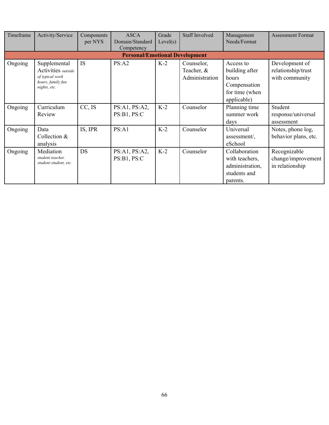| Timeframe | Activity/Service                                                                           | Components<br>per NYS | <b>ASCA</b><br>Domain/Standard<br>Competency | Grade<br>Level(s) | <b>Staff Involved</b>                      | Management<br>Needs/Format                                                            | <b>Assessment Format</b>                               |
|-----------|--------------------------------------------------------------------------------------------|-----------------------|----------------------------------------------|-------------------|--------------------------------------------|---------------------------------------------------------------------------------------|--------------------------------------------------------|
|           |                                                                                            |                       | <b>Personal/Emotional Development</b>        |                   |                                            |                                                                                       |                                                        |
| Ongoing   | Supplemental<br>Activities outside<br>of typical work<br>hours, family fun<br>nights, etc. | <b>IS</b>             | PS: A2                                       | $K-2$             | Counselor,<br>Teacher, &<br>Administration | Access to<br>building after<br>hours<br>Compensation<br>for time (when<br>applicable) | Development of<br>relationship/trust<br>with community |
| Ongoing   | Curriculum<br>Review                                                                       | CC, IS                | PS:A1, PS:A2,<br>PS:B1, PS:C                 | $K-2$             | Counselor                                  | Planning time<br>summer work<br>days                                                  | Student<br>response/universal<br>assessment            |
| Ongoing   | Data<br>Collection $&$<br>analysis                                                         | IS, IPR               | PS: A1                                       | $K-2$             | Counselor                                  | Universal<br>assessment/,<br>eSchool                                                  | Notes, phone log,<br>behavior plans, etc.              |
| Ongoing   | Mediation<br>student:teacher.<br>student: student, etc.                                    | DS                    | PS:A1, PS:A2,<br>PS:B1, PS:C                 | $K-2$             | Counselor                                  | Collaboration<br>with teachers,<br>administration,<br>students and<br>parents.        | Recognizable<br>change/improvement<br>in relationship  |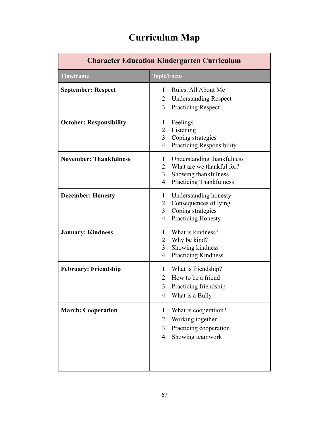| <b>Character Education Kindergarten Curriculum</b> |                                                                                                                                             |  |  |  |
|----------------------------------------------------|---------------------------------------------------------------------------------------------------------------------------------------------|--|--|--|
| <b>Timeframe</b>                                   | <b>Topic/Focus</b>                                                                                                                          |  |  |  |
| <b>September: Respect</b>                          | Rules, All About Me<br>$\mathbf{L}$<br>2. Understanding Respect<br>3.<br><b>Practicing Respect</b>                                          |  |  |  |
| <b>October: Responsibility</b>                     | 1. Feelings<br>2. Listening<br>Coping strategies<br>3.<br><b>Practicing Responsibility</b><br>4.                                            |  |  |  |
| <b>November: Thankfulness</b>                      | Understanding thankfulness<br>1.<br>What are we thankful for?<br>2 <sub>1</sub><br>Showing thankfulness<br>3.<br>4. Practicing Thankfulness |  |  |  |
| <b>December: Honesty</b>                           | Understanding honesty<br>1.<br>Consequences of lying<br>2.<br>3.<br>Coping strategies<br><b>Practicing Honesty</b><br>4.                    |  |  |  |
| <b>January: Kindness</b>                           | What is kindness?<br>1.<br>2. Why be kind?<br>Showing kindness<br>3.<br>4.<br><b>Practicing Kindness</b>                                    |  |  |  |
| <b>February: Friendship</b>                        | 1. What is friendship?<br>How to be a friend<br>$2_{-}$<br>3. Practicing friendship<br>What is a Bully                                      |  |  |  |
| <b>March: Cooperation</b>                          | What is cooperation?<br>1.<br>Working together<br>2.<br>Practicing cooperation<br>3.<br>4. Showing teamwork                                 |  |  |  |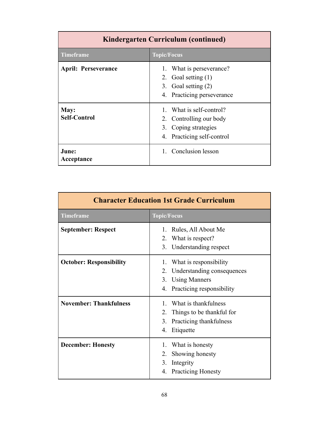| Kindergarten Curriculum (continued) |                                                                                                           |  |  |  |
|-------------------------------------|-----------------------------------------------------------------------------------------------------------|--|--|--|
| <b>Timeframe</b>                    | <b>Topic/Focus</b>                                                                                        |  |  |  |
| <b>April: Perseverance</b>          | 1. What is perseverance?<br>2. Goal setting $(1)$<br>3. Goal setting (2)<br>4. Practicing perseverance    |  |  |  |
| May:<br><b>Self-Control</b>         | 1. What is self-control?<br>2. Controlling our body<br>3. Coping strategies<br>4. Practicing self-control |  |  |  |
| June:<br>Acceptance                 | 1. Conclusion lesson                                                                                      |  |  |  |

| <b>Character Education 1st Grade Curriculum</b> |                                                                                                                                          |  |  |  |
|-------------------------------------------------|------------------------------------------------------------------------------------------------------------------------------------------|--|--|--|
| <b>Timeframe</b>                                | <b>Topic/Focus</b>                                                                                                                       |  |  |  |
| <b>September: Respect</b>                       | Rules, All About Me<br>$1_{-}$<br>What is respect?<br>2.<br>3. Understanding respect                                                     |  |  |  |
| <b>October: Responsibility</b>                  | What is responsibility<br>$\mathbf{L}$<br>Understanding consequences<br>2.<br><b>Using Manners</b><br>3.<br>4. Practicing responsibility |  |  |  |
| <b>November: Thankfulness</b>                   | What is thankfulness<br>1<br>Things to be thankful for<br>2.<br>$3_{-}$<br>Practicing thankfulness<br>4. Etiquette                       |  |  |  |
| <b>December: Honesty</b>                        | What is honesty<br>$\mathbf{L}$<br>2.<br>Showing honesty<br>3.<br>Integrity<br>4. Practicing Honesty                                     |  |  |  |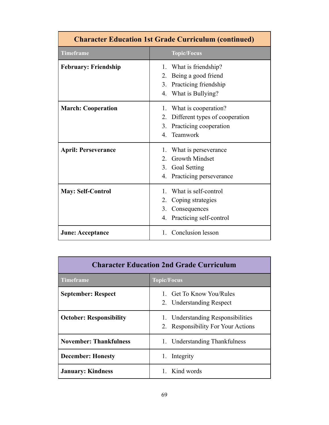| <b>Character Education 1st Grade Curriculum (continued)</b> |                                                                                                                            |  |  |  |
|-------------------------------------------------------------|----------------------------------------------------------------------------------------------------------------------------|--|--|--|
| <b>Timeframe</b>                                            | <b>Topic/Focus</b>                                                                                                         |  |  |  |
| <b>February: Friendship</b>                                 | 1. What is friendship?<br>Being a good friend<br>$2_{-}$<br>Practicing friendship<br>3.<br>4. What is Bullying?            |  |  |  |
| <b>March: Cooperation</b>                                   | 1. What is cooperation?<br>Different types of cooperation<br>2.<br>Practicing cooperation<br>3 <sub>1</sub><br>4. Teamwork |  |  |  |
| <b>April: Perseverance</b>                                  | What is perseverance<br>1.<br><b>Growth Mindset</b><br>$2^{\circ}$<br>3.<br>Goal Setting<br>Practicing perseverance<br>4.  |  |  |  |
| <b>May: Self-Control</b>                                    | What is self-control<br>$\mathbf{1}$<br>Coping strategies<br>2.<br>Consequences<br>3.<br>Practicing self-control<br>4.     |  |  |  |
| <b>June: Acceptance</b>                                     | Conclusion lesson<br>$\mathbf{1}$                                                                                          |  |  |  |

| <b>Character Education 2nd Grade Curriculum</b> |                                                                         |  |  |  |
|-------------------------------------------------|-------------------------------------------------------------------------|--|--|--|
| <b>Timeframe</b><br><b>Topic/Focus</b>          |                                                                         |  |  |  |
| <b>September: Respect</b>                       | <b>Get To Know You/Rules</b><br>2. Understanding Respect                |  |  |  |
| <b>October: Responsibility</b>                  | 1. Understanding Responsibilities<br>2. Responsibility For Your Actions |  |  |  |
| <b>November: Thankfulness</b>                   | 1. Understanding Thankfulness                                           |  |  |  |
| <b>December: Honesty</b>                        | 1. Integrity                                                            |  |  |  |
| <b>January: Kindness</b>                        | 1. Kind words                                                           |  |  |  |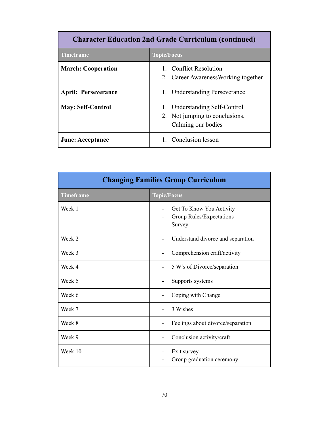| <b>Character Education 2nd Grade Curriculum (continued)</b> |                                                                                       |  |  |  |
|-------------------------------------------------------------|---------------------------------------------------------------------------------------|--|--|--|
| <b>Timeframe</b>                                            | <b>Topic/Focus</b>                                                                    |  |  |  |
| <b>March: Cooperation</b>                                   | 1. Conflict Resolution<br>2. Career Awareness Working together                        |  |  |  |
| <b>April: Perseverance</b>                                  | 1. Understanding Perseverance                                                         |  |  |  |
| <b>May: Self-Control</b>                                    | 1. Understanding Self-Control<br>2. Not jumping to conclusions,<br>Calming our bodies |  |  |  |
| <b>June: Acceptance</b>                                     | 1. Conclusion lesson                                                                  |  |  |  |

| <b>Changing Families Group Curriculum</b> |                                                                |  |  |  |
|-------------------------------------------|----------------------------------------------------------------|--|--|--|
| <b>Timeframe</b>                          | <b>Topic/Focus</b>                                             |  |  |  |
| Week 1                                    | Get To Know You Activity<br>Group Rules/Expectations<br>Survey |  |  |  |
| Week 2                                    | Understand divorce and separation                              |  |  |  |
| Week 3                                    | Comprehension craft/activity                                   |  |  |  |
| Week 4                                    | 5 W's of Divorce/separation                                    |  |  |  |
| Week 5                                    | Supports systems                                               |  |  |  |
| Week 6                                    | Coping with Change                                             |  |  |  |
| Week 7                                    | 3 Wishes                                                       |  |  |  |
| Week 8                                    | Feelings about divorce/separation                              |  |  |  |
| Week 9                                    | Conclusion activity/craft                                      |  |  |  |
| Week 10                                   | Exit survey<br>Group graduation ceremony                       |  |  |  |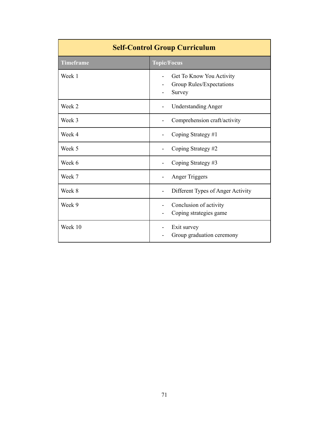| <b>Self-Control Group Curriculum</b> |                                                                |  |  |  |  |
|--------------------------------------|----------------------------------------------------------------|--|--|--|--|
| <b>Timeframe</b>                     | <b>Topic/Focus</b>                                             |  |  |  |  |
| Week 1                               | Get To Know You Activity<br>Group Rules/Expectations<br>Survey |  |  |  |  |
| Week 2                               | <b>Understanding Anger</b>                                     |  |  |  |  |
| Week 3                               | Comprehension craft/activity                                   |  |  |  |  |
| Week 4                               | Coping Strategy #1                                             |  |  |  |  |
| Week 5                               | Coping Strategy #2                                             |  |  |  |  |
| Week 6                               | Coping Strategy #3                                             |  |  |  |  |
| Week 7                               | <b>Anger Triggers</b>                                          |  |  |  |  |
| Week 8                               | Different Types of Anger Activity                              |  |  |  |  |
| Week 9                               | Conclusion of activity<br>Coping strategies game               |  |  |  |  |
| Week 10                              | Exit survey<br>Group graduation ceremony                       |  |  |  |  |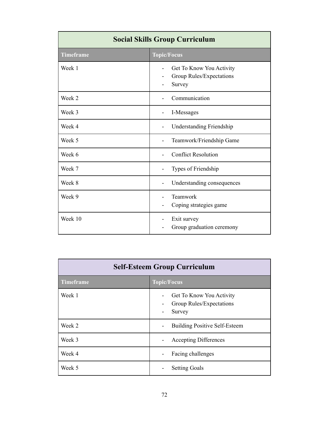| <b>Social Skills Group Curriculum</b> |                                                                |  |  |  |  |  |  |  |
|---------------------------------------|----------------------------------------------------------------|--|--|--|--|--|--|--|
| <b>Timeframe</b>                      | <b>Topic/Focus</b>                                             |  |  |  |  |  |  |  |
| Week 1                                | Get To Know You Activity<br>Group Rules/Expectations<br>Survey |  |  |  |  |  |  |  |
| Week 2                                | Communication                                                  |  |  |  |  |  |  |  |
| Week 3                                | I-Messages                                                     |  |  |  |  |  |  |  |
| Week 4                                | <b>Understanding Friendship</b>                                |  |  |  |  |  |  |  |
| Week 5                                | Teamwork/Friendship Game                                       |  |  |  |  |  |  |  |
| Week 6                                | <b>Conflict Resolution</b>                                     |  |  |  |  |  |  |  |
| Week 7                                | Types of Friendship                                            |  |  |  |  |  |  |  |
| Week 8                                | Understanding consequences                                     |  |  |  |  |  |  |  |
| Week 9                                | Teamwork<br>Coping strategies game                             |  |  |  |  |  |  |  |
| Week 10                               | Exit survey<br>Group graduation ceremony                       |  |  |  |  |  |  |  |

| <b>Self-Esteem Group Curriculum</b> |                                                                |  |  |  |  |  |  |  |
|-------------------------------------|----------------------------------------------------------------|--|--|--|--|--|--|--|
| <b>Timeframe</b>                    | <b>Topic/Focus</b>                                             |  |  |  |  |  |  |  |
| Week 1                              | Get To Know You Activity<br>Group Rules/Expectations<br>Survey |  |  |  |  |  |  |  |
| Week 2                              | <b>Building Positive Self-Esteem</b>                           |  |  |  |  |  |  |  |
| Week 3                              | <b>Accepting Differences</b>                                   |  |  |  |  |  |  |  |
| Week 4                              | Facing challenges                                              |  |  |  |  |  |  |  |
| Week 5                              | <b>Setting Goals</b>                                           |  |  |  |  |  |  |  |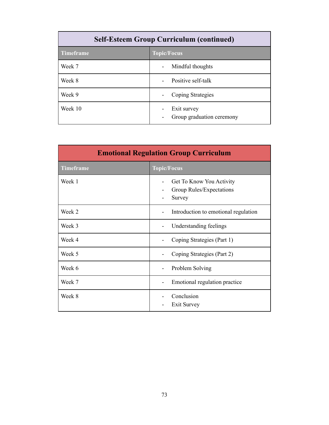| <b>Self-Esteem Group Curriculum (continued)</b> |                                          |  |  |  |  |  |  |  |
|-------------------------------------------------|------------------------------------------|--|--|--|--|--|--|--|
| <b>Timeframe</b>                                | <b>Topic/Focus</b>                       |  |  |  |  |  |  |  |
| Week 7                                          | Mindful thoughts                         |  |  |  |  |  |  |  |
| Week 8                                          | Positive self-talk                       |  |  |  |  |  |  |  |
| Week 9                                          | Coping Strategies                        |  |  |  |  |  |  |  |
| Week 10                                         | Exit survey<br>Group graduation ceremony |  |  |  |  |  |  |  |

| <b>Emotional Regulation Group Curriculum</b> |                                                                |  |  |  |  |  |  |  |
|----------------------------------------------|----------------------------------------------------------------|--|--|--|--|--|--|--|
| <b>Timeframe</b>                             | <b>Topic/Focus</b>                                             |  |  |  |  |  |  |  |
| Week 1                                       | Get To Know You Activity<br>Group Rules/Expectations<br>Survey |  |  |  |  |  |  |  |
| Week 2                                       | Introduction to emotional regulation                           |  |  |  |  |  |  |  |
| Week 3                                       | Understanding feelings                                         |  |  |  |  |  |  |  |
| Week 4                                       | Coping Strategies (Part 1)                                     |  |  |  |  |  |  |  |
| Week 5                                       | Coping Strategies (Part 2)                                     |  |  |  |  |  |  |  |
| Week 6                                       | Problem Solving                                                |  |  |  |  |  |  |  |
| Week 7                                       | Emotional regulation practice                                  |  |  |  |  |  |  |  |
| Week 8                                       | Conclusion<br>Exit Survey                                      |  |  |  |  |  |  |  |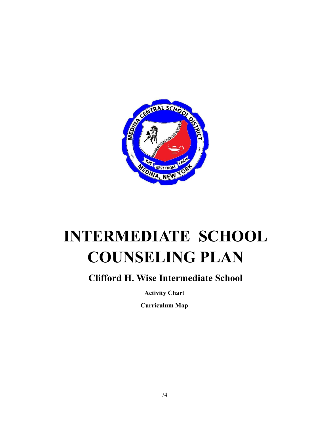

## **INTERMEDIATE SCHOOL COUNSELING PLAN**

## **Clifford H. Wise Intermediate School**

**Activity Chart**

**Curriculum Map**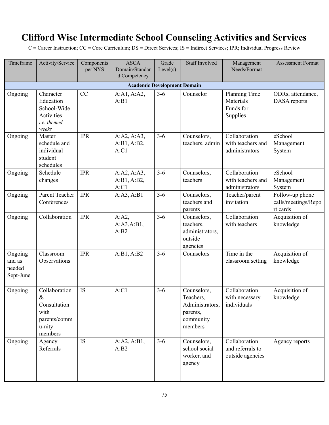## **Clifford Wise Intermediate School Counseling Activities and Services**

C = Career Instruction; CC = Core Curriculum; DS = Direct Services; IS = Indirect Services; IPR; Individual Progress Review

| Timeframe                                | Activity/Service                                                                 | Components<br>per NYS | <b>ASCA</b><br>Domain/Standar<br>d Competency | Grade<br>Level(s) | <b>Staff Involved</b>                                                           | Management<br>Needs/Format                            | <b>Assessment Format</b>                           |  |  |  |  |  |
|------------------------------------------|----------------------------------------------------------------------------------|-----------------------|-----------------------------------------------|-------------------|---------------------------------------------------------------------------------|-------------------------------------------------------|----------------------------------------------------|--|--|--|--|--|
| <b>Academic Development Domain</b>       |                                                                                  |                       |                                               |                   |                                                                                 |                                                       |                                                    |  |  |  |  |  |
| Ongoing                                  | Character<br>Education<br>School-Wide<br>Activities<br>i.e. themed<br>weeks      | CC                    | A:A1, A:A2,<br>A:B1                           | $3 - 6$           | Counselor                                                                       | Planning Time<br>Materials<br>Funds for<br>Supplies   | ODRs, attendance,<br>DASA reports                  |  |  |  |  |  |
| Ongoing                                  | Master<br>schedule and<br>individual<br>student<br>schedules                     | <b>IPR</b>            | A:A2, A:A3,<br>A:B1, A:B2,<br>A:Cl            | $3 - 6$           | Counselors,<br>teachers, admin                                                  | Collaboration<br>with teachers and<br>administrators  | eSchool<br>Management<br>System                    |  |  |  |  |  |
| Ongoing                                  | Schedule<br>changes                                                              | <b>IPR</b>            | A:A2, A:A3,<br>A:B1, A:B2,<br>A:Cl            | $3 - 6$           | Counselors,<br>teachers                                                         | Collaboration<br>with teachers and<br>administrators  | eSchool<br>Management<br>System                    |  |  |  |  |  |
| Ongoing                                  | Parent Teacher<br>Conferences                                                    | <b>IPR</b>            | A:A3, A:B1                                    | $3 - 6$           | Counselors.<br>teachers and<br>parents                                          | Teacher/parent<br>invitation                          | Follow-up phone<br>calls/meetings/Repo<br>rt cards |  |  |  |  |  |
| Ongoing                                  | Collaboration                                                                    | <b>IPR</b>            | $A:A2$ ,<br>A:A3,A:B1,<br>A:B2                | $3 - 6$           | Counselors,<br>teachers,<br>administrators,<br>outside<br>agencies              | Collaboration<br>with teachers                        | Acquisition of<br>knowledge                        |  |  |  |  |  |
| Ongoing<br>and as<br>needed<br>Sept-June | Classroom<br>Observations                                                        | <b>IPR</b>            | A:B1, A:B2                                    | $3 - 6$           | Counselors                                                                      | Time in the<br>classroom setting                      | Acquisition of<br>knowledge                        |  |  |  |  |  |
| Ongoing                                  | Collaboration<br>&.<br>Consultation<br>with<br>parents/comm<br>u-nity<br>members | IS                    | A:Cl                                          | $3 - 6$           | Counselors,<br>Teachers,<br>Administrators,<br>parents,<br>community<br>members | Collaboration<br>with necessary<br>individuals        | Acquisition of<br>knowledge                        |  |  |  |  |  |
| Ongoing                                  | Agency<br>Referrals                                                              | <b>IS</b>             | A:A2, A:B1,<br>A:B2                           | $3 - 6$           | Counselors,<br>school social<br>worker, and<br>agency                           | Collaboration<br>and referrals to<br>outside agencies | Agency reports                                     |  |  |  |  |  |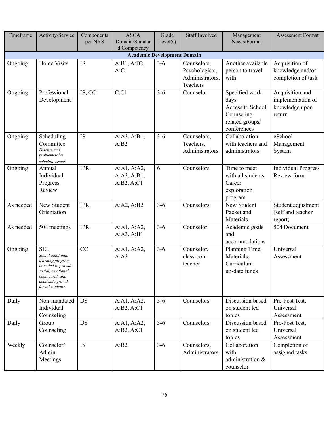| Timeframe                          | Activity/Service                                                                                                                                          | Components<br>per NYS | <b>ASCA</b><br>Domain/Standar<br>d Competency | Grade<br>Level(s) | <b>Staff Involved</b>                                        | Management<br>Needs/Format                                                                 | <b>Assessment Format</b>                                         |  |  |  |  |  |
|------------------------------------|-----------------------------------------------------------------------------------------------------------------------------------------------------------|-----------------------|-----------------------------------------------|-------------------|--------------------------------------------------------------|--------------------------------------------------------------------------------------------|------------------------------------------------------------------|--|--|--|--|--|
| <b>Academic Development Domain</b> |                                                                                                                                                           |                       |                                               |                   |                                                              |                                                                                            |                                                                  |  |  |  |  |  |
| Ongoing                            | Home Visits                                                                                                                                               | IS                    | A:B1, A:B2,<br>A:Cl                           | $3 - 6$           | Counselors,<br>Psychologists,<br>Administrators,<br>Teachers | Another available<br>person to travel<br>with                                              | Acquisition of<br>knowledge and/or<br>completion of task         |  |  |  |  |  |
| Ongoing                            | Professional<br>Development                                                                                                                               | IS, CC                | C:Cl                                          | $3 - 6$           | Counselor                                                    | Specified work<br>days<br>Access to School<br>Counseling<br>related groups/<br>conferences | Acquisition and<br>implementation of<br>knowledge upon<br>return |  |  |  |  |  |
| Ongoing                            | Scheduling<br>Committee<br>Discuss and<br>problem-solve<br>schedule issueS                                                                                | IS                    | A:A3.A:B1,<br>A:B2                            | $3 - 6$           | Counselors,<br>Teachers,<br>Administrators                   | Collaboration<br>with teachers and<br>administrators                                       | eSchool<br>Management<br>System                                  |  |  |  |  |  |
| Ongoing                            | Annual<br>Individual<br>Progress<br>Review                                                                                                                | <b>IPR</b>            | A:A1, A:A2,<br>A:A3, A:B1,<br>A:B2, A:C1      | 6                 | Counselors                                                   | Time to meet<br>with all students,<br>Career<br>exploration<br>program                     | <b>Individual Progress</b><br>Review form                        |  |  |  |  |  |
| As needed                          | New Student<br>Orientation                                                                                                                                | <b>IPR</b>            | A:A2, A:B2                                    | $3 - 6$           | Counselors                                                   | New Student<br>Packet and<br>Materials                                                     | Student adjustment<br>(self and teacher<br>report)               |  |  |  |  |  |
| As needed                          | 504 meetings                                                                                                                                              | <b>IPR</b>            | A:A1, A:A2,<br>A:A3, A:B1                     | $3 - 6$           | Counselor                                                    | Academic goals<br>and<br>accommodations                                                    | 504 Document                                                     |  |  |  |  |  |
| Ongoing                            | <b>SEL</b><br>Social-emotional<br>learning program<br>intended to provide<br>social, emotional,<br>behavioral, and<br>academic growth<br>for all students | CC                    | A:A1, A:A2,<br>A:A3                           | $3 - 6$           | Counselor,<br>classroom<br>teacher                           | Planning Time,<br>Materials,<br>Curriculum<br>up-date funds                                | Universal<br>Assessment                                          |  |  |  |  |  |
| Daily                              | Non-mandated<br>Individual<br>Counseling                                                                                                                  | DS                    | A:A1, A:A2,<br>A:B2, A:C1                     | $3 - 6$           | Counselors                                                   | Discussion based<br>on student led<br>topics                                               | Pre-Post Test,<br>Universal<br>Assessment                        |  |  |  |  |  |
| Daily                              | Group<br>Counseling                                                                                                                                       | DS                    | A:A1, A:A2,<br>A:B2, A:C1                     | $3 - 6$           | Counselors                                                   | Discussion based<br>on student led<br>topics                                               | Pre-Post Test,<br>Universal<br>Assessment                        |  |  |  |  |  |
| Weekly                             | Counselor/<br>Admin<br>Meetings                                                                                                                           | IS                    | A:B2                                          | $3-6$             | Counselors,<br>Administrators                                | Collaboration<br>with<br>administration &<br>counselor                                     | Completion of<br>assigned tasks                                  |  |  |  |  |  |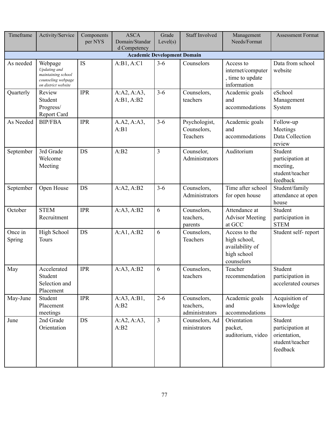| Timeframe                          | Activity/Service                                                                           | Components<br>per NYS | <b>ASCA</b><br>Domain/Standar<br>d Competency | Grade<br>Level(s) | <b>Staff Involved</b>                      | Management<br>Needs/Format                                                    | <b>Assessment Format</b>                                                   |  |  |  |  |  |  |
|------------------------------------|--------------------------------------------------------------------------------------------|-----------------------|-----------------------------------------------|-------------------|--------------------------------------------|-------------------------------------------------------------------------------|----------------------------------------------------------------------------|--|--|--|--|--|--|
| <b>Academic Development Domain</b> |                                                                                            |                       |                                               |                   |                                            |                                                                               |                                                                            |  |  |  |  |  |  |
| As needed                          | Webpage<br>Updating and<br>maintaining school<br>counseling webpage<br>on district website | IS                    | A:B1, A:C1                                    | $3 - 6$           | Counselors                                 | Access to<br>internet/computer<br>, time to update<br>information             | Data from school<br>website                                                |  |  |  |  |  |  |
| Quarterly                          | Review<br>Student<br>Progress/<br>Report Card                                              | <b>IPR</b>            | A:A2, A:A3,<br>A:B1, A:B2                     | $3 - 6$           | Counselors,<br>teachers                    | Academic goals<br>and<br>accommodations                                       | eSchool<br>Management<br>System                                            |  |  |  |  |  |  |
| As Needed                          | <b>BIP/FBA</b>                                                                             | <b>IPR</b>            | A.A2, A:A3,<br>A:B1                           | $3 - 6$           | Psychologist,<br>Counselors,<br>Teachers   | Academic goals<br>and<br>accommodations                                       | Follow-up<br>Meetings<br>Data Collection<br>review                         |  |  |  |  |  |  |
| September                          | 3rd Grade<br>Welcome<br>Meeting                                                            | <b>DS</b>             | A:B2                                          | 3                 | Counselor,<br>Administrators               | Auditorium                                                                    | Student<br>participation at<br>meeting,<br>student/teacher<br>feedback     |  |  |  |  |  |  |
| September                          | Open House                                                                                 | DS                    | A:A2, A:B2                                    | $3 - 6$           | Counselors,<br>Administrators              | Time after school<br>for open house                                           | Student/family<br>attendance at open<br>house                              |  |  |  |  |  |  |
| October                            | <b>STEM</b><br>Recruitment                                                                 | <b>IPR</b>            | A:A3, A:B2                                    | 6                 | Counselors,<br>teachers,<br>parents        | Attendance at<br><b>Advisor Meeting</b><br>at GCC                             | Student<br>participation in<br><b>STEM</b>                                 |  |  |  |  |  |  |
| Once in<br>Spring                  | High School<br>Tours                                                                       | <b>DS</b>             | A:A1, A:B2                                    | 6                 | Counselors,<br>Teachers                    | Access to the<br>high school,<br>availability of<br>high school<br>counselors | Student self-report                                                        |  |  |  |  |  |  |
| May                                | Accelerated<br>Student<br>Selection and<br>Placement                                       | <b>IPR</b>            | A:A3, A:B2                                    | 6                 | Counselors,<br>teachers                    | Teacher<br>recommendation                                                     | Student<br>participation in<br>accelerated courses                         |  |  |  |  |  |  |
| May-June                           | Student<br>Placement<br>meetings                                                           | <b>IPR</b>            | A:A3, A:B1,<br>A:B2                           | $2 - 6$           | Counselors,<br>teachers,<br>administrators | Academic goals<br>and<br>accommodations                                       | Acquisition of<br>knowledge                                                |  |  |  |  |  |  |
| June                               | 2nd Grade<br>Orientation                                                                   | DS                    | A:A2, A:A3,<br>A:B2                           | $\overline{3}$    | Counselors, Ad<br>ministrators             | Orientation<br>packet,<br>auditorium, video                                   | Student<br>participation at<br>orientation,<br>student/teacher<br>feedback |  |  |  |  |  |  |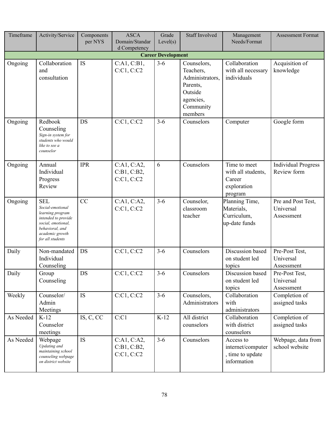| Timeframe                 | Activity/Service                                                                                                                                          | Components<br>per NYS | <b>ASCA</b><br>Domain/Standar<br>d Competency | Grade<br>Level(s) | <b>Staff Involved</b>                                                                                   | Management<br>Needs/Format                                             | <b>Assessment Format</b>                      |  |  |  |  |  |
|---------------------------|-----------------------------------------------------------------------------------------------------------------------------------------------------------|-----------------------|-----------------------------------------------|-------------------|---------------------------------------------------------------------------------------------------------|------------------------------------------------------------------------|-----------------------------------------------|--|--|--|--|--|
| <b>Career Development</b> |                                                                                                                                                           |                       |                                               |                   |                                                                                                         |                                                                        |                                               |  |  |  |  |  |
| Ongoing                   | Collaboration<br>and<br>consultation                                                                                                                      | <b>IS</b>             | C:A1, C:B1,<br>C:Cl, C:Cl                     | $3 - 6$           | Counselors,<br>Teachers,<br>Administrators,<br>Parents,<br>Outside<br>agencies,<br>Community<br>members | Collaboration<br>with all necessary<br>individuals                     | Acquisition of<br>knowledge                   |  |  |  |  |  |
| Ongoing                   | Redbook<br>Counseling<br>Sign-in system for<br>students who would<br>like to see a<br>counselor                                                           | DS                    | C:C1, C:C2                                    | $3 - 6$           | Counselors                                                                                              | Computer                                                               | Google form                                   |  |  |  |  |  |
| Ongoing                   | Annual<br>Individual<br>Progress<br>Review                                                                                                                | <b>IPR</b>            | C:A1, C:A2,<br>C:B1, C:B2,<br>C:Cl, C:Cl      | 6                 | Counselors                                                                                              | Time to meet<br>with all students,<br>Career<br>exploration<br>program | <b>Individual Progress</b><br>Review form     |  |  |  |  |  |
| Ongoing                   | <b>SEL</b><br>Social-emotional<br>learning program<br>intended to provide<br>social, emotional,<br>behavioral, and<br>academic growth<br>for all students | CC                    | C:A1, C:A2,<br>C:Cl, C:Cl                     | $3 - 6$           | Counselor,<br>classroom<br>teacher                                                                      | Planning Time,<br>Materials,<br>Curriculum,<br>up-date funds           | Pre and Post Test,<br>Universal<br>Assessment |  |  |  |  |  |
| Daily                     | Non-mandated<br>Individual<br>Counseling                                                                                                                  | DS                    | C:Cl, C:Cl                                    | $3 - 6$           | Counselors                                                                                              | Discussion based<br>on student led<br>topics                           | Pre-Post Test,<br>Universal<br>Assessment     |  |  |  |  |  |
| Daily                     | Group<br>Counseling                                                                                                                                       | DS                    | C:Cl, C:Cl                                    | $3-6$             | Counselors                                                                                              | Discussion based<br>on student led<br>topics                           | Pre-Post Test,<br>Universal<br>Assessment     |  |  |  |  |  |
| Weekly                    | Counselor/<br>Admin<br>Meetings                                                                                                                           | IS                    | C:Cl, C:Cl                                    | $3 - 6$           | Counselors,<br>Administrators                                                                           | Collaboration<br>with<br>administrators                                | Completion of<br>assigned tasks               |  |  |  |  |  |
| As Needed                 | $K-12$<br>Counselor<br>meetings                                                                                                                           | IS, C, CC             | C:Cl                                          | $K-12$            | All district<br>counselors                                                                              | Collaboration<br>with district<br>counselors                           | Completion of<br>assigned tasks               |  |  |  |  |  |
| As Needed                 | Webpage<br>Updating and<br>maintaining school<br>counseling webpage<br>on district website                                                                | IS                    | C:A1, C:A2,<br>C:B1, C:B2,<br>C:Cl, C:Cl      | $3 - 6$           | Counselors                                                                                              | Access to<br>internet/computer<br>, time to update<br>information      | Webpage, data from<br>school website          |  |  |  |  |  |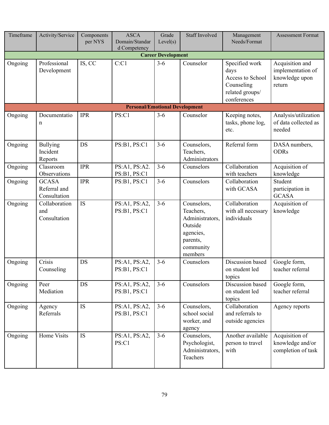| Timeframe                 | Activity/Service                             | Components<br>per NYS | <b>ASCA</b><br>Domain/Standar<br>d Competency | Grade<br>Level(s) | <b>Staff Involved</b>                                                                                   | Management<br>Needs/Format                                                                 | <b>Assessment Format</b>                                         |  |  |  |  |  |
|---------------------------|----------------------------------------------|-----------------------|-----------------------------------------------|-------------------|---------------------------------------------------------------------------------------------------------|--------------------------------------------------------------------------------------------|------------------------------------------------------------------|--|--|--|--|--|
| <b>Career Development</b> |                                              |                       |                                               |                   |                                                                                                         |                                                                                            |                                                                  |  |  |  |  |  |
| Ongoing                   | Professional<br>Development                  | IS, CC                | C:Cl                                          | $3 - 6$           | Counselor                                                                                               | Specified work<br>days<br>Access to School<br>Counseling<br>related groups/<br>conferences | Acquisition and<br>implementation of<br>knowledge upon<br>return |  |  |  |  |  |
|                           |                                              |                       | <b>Personal/Emotional Development</b>         |                   |                                                                                                         |                                                                                            |                                                                  |  |  |  |  |  |
| Ongoing                   | Documentatio<br>n                            | <b>IPR</b>            | PS:C1                                         | $3 - 6$           | Counselor                                                                                               | Keeping notes,<br>tasks, phone log,<br>etc.                                                | Analysis/utilization<br>of data collected as<br>needed           |  |  |  |  |  |
| Ongoing                   | <b>Bullying</b><br>Incident<br>Reports       | <b>DS</b>             | PS:B1, PS:C1                                  | $3 - 6$           | Counselors,<br>Teachers,<br>Administrators                                                              | Referral form                                                                              | DASA numbers,<br><b>ODRs</b>                                     |  |  |  |  |  |
| Ongoing                   | Classroom<br>Observations                    | <b>IPR</b>            | PS:A1, PS:A2.<br>PS:B1, PS:C1                 | $3 - 6$           | Counselors                                                                                              | Collaboration<br>with teachers                                                             | Acquisition of<br>knowledge                                      |  |  |  |  |  |
| Ongoing                   | <b>GCASA</b><br>Referral and<br>Consultation | <b>IPR</b>            | PS:B1, PS:C1                                  | $3 - 6$           | Counselors                                                                                              | Collaboration<br>with GCASA                                                                | Student<br>participation in<br><b>GCASA</b>                      |  |  |  |  |  |
| Ongoing                   | Collaboration<br>and<br>Consultation         | IS                    | PS:A1, PS:A2,<br>PS:B1, PS:C1                 | $3 - 6$           | Counselors,<br>Teachers,<br>Administrators,<br>Outside<br>agencies,<br>parents,<br>community<br>members | Collaboration<br>with all necessary<br>individuals                                         | Acquisition of<br>knowledge                                      |  |  |  |  |  |
| Ongoing                   | Crisis<br>Counseling                         | <b>DS</b>             | PS:A1, PS:A2,<br>PS:B1, PS:C1                 | $3 - 6$           | Counselors                                                                                              | Discussion based<br>on student led<br>topics                                               | Google form,<br>teacher referral                                 |  |  |  |  |  |
| Ongoing                   | Peer<br>Mediation                            | DS                    | PS:A1, PS:A2,<br>PS:B1, PS:C1                 | $3 - 6$           | Counselors                                                                                              | Discussion based<br>on student led<br>topics                                               | Google form,<br>teacher referral                                 |  |  |  |  |  |
| Ongoing                   | Agency<br>Referrals                          | IS                    | PS:A1, PS:A2,<br>PS:B1, PS:C1                 | $3-6$             | Counselors,<br>school social<br>worker, and<br>agency                                                   | Collaboration<br>and referrals to<br>outside agencies                                      | Agency reports                                                   |  |  |  |  |  |
| Ongoing                   | Home Visits                                  | IS                    | PS:A1, PS:A2,<br>PS:C1                        | $3 - 6$           | Counselors,<br>Psychologist,<br>Administrators,<br>Teachers                                             | Another available<br>person to travel<br>with                                              | Acquisition of<br>knowledge and/or<br>completion of task         |  |  |  |  |  |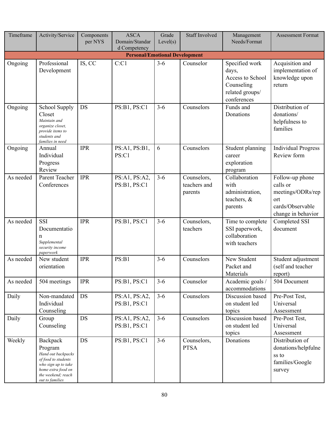| Timeframe                                             | Activity/Service                                                                                                                                       | Components<br>per NYS | <b>ASCA</b><br>Domain/Standar | Grade<br>Level(s) | <b>Staff Involved</b>                  | Management<br>Needs/Format                                                                  | <b>Assessment Format</b>                                                                          |  |  |  |  |  |
|-------------------------------------------------------|--------------------------------------------------------------------------------------------------------------------------------------------------------|-----------------------|-------------------------------|-------------------|----------------------------------------|---------------------------------------------------------------------------------------------|---------------------------------------------------------------------------------------------------|--|--|--|--|--|
| d Competency<br><b>Personal/Emotional Development</b> |                                                                                                                                                        |                       |                               |                   |                                        |                                                                                             |                                                                                                   |  |  |  |  |  |
| Ongoing                                               | Professional<br>Development                                                                                                                            | IS, CC                | C:Cl                          | $3 - 6$           | Counselor                              | Specified work<br>days,<br>Access to School<br>Counseling<br>related groups/<br>conferences | Acquisition and<br>implementation of<br>knowledge upon<br>return                                  |  |  |  |  |  |
| Ongoing                                               | School Supply<br>Closet<br>Maintain and<br>organize closet,<br>provide items to<br>students and<br>families in need                                    | DS                    | PS:B1, PS:C1                  | $3 - 6$           | Counselors                             | Funds and<br>Donations                                                                      | Distribution of<br>donations/<br>helpfulness to<br>families                                       |  |  |  |  |  |
| Ongoing                                               | Annual<br>Individual<br>Progress<br>Review                                                                                                             | <b>IPR</b>            | PS:A1, PS:B1,<br>PS:Cl        | 6                 | Counselors                             | Student planning<br>career<br>exploration<br>program                                        | <b>Individual Progress</b><br>Review form                                                         |  |  |  |  |  |
| As needed                                             | Parent Teacher<br>Conferences                                                                                                                          | <b>IPR</b>            | PS:A1, PS:A2,<br>PS:B1, PS:C1 | $3 - 6$           | Counselors,<br>teachers and<br>parents | Collaboration<br>with<br>administration,<br>teachers, $\&$<br>parents                       | Follow-up phone<br>calls or<br>meetings/ODRs/rep<br>ort<br>cards/Observable<br>change in behavior |  |  |  |  |  |
| As needed                                             | <b>SSI</b><br>Documentatio<br>n<br>Supplemental<br>security income<br>paperwork                                                                        | <b>IPR</b>            | PS:B1, PS:C1                  | $3 - 6$           | Counselors,<br>teachers                | Time to complete<br>SSI paperwork,<br>collaboration<br>with teachers                        | Completed SSI<br>document                                                                         |  |  |  |  |  |
| As needed                                             | New student<br>orientation                                                                                                                             | <b>IPR</b>            | PS:B1                         | $3 - 6$           | Counselors                             | New Student<br>Packet and<br>Materials                                                      | Student adjustment<br>(self and teacher<br>report)                                                |  |  |  |  |  |
| As needed                                             | 504 meetings                                                                                                                                           | <b>IPR</b>            | PS:B1, PS:C1                  | $3 - 6$           | Counselor                              | Academic goals /<br>accommodations                                                          | 504 Document                                                                                      |  |  |  |  |  |
| Daily                                                 | Non-mandated<br>Individual<br>Counseling                                                                                                               | DS                    | PS:A1, PS:A2,<br>PS:B1, PS:C1 | $3 - 6$           | Counselors                             | Discussion based<br>on student led<br>topics                                                | Pre-Post Test,<br>Universal<br>Assessment                                                         |  |  |  |  |  |
| Daily                                                 | Group<br>Counseling                                                                                                                                    | DS                    | PS:A1, PS:A2,<br>PS:B1, PS:C1 | $3 - 6$           | Counselors                             | Discussion based<br>on student led<br>topics                                                | Pre-Post Test,<br>Universal<br>Assessment                                                         |  |  |  |  |  |
| Weekly                                                | Backpack<br>Program<br>Hand out backpacks<br>of food to students<br>who sign up to take<br>home extra food on<br>the weekend; reach<br>out to families | DS                    | PS:B1, PS:C1                  | $3 - 6$           | Counselors,<br><b>PTSA</b>             | Donations                                                                                   | Distribution of<br>donations/helpfulne<br>ss to<br>families/Google<br>survey                      |  |  |  |  |  |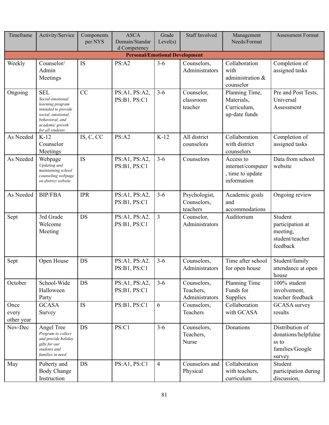| Timeframe                             | Activity/Service                                                                                                                                          | Components<br>per NYS | <b>ASCA</b><br>Domain/Standar<br>d Competency | Grade<br>Level(s) | <b>Staff Involved</b>                      | Management<br>Needs/Format                                        | <b>Assessment Format</b>                                                     |  |  |  |  |  |
|---------------------------------------|-----------------------------------------------------------------------------------------------------------------------------------------------------------|-----------------------|-----------------------------------------------|-------------------|--------------------------------------------|-------------------------------------------------------------------|------------------------------------------------------------------------------|--|--|--|--|--|
| <b>Personal/Emotional Development</b> |                                                                                                                                                           |                       |                                               |                   |                                            |                                                                   |                                                                              |  |  |  |  |  |
| Weekly                                | Counselor/<br>Admin<br>Meetings                                                                                                                           | IS                    | PS:A2                                         | $3 - 6$           | Counselors,<br>Administrators              | Collaboration<br>with<br>administration &<br>counselor            | Completion of<br>assigned tasks                                              |  |  |  |  |  |
| Ongoing                               | <b>SEL</b><br>Social-emotional<br>learning program<br>intended to provide<br>social, emotional,<br>behavioral, and<br>academic growth<br>for all students | CC                    | PS:A1, PS:A2,<br>PS:B1, PS:C1                 | $3 - 6$           | Counselor,<br>classroom<br>teacher         | Planning Time,<br>Materials,<br>Curriculum,<br>up-date funds      | Pre and Post Tests,<br>Universal<br>Assessment                               |  |  |  |  |  |
| As Needed                             | $K-12$<br>Counselor<br>Meetings                                                                                                                           | IS, C, CC             | PS:A2                                         | $K-12$            | All district<br>counselors                 | Collaboration<br>with district<br>counselors                      | Completion of<br>assigned tasks                                              |  |  |  |  |  |
| As Needed                             | Webpage<br>Updating and<br>maintaining school<br>counseling webpage<br>on district website                                                                | IS                    | PS:A1, PS:A2,<br>PS:B1, PS:C1                 | $3 - 6$           | Counselors                                 | Access to<br>internet/computer<br>, time to update<br>information | Data from school<br>website                                                  |  |  |  |  |  |
| As Needed                             | <b>BIP/FBA</b>                                                                                                                                            | <b>IPR</b>            | PS:A1, PS:A2,<br>PS:B1, PS:C1                 | $3 - 6$           | Psychologist,<br>Counselors,<br>teachers   | Academic goals<br>and<br>accommodations                           | Ongoing review                                                               |  |  |  |  |  |
| Sept                                  | 3rd Grade<br>Welcome<br>Meeting                                                                                                                           | DS                    | PS:A1, PS:A2.<br>PS:B1, PS:C1                 | 3                 | Counselor,<br>Administrators               | Auditorium                                                        | Student<br>participation at<br>meeting,<br>student/teacher<br>feedback       |  |  |  |  |  |
| Sept                                  | Open House                                                                                                                                                | DS                    | PS:A1, PS:A2.<br>PS:B1, PS:C1                 | $3 - 6$           | Counselors,<br>Administrators              | Time after school<br>for open house                               | Student/family<br>attendance at open<br>house                                |  |  |  |  |  |
| October                               | School-Wide<br>Halloween<br>Party                                                                                                                         | DS                    | PS:A1, PS:A2,<br>PS:B1, PS:C1                 | $3-6$             | Counselors,<br>Teachers,<br>Administrators | Planning Time<br>Funds for<br>Supplies                            | 100% student<br>involvement,<br>teacher feedback                             |  |  |  |  |  |
| Once<br>every<br>other year           | <b>GCASA</b><br>Survey                                                                                                                                    | <b>IS</b>             | PS:B1, PS:C1                                  | 6                 | Counselors,<br>Teachers                    | Collaboration<br>with GCASA                                       | <b>GCASA</b> survey<br>results                                               |  |  |  |  |  |
| Nov-Dec                               | Angel Tree<br>Program to collect<br>and provide holiday<br>gifts for our<br>students and<br>families in need                                              | DS                    | PS:Cl                                         | $3-6$             | Counselors,<br>Teachers,<br>Nurse          | Donations                                                         | Distribution of<br>donations/helpfulne<br>ss to<br>families/Google<br>survey |  |  |  |  |  |
| May                                   | Puberty and<br><b>Body Change</b><br>Instruction                                                                                                          | DS                    | PS:A1, PS:C1                                  | $\overline{4}$    | Counselors and<br>Physical                 | Collaboration<br>with teachers,<br>curriculum                     | Student<br>participation during<br>discussion,                               |  |  |  |  |  |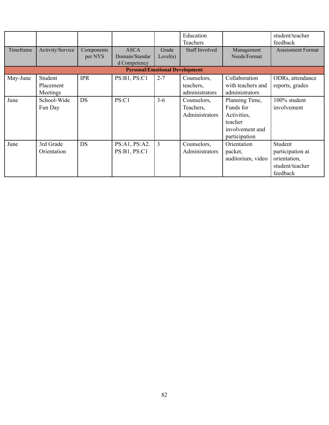|           |                                  |                       |                                               |                   | Education<br>Teachers                      |                                                                                           | student/teacher<br>feedback                                                |
|-----------|----------------------------------|-----------------------|-----------------------------------------------|-------------------|--------------------------------------------|-------------------------------------------------------------------------------------------|----------------------------------------------------------------------------|
| Timeframe | Activity/Service                 | Components<br>per NYS | <b>ASCA</b><br>Domain/Standar<br>d Competency | Grade<br>Level(s) | Staff Involved                             | Management<br>Needs/Format                                                                | <b>Assessment Format</b>                                                   |
|           |                                  |                       | <b>Personal/Emotional Development</b>         |                   |                                            |                                                                                           |                                                                            |
| May-June  | Student<br>Placement<br>Meetings | <b>IPR</b>            | PS:B1, PS:C1                                  | $2 - 7$           | Counselors,<br>teachers,<br>administrators | Collaboration<br>with teachers and<br>administrators                                      | ODRs, attendance<br>reports, grades                                        |
| June      | School-Wide<br>Fun Day           | DS                    | PS:C1                                         | $3 - 6$           | Counselors,<br>Teachers,<br>Administrators | Planning Time,<br>Funds for<br>Activities,<br>teacher<br>involvement and<br>participation | 100% student<br>involvement                                                |
| June      | 3rd Grade<br>Orientation         | <b>DS</b>             | PS:A1, PS:A2.<br>PS:B1, PS:C1                 | 3                 | Counselors,<br>Administrators              | Orientation<br>packet,<br>auditorium, video                                               | Student<br>participation at<br>orientation,<br>student/teacher<br>feedback |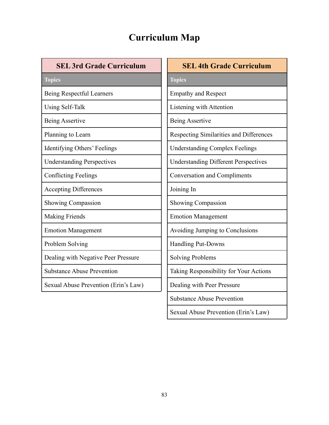## **Curriculum Map**

|  | <b>SEL 3rd Grade Curriculum</b> |
|--|---------------------------------|
|--|---------------------------------|

| SEL JI'U GI'AUC CUITICUIU           |
|-------------------------------------|
| <b>Topics</b>                       |
| Being Respectful Learners           |
| Using Self-Talk                     |
| Being Assertive                     |
| Planning to Learn                   |
| Identifying Others' Feelings        |
| <b>Understanding Perspectives</b>   |
| <b>Conflicting Feelings</b>         |
| <b>Accepting Differences</b>        |
| Showing Compassion                  |
| <b>Making Friends</b>               |
| <b>Emotion Management</b>           |
| Problem Solving                     |
| Dealing with Negative Peer Pressure |

Substance Abuse Prevention

Sexual Abuse Prevention (Erin's Law)

**SEL 4th Grade Curriculum Topics** Empathy and Respect Listening with Attention Being Assertive Respecting Similarities and Differences Understanding Complex Feelings Understanding Different Perspectives Conversation and Compliments Joining In Showing Compassion Emotion Management Avoiding Jumping to Conclusions Handling Put-Downs Solving Problems Taking Responsibility for Your Actions Dealing with Peer Pressure Substance Abuse Prevention

Sexual Abuse Prevention (Erin's Law)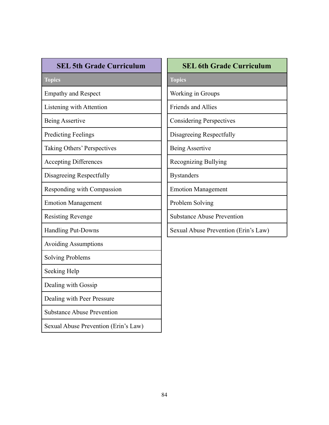**Topics**

Empathy and Respect

Listening with Attention

Being Assertive

Predicting Feelings

Taking Others' Perspectives

Accepting Differences

Disagreeing Respectfully

Responding with Compassion

Emotion Management

Resisting Revenge

Handling Put-Downs

Avoiding Assumptions

Solving Problems

Seeking Help

Dealing with Gossip

Dealing with Peer Pressure

Substance Abuse Prevention

Sexual Abuse Prevention (Erin's Law)

#### **SEL 6th Grade Curriculum**

**Topics**

Working in Groups

Friends and Allies

Considering Perspectives

Disagreeing Respectfully

Being Assertive

Recognizing Bullying

Bystanders

Emotion Management

Problem Solving

Substance Abuse Prevention

Sexual Abuse Prevention (Erin's Law)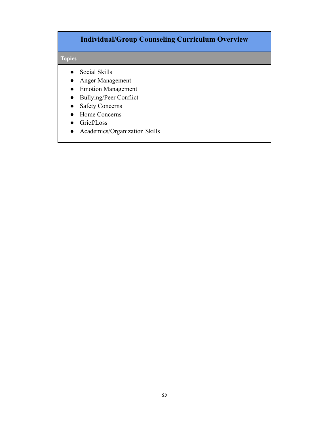### **Individual/Group Counseling Curriculum Overview**

#### **Topics**

- Social Skills
- Anger Management
- Emotion Management
- Bullying/Peer Conflict
- Safety Concerns
- Home Concerns
- Grief/Loss
- Academics/Organization Skills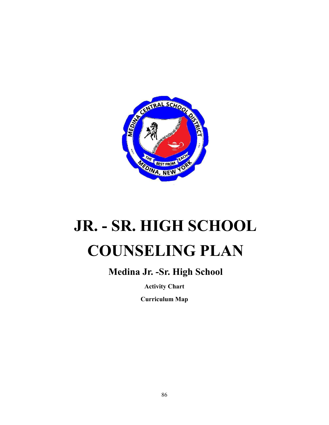

# **JR. - SR. HIGH SCHOOL COUNSELING PLAN**

## **Medina Jr. -Sr. High School**

**Activity Chart**

**Curriculum Map**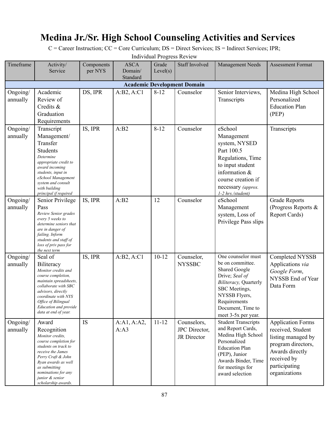## **Medina Jr./Sr. High School Counseling Activities and Services**

C = Career Instruction; CC = Core Curriculum; DS = Direct Services; IS = Indirect Services; IPR;

Individual Progress Review

| Timeframe                          | Activity/                                                                                                                                                                                                                                               | Components | <b>ASCA</b>         | Grade     | <b>Staff Involved</b>                       | Management Needs                                                                                                                                                                                        | <b>Assessment Format</b>                                                                                                                                      |  |  |  |  |
|------------------------------------|---------------------------------------------------------------------------------------------------------------------------------------------------------------------------------------------------------------------------------------------------------|------------|---------------------|-----------|---------------------------------------------|---------------------------------------------------------------------------------------------------------------------------------------------------------------------------------------------------------|---------------------------------------------------------------------------------------------------------------------------------------------------------------|--|--|--|--|
|                                    | Service                                                                                                                                                                                                                                                 | per NYS    | Domain/<br>Standard | Level(s)  |                                             |                                                                                                                                                                                                         |                                                                                                                                                               |  |  |  |  |
| <b>Academic Development Domain</b> |                                                                                                                                                                                                                                                         |            |                     |           |                                             |                                                                                                                                                                                                         |                                                                                                                                                               |  |  |  |  |
| Ongoing/<br>annually               | Academic<br>Review of<br>Credits &<br>Graduation<br>Requirements                                                                                                                                                                                        | DS, IPR    | A:B2, A:C1          | $8 - 12$  | Counselor                                   | Senior Interviews,<br>Transcripts                                                                                                                                                                       | Medina High School<br>Personalized<br><b>Education Plan</b><br>(PEP)                                                                                          |  |  |  |  |
| Ongoing/<br>annually               | Transcript<br>Management/<br>Transfer<br>Students<br>Determine<br>appropriate credit to<br>award incoming<br>students, input in<br>eSchool Management<br>system and consult<br>with building<br>principal if required                                   | IS, IPR    | A:B2                | $8 - 12$  | Counselor                                   | eSchool<br>Management<br>system, NYSED<br>Part 100.5<br>Regulations, Time<br>to input student<br>information $&$<br>course creation if<br>necessary (approx.<br>1-2 hrs./student)                       | Transcripts                                                                                                                                                   |  |  |  |  |
| Ongoing/<br>annually               | Senior Privilege<br>Pass<br>Review Senior grades<br>every 5 weeks to<br>determine seniors that<br>are in danger of<br>failing. Inform<br>students and staff of<br>loss of priv pass for<br>the next term                                                | IS, IPR    | A:B2                | 12        | Counselor                                   | eSchool<br>Management<br>system, Loss of<br>Privilege Pass slips                                                                                                                                        | <b>Grade Reports</b><br>(Progress Reports &<br>Report Cards)                                                                                                  |  |  |  |  |
| Ongoing/<br>annually               | Seal of<br>Biliteracy<br>Monitor credits and<br>course completion,<br>maintain spreadsheets,<br>collaborate with SBC<br>advisors, directly<br>coordinate with NYS<br><i><b>Office of Bilingual</b></i><br>Education and provide<br>data at end of year. | IS, IPR    | A:B2, A:C1          | $10 - 12$ | Counselor,<br><b>NYSSBC</b>                 | One counselor must<br>be on committee.<br><b>Shared Google</b><br>Drive; Seal of<br>Biliteracy, Quarterly<br>SBC Meetings,<br>NYSSB Flyers,<br>Requirements<br>Document, Time to<br>meet 3-5x per year. | Completed NYSSB<br>Applications via<br>Google Form,<br>NYSSB End of Year<br>Data Form                                                                         |  |  |  |  |
| Ongoing/<br>annually               | Award<br>Recognition<br>Monitor credits,<br>course completion for<br>students on track to<br>receive the James<br>Perry Craft & John<br>Ryan awards as well<br>as submitting<br>nominations for any<br>junior & senior<br>scholarship awards.           | <b>IS</b>  | A:A1, A:A2,<br>A:A3 | $11 - 12$ | Counselors,<br>JPC Director,<br>JR Director | <b>Student Transcripts</b><br>and Report Cards,<br>Medina High School<br>Personalized<br><b>Education Plan</b><br>(PEP), Junior<br>Awards Binder, Time<br>for meetings for<br>award selection           | <b>Application Forms</b><br>received, Student<br>listing managed by<br>program directors,<br>Awards directly<br>received by<br>participating<br>organizations |  |  |  |  |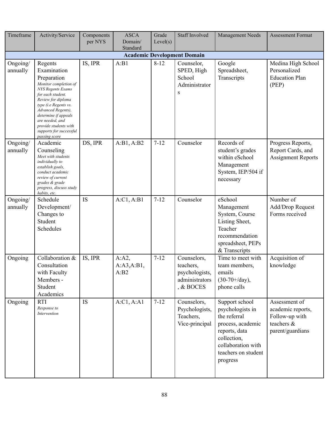| Timeframe                                      | Activity/Service                                                                                                                                                                                                                                                                                     | Components<br>per NYS | <b>ASCA</b><br>Domain/      | Grade<br>Level(s) | <b>Staff Involved</b>                                                     | Management Needs                                                                                                                                                 | <b>Assessment Format</b>                                                               |  |  |  |
|------------------------------------------------|------------------------------------------------------------------------------------------------------------------------------------------------------------------------------------------------------------------------------------------------------------------------------------------------------|-----------------------|-----------------------------|-------------------|---------------------------------------------------------------------------|------------------------------------------------------------------------------------------------------------------------------------------------------------------|----------------------------------------------------------------------------------------|--|--|--|
| Standard<br><b>Academic Development Domain</b> |                                                                                                                                                                                                                                                                                                      |                       |                             |                   |                                                                           |                                                                                                                                                                  |                                                                                        |  |  |  |
| Ongoing/<br>annually                           | Regents<br>Examination<br>Preparation<br>Monitor completion of<br><b>NYS Regents Exams</b><br>for each student.<br>Review for diploma<br>type (i.e Regents vs.<br>Advanced Regents),<br>determine if appeals<br>are needed, and<br>provide students with<br>supports for successful<br>passing score | IS, IPR               | A:B1                        | $8 - 12$          | Counselor,<br>SPED, High<br>School<br>Administrator<br>S                  | Google<br>Spreadsheet,<br>Transcripts                                                                                                                            | Medina High School<br>Personalized<br><b>Education Plan</b><br>(PEP)                   |  |  |  |
| Ongoing/<br>annually                           | Academic<br>Counseling<br>Meet with students<br>individually to<br>establish goals,<br>conduct academic<br>review of current<br>grades & grade<br>progress, discuss study<br>habits, etc.                                                                                                            | DS, IPR               | A:B1, A:B2                  | $7 - 12$          | Counselor                                                                 | Records of<br>student's grades<br>within eSchool<br>Management<br>System, IEP/504 if<br>necessary                                                                | Progress Reports,<br>Report Cards, and<br><b>Assignment Reports</b>                    |  |  |  |
| Ongoing/<br>annually                           | Schedule<br>Development/<br>Changes to<br>Student<br>Schedules                                                                                                                                                                                                                                       | IS                    | A:Cl, A:B1                  | $7 - 12$          | Counselor                                                                 | eSchool<br>Management<br>System, Course<br>Listing Sheet,<br>Teacher<br>recommendation<br>spreadsheet, PEPs<br>& Transcripts                                     | Number of<br>Add/Drop Request<br>Forms received                                        |  |  |  |
| Ongoing                                        | Collaboration &<br>Consultation<br>with Faculty<br>Members -<br>Student<br>Academics                                                                                                                                                                                                                 | IS, IPR               | A:A2,<br>A:A3,A:B1,<br>A:B2 | $7 - 12$          | Counselors,<br>teachers,<br>psychologists,<br>administrators<br>, & BOCES | Time to meet with<br>team members,<br>emails<br>$(30-70+\frac{\text{day}}{\text{day}})$ ,<br>phone calls                                                         | Acquisition of<br>knowledge                                                            |  |  |  |
| Ongoing                                        | <b>RTI</b><br>Response to<br>Intervention                                                                                                                                                                                                                                                            | IS                    | A:Cl, A:AI                  | $7 - 12$          | Counselors,<br>Psychologists,<br>Teachers,<br>Vice-principal              | Support school<br>psychologists in<br>the referral<br>process, academic<br>reports, data<br>collection,<br>collaboration with<br>teachers on student<br>progress | Assessment of<br>academic reports,<br>Follow-up with<br>teachers &<br>parent/guardians |  |  |  |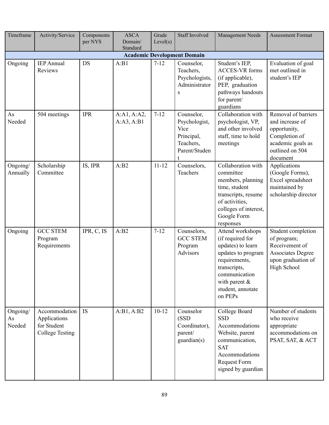| Timeframe                          | Activity/Service                                                       | Components<br>per NYS | <b>ASCA</b><br>Domain/<br>Standard | Grade<br>Level(s) | <b>Staff Involved</b>                                                           | <b>Management Needs</b>                                                                                                                                                               | <b>Assessment Format</b>                                                                                                    |  |  |  |  |
|------------------------------------|------------------------------------------------------------------------|-----------------------|------------------------------------|-------------------|---------------------------------------------------------------------------------|---------------------------------------------------------------------------------------------------------------------------------------------------------------------------------------|-----------------------------------------------------------------------------------------------------------------------------|--|--|--|--|
| <b>Academic Development Domain</b> |                                                                        |                       |                                    |                   |                                                                                 |                                                                                                                                                                                       |                                                                                                                             |  |  |  |  |
| Ongoing                            | <b>IEP</b> Annual<br>Reviews                                           | <b>DS</b>             | A:B1                               | $7 - 12$          | Counselor,<br>Teachers,<br>Psychologists,<br>Administrator<br>S                 | Student's IEP,<br><b>ACCES-VR</b> forms<br>(if applicable),<br>PEP, graduation<br>pathways handouts<br>for parent/<br>guardians                                                       | Evaluation of goal<br>met outlined in<br>student's IEP                                                                      |  |  |  |  |
| As<br>Needed                       | 504 meetings                                                           | <b>IPR</b>            | A:A1, A:A2,<br>A:A3, A:B1          | $7 - 12$          | Counselor,<br>Psychologist,<br>Vice<br>Principal,<br>Teachers,<br>Parent/Studen | Collaboration with<br>psychologist, VP,<br>and other involved<br>staff, time to hold<br>meetings                                                                                      | Removal of barriers<br>and increase of<br>opportunity,<br>Completion of<br>academic goals as<br>outlined on 504<br>document |  |  |  |  |
| Ongoing/<br>Annually               | Scholarship<br>Committee                                               | IS, IPR               | A:B2                               | $11 - 12$         | Counselors,<br>Teachers                                                         | Collaboration with<br>committee<br>members, planning<br>time, student<br>transcripts, resume<br>of activities,<br>colleges of interest,<br>Google Form<br>responses                   | Applications<br>(Google Forms),<br>Excel spreadsheet<br>maintained by<br>scholarship director                               |  |  |  |  |
| Ongoing                            | <b>GCC STEM</b><br>Program<br>Requirements                             | IPR, C, IS            | A:B2                               | $7 - 12$          | Counselors,<br><b>GCC STEM</b><br>Program<br><b>Advisors</b>                    | Attend workshops<br>(if required for<br>updates) to learn<br>updates to program<br>requirements,<br>transcripts,<br>communication<br>with parent $\&$<br>student, annotate<br>on PEPs | Student completion<br>of program;<br>Receivement of<br><b>Associates Degree</b><br>upon graduation of<br>High School        |  |  |  |  |
| Ongoing/<br>As<br>Needed           | Accommodation<br>Applications<br>for Student<br><b>College Testing</b> | <b>IS</b>             | A:B1, A:B2                         | $10 - 12$         | Counselor<br>(SSD)<br>Coordinator),<br>parent/<br>guardian(s)                   | College Board<br><b>SSD</b><br>Accommodations<br>Website, parent<br>communication,<br><b>SAT</b><br>Accommodations<br><b>Request Form</b><br>signed by guardian                       | Number of students<br>who receive<br>appropriate<br>accommodations on<br>PSAT, SAT, & ACT                                   |  |  |  |  |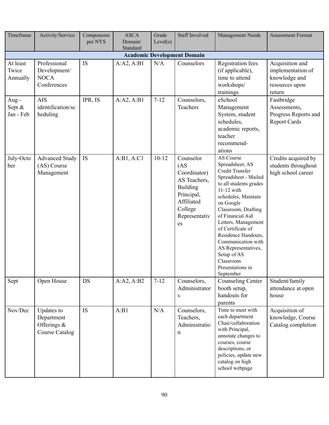| Timeframe                          | Activity/Service                                                    | Components<br>per NYS | <b>ASCA</b><br>Domain/<br>Standard | Grade<br>Level(s) | <b>Staff Involved</b>                                                                                                                            | <b>Management Needs</b>                                                                                                                                                                                                                                                                                                                                                       | <b>Assessment Format</b>                                                          |  |  |  |  |
|------------------------------------|---------------------------------------------------------------------|-----------------------|------------------------------------|-------------------|--------------------------------------------------------------------------------------------------------------------------------------------------|-------------------------------------------------------------------------------------------------------------------------------------------------------------------------------------------------------------------------------------------------------------------------------------------------------------------------------------------------------------------------------|-----------------------------------------------------------------------------------|--|--|--|--|
| <b>Academic Development Domain</b> |                                                                     |                       |                                    |                   |                                                                                                                                                  |                                                                                                                                                                                                                                                                                                                                                                               |                                                                                   |  |  |  |  |
| At least<br>Twice<br>Annually      | Professional<br>Development/<br><b>NOCA</b><br>Conferences          | <b>IS</b>             | A:A2, A:B1                         | N/A               | Counselors                                                                                                                                       | <b>Registration fees</b><br>(if applicable),<br>time to attend<br>workshops/<br>trainings                                                                                                                                                                                                                                                                                     | Acquisition and<br>implementation of<br>knowledge and<br>resources upon<br>return |  |  |  |  |
| Aug-<br>Sept &<br>Jan - Feb        | <b>AIS</b><br>identification/sc<br>heduling                         | IPR, IS               | A:A2, A:B1                         | $7 - 12$          | Counselors,<br>Teachers                                                                                                                          | eSchool<br>Management<br>System, student<br>schedules,<br>academic reports,<br>teacher<br>recommend-<br>ations                                                                                                                                                                                                                                                                | Fastbridge<br>Assessments,<br>Progress Reports and<br><b>Report Cards</b>         |  |  |  |  |
| July-Octo<br>ber                   | <b>Advanced Study</b><br>(AS) Course<br>Management                  | IS                    | A:B1, A:C1                         | $10 - 12$         | Counselor<br>(AS <sup>2</sup> )<br>Coordinator)<br>AS Teachers,<br><b>Building</b><br>Principal,<br>Affiliated<br>College<br>Representativ<br>es | AS Course<br>Spreadsheet, AS<br>Credit Transfer<br>Spreadsheet - Mailed<br>to all students grades<br>$11-12$ with<br>schedules, Maintain<br>on Google<br>Classroom, Drafting<br>of Financial Aid<br>Letters, Management<br>of Certificate of<br>Residence Handouts,<br>Communication with<br>AS Representatives,<br>Setup of AS<br>Classroom<br>Presentations in<br>September | Credits acquired by<br>students throughout<br>high school career                  |  |  |  |  |
| Sept                               | Open House                                                          | <b>DS</b>             | A:A2, A:B2                         | $7 - 12$          | Counselors,<br>Administrator<br>$\mathbf S$                                                                                                      | Counseling Center<br>booth setup,<br>handouts for<br>parents                                                                                                                                                                                                                                                                                                                  | Student/family<br>attendance at open<br>house                                     |  |  |  |  |
| Nov/Dec                            | Updates to<br>Department<br>Offerings $\&$<br><b>Course Catalog</b> | <b>IS</b>             | A:B1                               | N/A               | Counselors,<br>Teachers,<br>Administratio<br>n                                                                                                   | Time to meet with<br>each department<br>Chair/collaboration<br>with Principal,<br>annotate changes to<br>courses, course<br>descriptions, or<br>policies, update new<br>catalog on high<br>school webpage                                                                                                                                                                     | Acquisition of<br>knowledge, Course<br>Catalog completion                         |  |  |  |  |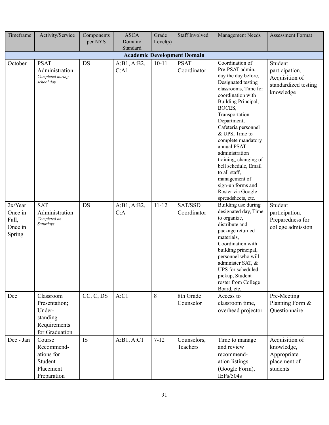| Timeframe                                        | Activity/Service                                                                   | Components<br>per NYS | <b>ASCA</b><br>Domain/ | Grade<br>Level(s) | <b>Staff Involved</b>      | Management Needs                                                                                                                                                                                                                                                                                                                                                                                                                                  | <b>Assessment Format</b>                                                         |  |  |  |  |
|--------------------------------------------------|------------------------------------------------------------------------------------|-----------------------|------------------------|-------------------|----------------------------|---------------------------------------------------------------------------------------------------------------------------------------------------------------------------------------------------------------------------------------------------------------------------------------------------------------------------------------------------------------------------------------------------------------------------------------------------|----------------------------------------------------------------------------------|--|--|--|--|
| Standard<br><b>Academic Development Domain</b>   |                                                                                    |                       |                        |                   |                            |                                                                                                                                                                                                                                                                                                                                                                                                                                                   |                                                                                  |  |  |  |  |
| October                                          | <b>PSAT</b><br>Administration<br>Completed during<br>school day                    | <b>DS</b>             | A; B1, A:B2,<br>C:A1   | $10 - 11$         | <b>PSAT</b><br>Coordinator | Coordination of<br>Pre-PSAT admin.<br>day the day before,<br>Designated testing<br>classrooms, Time for<br>coordination with<br>Building Principal,<br>BOCES,<br>Transportation<br>Department,<br>Cafeteria personnel<br>& UPS, Time to<br>complete mandatory<br>annual PSAT<br>administration<br>training, changing of<br>bell schedule, Email<br>to all staff,<br>management of<br>sign-up forms and<br>Roster via Google<br>spreadsheets, etc. | Student<br>participation,<br>Acquisition of<br>standardized testing<br>knowledge |  |  |  |  |
| 2x/Year<br>Once in<br>Fall,<br>Once in<br>Spring | <b>SAT</b><br>Administration<br>Completed on<br>Saturdays                          | DS                    | A; B1, A:B2,<br>C:A    | $11 - 12$         | SAT/SSD<br>Coordinator     | Building use during<br>designated day, Time<br>to organize,<br>distribute and<br>package returned<br>materials,<br>Coordination with<br>building principal,<br>personnel who will<br>administer SAT, &<br>UPS for scheduled<br>pickup, Student<br>roster from College<br>Board, etc.                                                                                                                                                              | Student<br>participation,<br>Preparedness for<br>college admission               |  |  |  |  |
| Dec                                              | Classroom<br>Presentation;<br>Under-<br>standing<br>Requirements<br>for Graduation | CC, C, DS             | A:Cl                   | 8                 | 8th Grade<br>Counselor     | Access to<br>classroom time,<br>overhead projector                                                                                                                                                                                                                                                                                                                                                                                                | Pre-Meeting<br>Planning Form &<br>Questionnaire                                  |  |  |  |  |
| Dec - Jan                                        | Course<br>Recommend-<br>ations for<br>Student<br>Placement<br>Preparation          | <b>IS</b>             | A:B1, A:C1             | $7 - 12$          | Counselors,<br>Teachers    | Time to manage<br>and review<br>recommend-<br>ation listings<br>(Google Form),<br>IEPs/504s                                                                                                                                                                                                                                                                                                                                                       | Acquisition of<br>knowledge,<br>Appropriate<br>placement of<br>students          |  |  |  |  |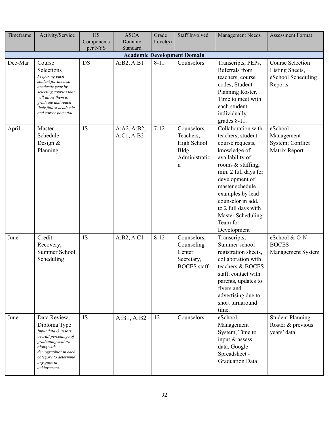| Timeframe                          | Activity/Service                                                                                                                                                                                            | <b>HS</b>             | <b>ASCA</b>               | Grade    | <b>Staff Involved</b>                                                   | Management Needs                                                                                                                                                                                                                                                                                 | <b>Assessment Format</b>                                                    |  |  |  |
|------------------------------------|-------------------------------------------------------------------------------------------------------------------------------------------------------------------------------------------------------------|-----------------------|---------------------------|----------|-------------------------------------------------------------------------|--------------------------------------------------------------------------------------------------------------------------------------------------------------------------------------------------------------------------------------------------------------------------------------------------|-----------------------------------------------------------------------------|--|--|--|
|                                    |                                                                                                                                                                                                             | Components<br>per NYS | Domain/<br>Standard       | Level(s) |                                                                         |                                                                                                                                                                                                                                                                                                  |                                                                             |  |  |  |
| <b>Academic Development Domain</b> |                                                                                                                                                                                                             |                       |                           |          |                                                                         |                                                                                                                                                                                                                                                                                                  |                                                                             |  |  |  |
| Dec-Mar                            | Course<br>Selections<br>Preparing each<br>student for the next<br>academic year by<br>selecting courses that<br>will allow them to<br>graduate and reach<br>their fullest academic<br>and career potential. | <b>DS</b>             | A:B2, A:B1                | $8 - 11$ | Counselors                                                              | Transcripts, PEPs,<br>Referrals from<br>teachers, course<br>codes, Student<br>Planning Roster,<br>Time to meet with<br>each student<br>individually,<br>grades $8-11$ .                                                                                                                          | <b>Course Selection</b><br>Listing Sheets,<br>eSchool Scheduling<br>Reports |  |  |  |
| April                              | Master<br>Schedule<br>Design $&$<br>Planning                                                                                                                                                                | IS                    | A:A2, A:B2,<br>A:Cl, A:B2 | $7 - 12$ | Counselors,<br>Teachers,<br>High School<br>Bldg.<br>Administratio<br>n  | Collaboration with<br>teachers, student<br>course requests,<br>knowledge of<br>availability of<br>rooms & staffing,<br>min. 2 full days for<br>development of<br>master schedule<br>examples by lead<br>counselor in add.<br>to 2 full days with<br>Master Scheduling<br>Team for<br>Development | eSchool<br>Management<br>System; Conflict<br>Matrix Report                  |  |  |  |
| June                               | Credit<br>Recovery;<br>Summer School<br>Scheduling                                                                                                                                                          | <b>IS</b>             | A:B2, A:C1                | $8 - 12$ | Counselors,<br>Counseling<br>Center<br>Secretary,<br><b>BOCES</b> staff | Transcripts,<br>Summer school<br>registration sheets,<br>collaboration with<br>teachers & BOCES<br>staff, contact with<br>parents, updates to<br>flyers and<br>advertising due to<br>short turnaround<br>time.                                                                                   | eSchool & O-N<br><b>BOCES</b><br>Management System                          |  |  |  |
| June                               | Data Review;<br>Diploma Type<br>Input data & assess<br>overall percentage of<br>graduating seniors<br>along with<br>demographics in each<br>category to determine<br>any gaps in<br>achievement.            | IS                    | A:B1, A:B2                | 12       | Counselors                                                              | eSchool<br>Management<br>System, Time to<br>input & assess<br>data, Google<br>Spreadsheet -<br><b>Graduation Data</b>                                                                                                                                                                            | <b>Student Planning</b><br>Roster & previous<br>years' data                 |  |  |  |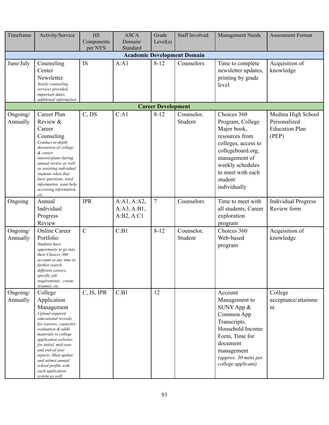| Timeframe                          | Activity/Service                                                                                                                                                                                                                                                                                                                        | <b>HS</b><br>Components | <b>ASCA</b><br>Domain/                   | Grade<br>Level(s)         | <b>Staff Involved</b> | <b>Management Needs</b>                                                                                                                                                                           | <b>Assessment Format</b>                                             |  |  |  |
|------------------------------------|-----------------------------------------------------------------------------------------------------------------------------------------------------------------------------------------------------------------------------------------------------------------------------------------------------------------------------------------|-------------------------|------------------------------------------|---------------------------|-----------------------|---------------------------------------------------------------------------------------------------------------------------------------------------------------------------------------------------|----------------------------------------------------------------------|--|--|--|
|                                    |                                                                                                                                                                                                                                                                                                                                         | per NYS                 | Standard                                 |                           |                       |                                                                                                                                                                                                   |                                                                      |  |  |  |
| <b>Academic Development Domain</b> |                                                                                                                                                                                                                                                                                                                                         |                         |                                          |                           |                       |                                                                                                                                                                                                   |                                                                      |  |  |  |
| June/July                          | Counseling<br>Center<br>Newsletter<br>Yearly counseling<br>services provided,<br>important dates,<br>additional information                                                                                                                                                                                                             | IS                      | A:A1                                     | $8 - 12$                  | Counselors            | Time to complete<br>newsletter updates,<br>printing by grade<br>level                                                                                                                             | Acquisition of<br>knowledge                                          |  |  |  |
|                                    |                                                                                                                                                                                                                                                                                                                                         |                         |                                          | <b>Career Development</b> |                       |                                                                                                                                                                                                   |                                                                      |  |  |  |
| Ongoing/<br>Annually               | Career Plan<br>Review &<br>Career<br>Counseling<br>Conduct in-depth<br>discussion of college<br>& career<br>interest/plans during<br>annual review as well<br>as assisting individual<br>students when they<br>have questions, need<br>information, want help<br>accessing information,<br>etc.                                         | C, DS                   | C:A1                                     | $8 - 12$                  | Counselor,<br>Student | Choices 360<br>Program, College<br>Major book,<br>resources from<br>colleges, access to<br>collegeboard.org,<br>management of<br>weekly schedules<br>to meet with each<br>student<br>individually | Medina High School<br>Personalized<br><b>Education Plan</b><br>(PEP) |  |  |  |
| Ongoing                            | Annual<br>Individual<br>Progress<br>Review                                                                                                                                                                                                                                                                                              | <b>IPR</b>              | A:A1, A:A2,<br>A:A3, A:B1,<br>A:B2, A:C1 | $\overline{7}$            | Counselors            | Time to meet with<br>all students, Career<br>exploration<br>program                                                                                                                               | <b>Individual Progress</b><br>Review form                            |  |  |  |
| Ongoing/<br>Annually               | <b>Online Career</b><br>Portfolio<br>Students have<br>opportunity to go into<br>their Choices 360<br>account at any time to<br>further search<br>different careers,<br>specific job<br>requirements, create<br>resumes, etc.                                                                                                            | $\mathcal{C}$           | C:B1                                     | $8 - 12$                  | Counselor,<br>Student | Choices 360<br>Web-based<br>program                                                                                                                                                               | Acquisition of<br>knowledge                                          |  |  |  |
| Ongoing/<br>Annually               | College<br>Application<br>Management<br>Upload required<br>educational records,<br>fee waivers, counselor<br>evaluation & addtl.<br>materials to college<br>application websites<br>for initial, mid-year<br>and end-of year<br>reports. Must update<br>and submit annual<br>school profile with<br>each application<br>system as well. | C, IS, IPR              | C:B1                                     | 12                        |                       | Account<br>Management to<br>SUNY App &<br>Common App<br>Transcripts,<br>Household Income<br>Form, Time for<br>document<br>management<br>(approx. 30 mins per<br>college applicant)                | College<br>acceptance/attainme<br>nt                                 |  |  |  |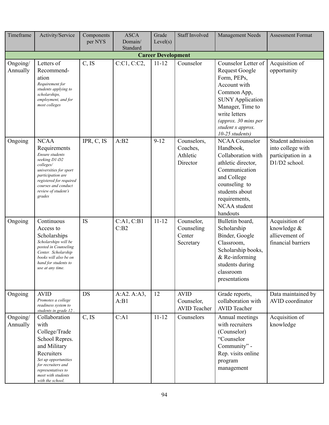| Timeframe                 | Activity/Service                                                                                                                                                                                               | Components<br>per NYS | <b>ASCA</b><br>Domain/ | Grade<br>Level(s) | <b>Staff Involved</b>                            | <b>Management Needs</b>                                                                                                                                                                                                    | <b>Assessment Format</b>                                                      |  |  |  |  |  |
|---------------------------|----------------------------------------------------------------------------------------------------------------------------------------------------------------------------------------------------------------|-----------------------|------------------------|-------------------|--------------------------------------------------|----------------------------------------------------------------------------------------------------------------------------------------------------------------------------------------------------------------------------|-------------------------------------------------------------------------------|--|--|--|--|--|
|                           |                                                                                                                                                                                                                |                       | Standard               |                   |                                                  |                                                                                                                                                                                                                            |                                                                               |  |  |  |  |  |
| <b>Career Development</b> |                                                                                                                                                                                                                |                       |                        |                   |                                                  |                                                                                                                                                                                                                            |                                                                               |  |  |  |  |  |
| Ongoing/<br>Annually      | Letters of<br>Recommend-<br>ation<br>Requirement for<br>students applying to<br>scholarships,<br>employment, and for<br>most colleges                                                                          | C, IS                 | C:C1, C:C2,            | $11 - 12$         | Counselor                                        | Counselor Letter of<br><b>Request Google</b><br>Form, PEPs,<br>Account with<br>Common App,<br><b>SUNY Application</b><br>Manager, Time to<br>write letters<br>(approx. 30 mins per<br>student x approx.<br>10-25 students) | Acquisition of<br>opportunity                                                 |  |  |  |  |  |
| Ongoing                   | <b>NCAA</b><br>Requirements<br>Ensure students<br>seeking D1-D2<br>colleges/<br>universities for sport<br>participation are<br>registered for required<br>courses and conduct<br>review of student's<br>grades | IPR, C, IS            | A:B2                   | $9 - 12$          | Counselors,<br>Coaches,<br>Athletic<br>Director  | <b>NCAA Counselor</b><br>Handbook,<br>Collaboration with<br>athletic director,<br>Communication<br>and College<br>counseling to<br>students about<br>requirements,<br>NCAA student<br>handouts                             | Student admission<br>into college with<br>participation in a<br>D1/D2 school. |  |  |  |  |  |
| Ongoing                   | Continuous<br>Access to<br>Scholarships<br>Scholarships will be<br>posted in Counseling<br>Center. Scholarship<br>books will also be on<br>hand for students to<br>use at any time.                            | IS                    | C:A1, C:B1<br>C:B2     | $11 - 12$         | Counselor,<br>Counseling<br>Center<br>Secretary  | Bulletin board,<br>Scholarship<br>Binder, Google<br>Classroom,<br>Scholarship books,<br>$&$ Re-informing<br>students during<br>classroom<br>presentations                                                                  | Acquisition of<br>knowledge &<br>allievement of<br>financial barriers         |  |  |  |  |  |
| Ongoing                   | <b>AVID</b><br>Promotes a college<br>readiness system to<br>students in grade 12.                                                                                                                              | <b>DS</b>             | A:A2.A:A3,<br>A:B1     | 12                | <b>AVID</b><br>Counselor,<br><b>AVID</b> Teacher | Grade reports,<br>collaboration with<br><b>AVID</b> Teacher                                                                                                                                                                | Data maintained by<br>AVID coordinator                                        |  |  |  |  |  |
| Ongoing/<br>Annually      | Collaboration<br>with<br>College/Trade<br>School Repres.<br>and Military<br>Recruiters<br>Set up opportunities<br>for recruiters and<br>representatives to<br>meet with students<br>with the school.           | C, IS                 | C:A1                   | $11 - 12$         | Counselors                                       | Annual meetings<br>with recruiters<br>(Counselor)<br>"Counselor<br>Community" -<br>Rep. visits online<br>program<br>management                                                                                             | Acquisition of<br>knowledge                                                   |  |  |  |  |  |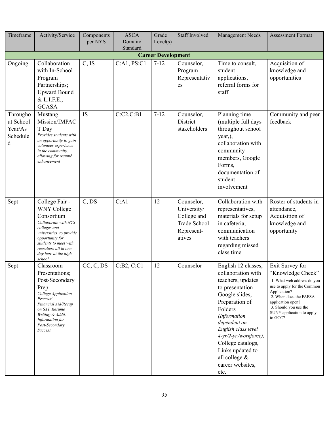| Timeframe                                         | Activity/Service                                                                                                                                                                                                              | Components<br>per NYS | <b>ASCA</b><br>Domain/<br>Standard | Grade<br>Level(s) | <b>Staff Involved</b>                                                                   | <b>Management Needs</b>                                                                                                                                                                                                                                                                                 | <b>Assessment Format</b>                                                                                                                                                                                                          |  |  |  |  |
|---------------------------------------------------|-------------------------------------------------------------------------------------------------------------------------------------------------------------------------------------------------------------------------------|-----------------------|------------------------------------|-------------------|-----------------------------------------------------------------------------------------|---------------------------------------------------------------------------------------------------------------------------------------------------------------------------------------------------------------------------------------------------------------------------------------------------------|-----------------------------------------------------------------------------------------------------------------------------------------------------------------------------------------------------------------------------------|--|--|--|--|
| <b>Career Development</b>                         |                                                                                                                                                                                                                               |                       |                                    |                   |                                                                                         |                                                                                                                                                                                                                                                                                                         |                                                                                                                                                                                                                                   |  |  |  |  |
| Ongoing                                           | Collaboration<br>with In-School<br>Program<br>Partnerships;<br><b>Upward Bound</b><br>& L.I.F.E.,<br><b>GCASA</b>                                                                                                             | C, IS                 | C:A1, PS:C1                        | $7 - 12$          | Counselor,<br>Program<br>Representativ<br>es                                            | Time to consult,<br>student<br>applications,<br>referral forms for<br>staff                                                                                                                                                                                                                             | Acquisition of<br>knowledge and<br>opportunities                                                                                                                                                                                  |  |  |  |  |
| Througho<br>ut School<br>Year/As<br>Schedule<br>d | Mustang<br>Mission/IMPAC<br>T Day<br>Provides students with<br>an opportunity to gain<br>volunteer experience<br>in the community,<br>allowing for resumé<br>enhancement                                                      | <b>IS</b>             | C:C2,C:B1                          | $7 - 12$          | Counselor,<br>District<br>stakeholders                                                  | Planning time<br>(multiple full days<br>throughout school<br>year,),<br>collaboration with<br>community<br>members, Google<br>Forms,<br>documentation of<br>student<br>involvement                                                                                                                      | Community and peer<br>feedback                                                                                                                                                                                                    |  |  |  |  |
| Sept                                              | College Fair -<br><b>WNY College</b><br>Consortium<br>Collaborate with NYS<br>colleges and<br>universities to provide<br>opportunity for<br>students to meet with<br>recruiters all in one<br>day here at the high<br>school. | C, DS                 | C:A1                               | 12                | Counselor,<br>University/<br>College and<br><b>Trade School</b><br>Represent-<br>atives | Collaboration with<br>representatives,<br>materials for setup<br>in cafeteria,<br>communication<br>with teachers<br>regarding missed<br>class time                                                                                                                                                      | Roster of students in<br>attendance,<br>Acquisition of<br>knowledge and<br>opportunity                                                                                                                                            |  |  |  |  |
| Sept                                              | Classroom<br>Presentations;<br>Post-Secondary<br>Prep.<br>College Application<br>Process/<br>Financial Aid/Recap<br>on SAT, Resume<br>Writing & Addtl.<br>Information for<br>Post-Secondary<br><b>Success</b>                 | CC, C, DS             | C:B2, C:C1                         | 12                | Counselor                                                                               | English 12 classes,<br>collaboration with<br>teachers, updates<br>to presentation<br>Google slides,<br>Preparation of<br>Folders<br>(Information<br>dependent on<br>English class level<br>4-yr/2-yr./workforce),<br>College catalogs,<br>Links updated to<br>all college &<br>career websites,<br>etc. | Exit Survey for<br>"Knowledge Check"<br>1. What web address do you<br>use to apply for the Common<br>Application?<br>2. When does the FAFSA<br>application open?<br>3. Should you use the<br>SUNY application to apply<br>to GCC? |  |  |  |  |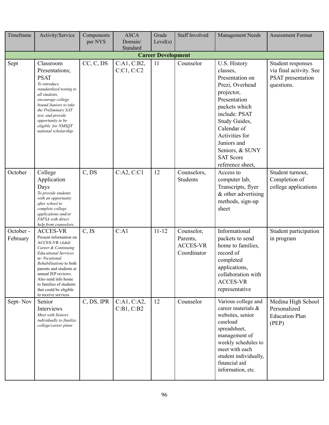| Timeframe                 | Activity/Service                                                                                                                                                                                                                                                                                                                   | Components<br>per NYS | <b>ASCA</b><br>Domain/    | Grade<br>Level(s) | <b>Staff Involved</b>                                    | Management Needs                                                                                                                                                                                                                                           | <b>Assessment Format</b>                                                        |
|---------------------------|------------------------------------------------------------------------------------------------------------------------------------------------------------------------------------------------------------------------------------------------------------------------------------------------------------------------------------|-----------------------|---------------------------|-------------------|----------------------------------------------------------|------------------------------------------------------------------------------------------------------------------------------------------------------------------------------------------------------------------------------------------------------------|---------------------------------------------------------------------------------|
|                           |                                                                                                                                                                                                                                                                                                                                    |                       | Standard                  |                   |                                                          |                                                                                                                                                                                                                                                            |                                                                                 |
| <b>Career Development</b> |                                                                                                                                                                                                                                                                                                                                    |                       |                           |                   |                                                          |                                                                                                                                                                                                                                                            |                                                                                 |
| Sept                      | Classroom<br>Presentations;<br><b>PSAT</b><br>To introduce<br>standardized testing to<br>all students,<br>encourage college<br>bound Juniors to take<br>the Preliminary SAT<br>test, and provide<br>opportunity to be<br>eligible for NMSQT<br>national scholarship.                                                               | CC, C, DS             | C:A1, C:B2,<br>C:Cl, C:Cl | 11                | Counselor                                                | U.S. History<br>classes,<br>Presentation on<br>Prezi, Overhead<br>projector,<br>Presentation<br>packets which<br>include: PSAT<br>Study Guides,<br>Calendar of<br>Activities for<br>Juniors and<br>Seniors, & SUNY<br><b>SAT Score</b><br>reference sheet, | Student responses<br>via final activity. See<br>PSAT presentation<br>questions. |
| October                   | College<br>Application<br>Days<br>To provide students<br>with an opportunity<br>after school to<br>complete college<br>applications and/or<br>FAFSA with direct<br>help from counselors.                                                                                                                                           | C, DS                 | C:A2, C:C1                | 12                | Counselors,<br><b>Students</b>                           | Access to<br>computer lab,<br>Transcripts, flyer<br>& other advertising<br>methods, sign-up<br>sheet                                                                                                                                                       | Student turnout,<br>Completion of<br>college applications                       |
| October -<br>February     | <b>ACCES-VR</b><br>Present information on<br><b>ACCES-VR</b> (Adult<br>Career & Continuing<br><b>Educational Services</b><br>m-Vocational<br><i>Rehabilitation</i> ) to both<br>parents and students at<br>annual IEP reviews.<br>Also send info home<br>to families of students<br>that could be eligible<br>to receive services. | C, IS                 | C:A1                      | $11 - 12$         | Counselor,<br>Parents,<br><b>ACCES-VR</b><br>Coordinator | Informational<br>packets to send<br>home to families,<br>record of<br>completed<br>applications,<br>collaboration with<br><b>ACCES-VR</b><br>representative                                                                                                | Student participation<br>in program                                             |
| Sept-Nov                  | Senior<br>Interviews<br>Meet with Seniors<br>individually to finalize<br>college/career plans                                                                                                                                                                                                                                      | C, DS, IPR            | C:A1, C:A2,<br>C:B1, C:B2 | 12                | Counselor                                                | Various college and<br>career materials &<br>websites, senior<br>caseload<br>spreadsheet,<br>management of<br>weekly schedules to<br>meet with each<br>student individually,<br>financial aid<br>information, etc.                                         | Medina High School<br>Personalized<br><b>Education Plan</b><br>(PEP)            |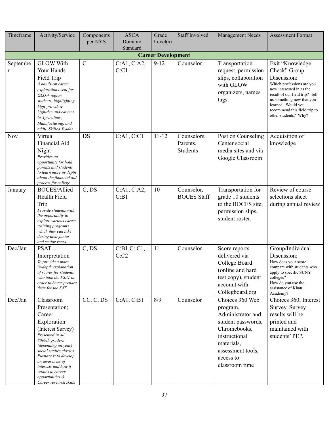| Timeframe     | Activity/Service                                                                                                                                                                                                                                                                                        | Components<br>per NYS | <b>ASCA</b><br>Domain/ | Grade<br>Level(s)         | <b>Staff Involved</b>                      | Management Needs                                                                                                                                                          | <b>Assessment Format</b>                                                                                                                                                                                                                             |
|---------------|---------------------------------------------------------------------------------------------------------------------------------------------------------------------------------------------------------------------------------------------------------------------------------------------------------|-----------------------|------------------------|---------------------------|--------------------------------------------|---------------------------------------------------------------------------------------------------------------------------------------------------------------------------|------------------------------------------------------------------------------------------------------------------------------------------------------------------------------------------------------------------------------------------------------|
|               |                                                                                                                                                                                                                                                                                                         |                       | Standard               |                           |                                            |                                                                                                                                                                           |                                                                                                                                                                                                                                                      |
|               |                                                                                                                                                                                                                                                                                                         |                       |                        | <b>Career Development</b> |                                            |                                                                                                                                                                           |                                                                                                                                                                                                                                                      |
| Septembe<br>r | <b>GLOW With</b><br>Your Hands<br>Field Trip<br>A hands-on career<br>exploration event for<br>GLOW region<br>students, highlighting<br>high-growth &<br>high-demand careers<br>in Agriculture,<br>Manufacturing, and<br>addtl. Skilled Trades                                                           | $\mathcal{C}$         | C:A1, C:A2,<br>C:Cl    | $9 - 12$                  | Counselor                                  | Transportation<br>request, permission<br>slips, collaboration<br>with GLOW<br>organizers, names<br>tags.                                                                  | Exit "Knowledge<br>Check" Group<br>Discussion:<br>Which professions are you<br>now interested in as the<br>result of our field trip? Tell<br>us something new that you<br>learned. Would you<br>recommend this field trip to<br>other students? Why? |
| <b>Nov</b>    | Virtual<br>Financial Aid<br>Night<br>Provides an<br>opportunity for both<br>parents and students<br>to learn more in-depth<br>about the financial aid<br>process for college.                                                                                                                           | <b>DS</b>             | C:A1, C:C1             | $11 - 12$                 | Counselors,<br>Parents,<br><b>Students</b> | Post on Counseling<br>Center social<br>media sites and via<br>Google Classroom                                                                                            | Acquisition of<br>knowledge                                                                                                                                                                                                                          |
| January       | <b>BOCES/Allied</b><br>Health Field<br>Trip<br>Provide students with<br>the opportunity to<br>explore various career<br>training programs<br>which they can take<br>during their junior<br>and senior years.                                                                                            | C, DS                 | C:A1, C:A2,<br>C:B1    | 10                        | Counselor,<br><b>BOCES</b> Staff           | Transportation for<br>grade 10 students<br>to the BOCES site,<br>permission slips,<br>student roster.                                                                     | Review of course<br>selections sheet<br>during annual review                                                                                                                                                                                         |
| Dec/Jan       | <b>PSAT</b><br>Interpretation<br>To provide a more<br>in-depth explanation<br>of scores for students<br>who took the PSAT in<br>order to better prepare<br>them for the SAT.                                                                                                                            | C, DS                 | C:B1,C:Cl,<br>C: C2    | 11                        | Counselor                                  | Score reports<br>delivered via<br>College Board<br>(online and hard<br>test copy), student<br>account with<br>Collegboard.org                                             | Group/Individual<br>Discussion:<br>How does your score<br>compare with students who<br>apply to specific SUNY<br>colleges?<br>How do you use the<br>assistance of Khan<br>Academy?                                                                   |
| Dec/Jan       | Classroom<br>Presentation;<br>Career<br>Exploration<br>(Interest Survey)<br>Presented in all<br>8th/9th graders<br>(depending on year)<br>social studies classes.<br>Purpose is to develop<br>an awareness of<br>interests and how it<br>relates to career<br>opportunities &<br>Career research skills | CC, C, DS             | C:A1, C:B1             | 8/9                       | Counselor                                  | Choices 360 Web<br>program,<br>Administrator and<br>student passwords,<br>Chromebooks,<br>instructional<br>materials,<br>assessment tools,<br>access to<br>classroom time | Choices 360; Interest<br>Survey. Survey<br>results will be<br>printed and<br>maintained with<br>students' PEP.                                                                                                                                       |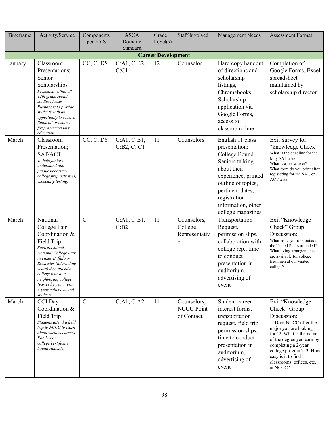| Timeframe | Activity/Service                                                                                                                                                                                                                                                                         | Components<br>per NYS | <b>ASCA</b><br>Domain/     | Grade<br>Level(s)         | <b>Staff Involved</b>                          | Management Needs                                                                                                                                                                                                 | <b>Assessment Format</b>                                                                                                                                                                                                                                                    |
|-----------|------------------------------------------------------------------------------------------------------------------------------------------------------------------------------------------------------------------------------------------------------------------------------------------|-----------------------|----------------------------|---------------------------|------------------------------------------------|------------------------------------------------------------------------------------------------------------------------------------------------------------------------------------------------------------------|-----------------------------------------------------------------------------------------------------------------------------------------------------------------------------------------------------------------------------------------------------------------------------|
|           |                                                                                                                                                                                                                                                                                          |                       | Standard                   |                           |                                                |                                                                                                                                                                                                                  |                                                                                                                                                                                                                                                                             |
|           |                                                                                                                                                                                                                                                                                          |                       |                            | <b>Career Development</b> |                                                |                                                                                                                                                                                                                  |                                                                                                                                                                                                                                                                             |
| January   | Classroom<br>Presentations;<br>Senior<br>Scholarships<br>Presented within all<br>12th grade social<br>studies classes.<br>Purpose is to provide<br>students with an<br>opportunity to receive<br>financial assistance<br>for post-secondary<br>education.                                | CC, C, DS             | C:A1, C:B2,<br>C:Cl        | 12                        | Counselor                                      | Hard copy handout<br>of directions and<br>scholarship<br>listings,<br>Chromebooks,<br>Scholarship<br>application via<br>Google Forms,<br>access to<br>classroom time                                             | Completion of<br>Google Forms. Excel<br>spreadsheet<br>maintained by<br>scholarship director.                                                                                                                                                                               |
| March     | Classroom<br>Presentation;<br>SAT/ACT<br>To help juniors<br>understand and<br>pursue necessary<br>college prep activities,<br>especially testing.                                                                                                                                        | CC, C, DS             | C:A1, C:B1,<br>C:B2, C: C1 | 11                        | Counselors                                     | English 11 class<br>presentation:<br>College Bound<br>Seniors talking<br>about their<br>experience, printed<br>outline of topics,<br>pertinent dates,<br>registration<br>information, other<br>college magazines | Exit Survey for<br>"knowledge Check"<br>What is the deadline for the<br>May SAT test?<br>What is a fee waiver?<br>What form do you print after<br>registering for the SAT, or<br>ACT test?                                                                                  |
| March     | National<br>College Fair<br>Coordination &<br>Field Trip<br>Students attend<br>National College Fair<br>in either Buffalo or<br>Rochester (alternating<br>years) then attend a<br>college tour at a<br>neighboring college<br>(varies by year). For<br>4-year college bound<br>students. | $\mathcal{C}$         | C:A1, C:B1,<br>C:B2        | 11                        | Counselors,<br>College<br>Representativ<br>e   | Transportation<br>Request,<br>permission slips,<br>collaboration with<br>college rep., time<br>to conduct<br>presentation in<br>auditorium,<br>advertising of<br>event                                           | Exit "Knowledge<br>Check" Group<br>Discussion:<br>What colleges from outside<br>the United States attended?<br>What living arrangements<br>are available for college<br>freshmen at our visited<br>college?                                                                 |
| March     | CCI Day<br>Coordination &<br>Field Trip<br>Students attend a field<br>trip to NCCC to learn<br>about various careers.<br>For 2-year<br>college/certificate<br>bound students.                                                                                                            | $\mathcal{C}$         | C:A1, C:A2                 | 11                        | Counselors,<br><b>NCCC Point</b><br>of Contact | Student career<br>interest forms,<br>transportation<br>request, field trip<br>permission slips,<br>time to conduct<br>presentation in<br>auditorium,<br>advertising of<br>event                                  | Exit "Knowledge<br>Check" Group<br>Discussion:<br>1. Does NCCC offer the<br>major you are looking<br>for? 2. What is the name<br>of the degree you earn by<br>completing a 2-year<br>college program? 3. How<br>easy is it to find<br>classrooms, offices, etc.<br>at NCCC? |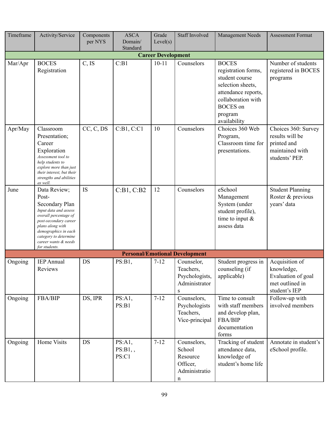| Timeframe | Activity/Service                                                                                                                                                                                                                 | Components<br>per NYS | <b>ASCA</b><br>Domain/<br>Standard | Grade<br>Level(s)         | <b>Staff Involved</b>                                                   | Management Needs                                                                                                                                                      | <b>Assessment Format</b>                                                                   |
|-----------|----------------------------------------------------------------------------------------------------------------------------------------------------------------------------------------------------------------------------------|-----------------------|------------------------------------|---------------------------|-------------------------------------------------------------------------|-----------------------------------------------------------------------------------------------------------------------------------------------------------------------|--------------------------------------------------------------------------------------------|
|           |                                                                                                                                                                                                                                  |                       |                                    | <b>Career Development</b> |                                                                         |                                                                                                                                                                       |                                                                                            |
| Mar/Apr   | <b>BOCES</b><br>Registration                                                                                                                                                                                                     | C, IS                 | C:B1                               | $10 - 11$                 | Counselors                                                              | <b>BOCES</b><br>registration forms,<br>student course<br>selection sheets,<br>attendance reports,<br>collaboration with<br><b>BOCES</b> on<br>program<br>availability | Number of students<br>registered in BOCES<br>programs                                      |
| Apr/May   | Classroom<br>Presentation;<br>Career<br>Exploration<br>Assessment tool to<br>help students to<br>explore more than just<br>their interest, but their<br>strengths and abilities<br>as well.                                      | CC, C, DS             | C:B1, C:C1                         | 10                        | Counselors                                                              | Choices 360 Web<br>Program,<br>Classroom time for<br>presentations.                                                                                                   | Choices 360: Survey<br>results will be<br>printed and<br>maintained with<br>students' PEP. |
| June      | Data Review;<br>Post-<br>Secondary Plan<br>Input data and assess<br>overall percentage of<br>post-secondary career<br>plans along with<br>demographics in each<br>category to determine<br>career wants & needs<br>for students. | IS                    | C:B1, C:B2                         | 12                        | Counselors                                                              | eSchool<br>Management<br>System (under<br>student profile),<br>time to input $&$<br>assess data                                                                       | <b>Student Planning</b><br>Roster & previous<br>years' data                                |
|           |                                                                                                                                                                                                                                  |                       |                                    |                           | <b>Personal/Emotional Development</b>                                   |                                                                                                                                                                       |                                                                                            |
| Ongoing   | <b>IEP</b> Annual<br>Reviews                                                                                                                                                                                                     | DS                    | PS:B1,                             | $7 - 12$                  | Counselor,<br>Teachers.<br>Psychologists,<br>Administrator<br>${\bf S}$ | Student progress in<br>counseling (if<br>applicable)                                                                                                                  | Acquisition of<br>knowledge,<br>Evaluation of goal<br>met outlined in<br>student's IEP     |
| Ongoing   | FBA/BIP                                                                                                                                                                                                                          | DS, IPR               | PS:A1,<br>PS:B1                    | $7 - 12$                  | Counselors,<br>Psychologists<br>Teachers,<br>Vice-principal             | Time to consult<br>with staff members<br>and develop plan,<br>FBA/BIP<br>documentation<br>forms                                                                       | Follow-up with<br>involved members                                                         |
| Ongoing   | Home Visits                                                                                                                                                                                                                      | DS                    | PS:A1,<br>PS:B1,<br>PS:C1          | $7 - 12$                  | Counselors,<br>School<br>Resource<br>Officer,<br>Administratio<br>n     | Tracking of student<br>attendance data,<br>knowledge of<br>student's home life                                                                                        | Annotate in student's<br>eSchool profile.                                                  |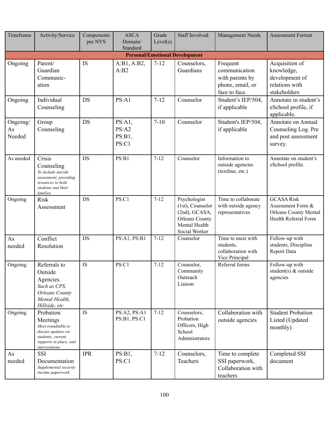| Timeframe                | Activity/Service                                                                                                                   | Components<br>per NYS | <b>ASCA</b><br>Domain/<br>Standard  | Grade<br>Level(s) | <b>Staff Involved</b>                                                                                           | Management Needs                                                                  | <b>Assessment Format</b>                                                                       |
|--------------------------|------------------------------------------------------------------------------------------------------------------------------------|-----------------------|-------------------------------------|-------------------|-----------------------------------------------------------------------------------------------------------------|-----------------------------------------------------------------------------------|------------------------------------------------------------------------------------------------|
|                          |                                                                                                                                    |                       |                                     |                   | <b>Personal/Emotional Development</b>                                                                           |                                                                                   |                                                                                                |
| Ongoing                  | Parent/<br>Guardian<br>Communic-<br>ation                                                                                          | <b>IS</b>             | A:B1, A:B2,<br>A:B2                 | $7 - 12$          | Counselors,<br>Guardians                                                                                        | Frequent<br>communication<br>with parents by<br>phone, email, or<br>face to face. | Acquisition of<br>knowledge,<br>development of<br>relations with<br>stakeholders               |
| Ongoing                  | Individual<br>Counseling                                                                                                           | <b>DS</b>             | PS: A1                              | $7 - 12$          | Counselor                                                                                                       | Student's IEP/504,<br>if applicable                                               | Annotate in student's<br>eSchool profile, if<br>applicable.                                    |
| Ongoing/<br>As<br>Needed | Group<br>Counseling                                                                                                                | <b>DS</b>             | PS:A1,<br>PS: A2<br>PS:B1,<br>PS:C1 | $7 - 10$          | Counselor                                                                                                       | Student's IEP/504,<br>if applicable                                               | Annotate on Annual<br>Counseling Log. Pre<br>and post assessment<br>survey.                    |
| As needed                | Crisis<br>Counseling<br>To include suicide<br>assessment, providing<br>resources to both<br>students and their<br>families         | <b>DS</b>             | PS:B1                               | $7 - 12$          | Counselor                                                                                                       | Information to<br>outside agencies<br>(textline, etc.)                            | Annotate on student's<br>eSchool profile.                                                      |
| Ongoing                  | <b>Risk</b><br>Assessment                                                                                                          | <b>DS</b>             | PS:C1                               | $7 - 12$          | Psychologist<br>$(1st)$ , Counselor<br>(2nd), GCASA,<br><b>Orleans County</b><br>Mental Health<br>Social Worker | Time to collaborate<br>with outside agency<br>representatives                     | <b>GCASA Risk</b><br>Assessment Form &<br><b>Orleans County Mental</b><br>Health Referral Form |
| As<br>needed             | Conflict<br>Resolution                                                                                                             | <b>DS</b>             | PS:A1, PS:B1                        | $7 - 12$          | Counselor                                                                                                       | Time to meet with<br>students,<br>collaboration with<br>Vice Principal            | Follow-up with<br>students, Discipline<br>Report Data                                          |
| Ongoing                  | Referrals to<br>Outside<br>Agencies<br>Such as CPS,<br><b>Orleans County</b><br>Mental Health,<br>Hillside, etc.                   | IS                    | PS:C1                               | $7 - 12$          | Counselor,<br>Community<br>Outreach<br>Liaison                                                                  | Referral forms                                                                    | Follow-up with<br>student(s) & outside<br>agencies                                             |
| Ongoing                  | Probation<br>Meetings<br>Meet roundtable to<br>discuss updates on<br>students, current<br>supports in place, and<br>interventions. | IS                    | PS:A2, PS:A1<br>PS:B1, PS:C1        | $7 - 12$          | Counselors,<br>Probation<br>Officers, High<br>School<br>Administrators                                          | Collaboration with<br>outside agencies                                            | <b>Student Probation</b><br>Listed (Updated<br>monthly)                                        |
| As<br>needed             | <b>SSI</b><br>Documentation<br>Supplemental security<br>income paperwork                                                           | <b>IPR</b>            | PS:B1,<br>PS:C1                     | $7 - 12$          | Counselors,<br>Teachers                                                                                         | Time to complete<br>SSI paperwork,<br>Collaboration with<br>teachers              | Completed SSI<br>document                                                                      |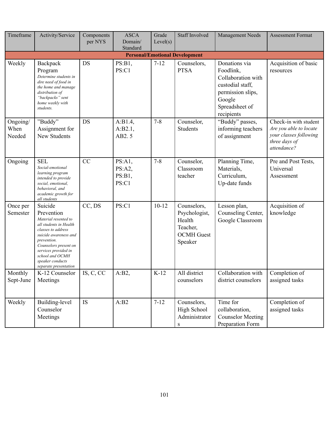| Timeframe                  | Activity/Service                                                                                                                                                                                                                                       | Components<br>per NYS | <b>ASCA</b><br>Domain/<br>Standard  | Grade<br>Level(s) | <b>Staff Involved</b>                                                              | Management Needs                                                                                                                    | <b>Assessment Format</b>                                                                                  |
|----------------------------|--------------------------------------------------------------------------------------------------------------------------------------------------------------------------------------------------------------------------------------------------------|-----------------------|-------------------------------------|-------------------|------------------------------------------------------------------------------------|-------------------------------------------------------------------------------------------------------------------------------------|-----------------------------------------------------------------------------------------------------------|
|                            |                                                                                                                                                                                                                                                        |                       |                                     |                   | <b>Personal/Emotional Development</b>                                              |                                                                                                                                     |                                                                                                           |
| Weekly                     | Backpack<br>Program<br>Determine students in<br>dire need of food in<br>the home and manage<br>distribution of<br>"backpacks" sent<br>home weekly with<br>students.                                                                                    | <b>DS</b>             | PS:B1,<br>PS:C1                     | $7 - 12$          | Counselors,<br><b>PTSA</b>                                                         | Donations via<br>Foodlink,<br>Collaboration with<br>custodial staff,<br>permission slips,<br>Google<br>Spreadsheet of<br>recipients | Acquisition of basic<br>resources                                                                         |
| Ongoing/<br>When<br>Needed | "Buddy"<br>Assignment for<br>New Students                                                                                                                                                                                                              | <b>DS</b>             | A:B1.4,<br>A:B2.1,<br>AB2.5         | $7 - 8$           | Counselor,<br><b>Students</b>                                                      | "Buddy" passes,<br>informing teachers<br>of assignment                                                                              | Check-in with student<br>Are you able to locate<br>your classes following<br>three days of<br>attendance? |
| Ongoing                    | <b>SEL</b><br>Social-emotional<br>learning program<br>intended to provide<br>social, emotional,<br>behavioral, and<br>academic growth for<br>all students                                                                                              | CC                    | PS:A1,<br>PS:A2,<br>PS:B1,<br>PS:C1 | $7 - 8$           | Counselor,<br>Classroom<br>teacher                                                 | Planning Time,<br>Materials,<br>Curriculum,<br>Up-date funds                                                                        | Pre and Post Tests,<br>Universal<br>Assessment                                                            |
| Once per<br>Semester       | Suicide<br>Prevention<br>Material resented to<br>all students in Health<br>classes to address<br>suicide awareness and<br>prevention.<br>Counselors present on<br>services provided in<br>school and OCMH<br>speaker conducts<br>separate presentation | CC, DS                | PS:C1                               | $10 - 12$         | Counselors,<br>Psychologist,<br>Health<br>Teacher,<br><b>OCMH</b> Guest<br>Speaker | Lesson plan,<br>Counseling Center,<br>Google Classroom                                                                              | Acquisition of<br>knowledge                                                                               |
| Monthly<br>Sept-June       | K-12 Counselor<br>Meetings                                                                                                                                                                                                                             | IS, C, CC             | A:B2,                               | $K-12$            | All district<br>counselors                                                         | Collaboration with<br>district counselors                                                                                           | Completion of<br>assigned tasks                                                                           |
| Weekly                     | Building-level<br>Counselor<br>Meetings                                                                                                                                                                                                                | IS                    | A:B2                                | $7 - 12$          | Counselors,<br>High School<br>Administrator<br>$\mathbf S$                         | Time for<br>collaboration,<br><b>Counselor Meeting</b><br>Preparation Form                                                          | Completion of<br>assigned tasks                                                                           |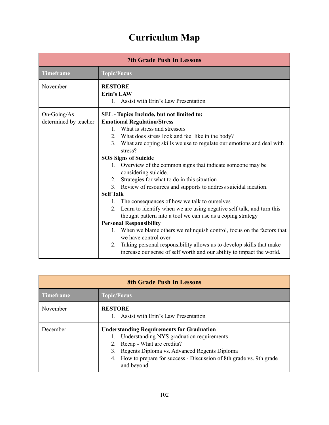## **Curriculum Map**

| <b>Topic/Focus</b>                                                                                                                                                                                                                                                                                                                                                                                                                                                                                                                                                                                                                                                                                                                                                                                                                                                                                                                                                                     |  |  |  |  |
|----------------------------------------------------------------------------------------------------------------------------------------------------------------------------------------------------------------------------------------------------------------------------------------------------------------------------------------------------------------------------------------------------------------------------------------------------------------------------------------------------------------------------------------------------------------------------------------------------------------------------------------------------------------------------------------------------------------------------------------------------------------------------------------------------------------------------------------------------------------------------------------------------------------------------------------------------------------------------------------|--|--|--|--|
|                                                                                                                                                                                                                                                                                                                                                                                                                                                                                                                                                                                                                                                                                                                                                                                                                                                                                                                                                                                        |  |  |  |  |
| <b>RESTORE</b><br><b>Erin's LAW</b><br>1. Assist with Erin's Law Presentation                                                                                                                                                                                                                                                                                                                                                                                                                                                                                                                                                                                                                                                                                                                                                                                                                                                                                                          |  |  |  |  |
| SEL - Topics Include, but not limited to:<br><b>Emotional Regulation/Stress</b><br>1. What is stress and stressors<br>2. What does stress look and feel like in the body?<br>What are coping skills we use to regulate our emotions and deal with<br>stress?<br><b>SOS Signs of Suicide</b><br>1. Overview of the common signs that indicate someone may be<br>considering suicide.<br>Strategies for what to do in this situation<br>3. Review of resources and supports to address suicidal ideation.<br>The consequences of how we talk to ourselves<br>Learn to identify when we are using negative self talk, and turn this<br>thought pattern into a tool we can use as a coping strategy<br><b>Personal Responsibility</b><br>When we blame others we relinquish control, focus on the factors that<br>we have control over<br>2. Taking personal responsibility allows us to develop skills that make<br>increase our sense of self worth and our ability to impact the world. |  |  |  |  |
|                                                                                                                                                                                                                                                                                                                                                                                                                                                                                                                                                                                                                                                                                                                                                                                                                                                                                                                                                                                        |  |  |  |  |

| <b>8th Grade Push In Lessons</b> |                                                                                                                                                                                                                                                                                  |  |  |  |
|----------------------------------|----------------------------------------------------------------------------------------------------------------------------------------------------------------------------------------------------------------------------------------------------------------------------------|--|--|--|
| <b>Timeframe</b>                 | Topic/Focus                                                                                                                                                                                                                                                                      |  |  |  |
| November                         | <b>RESTORE</b><br>Assist with Erin's Law Presentation                                                                                                                                                                                                                            |  |  |  |
| December                         | <b>Understanding Requirements for Graduation</b><br>Understanding NYS graduation requirements<br>Recap - What are credits?<br>2.<br>Regents Diploma vs. Advanced Regents Diploma<br>3.<br>How to prepare for success - Discussion of 8th grade vs. 9th grade<br>4.<br>and beyond |  |  |  |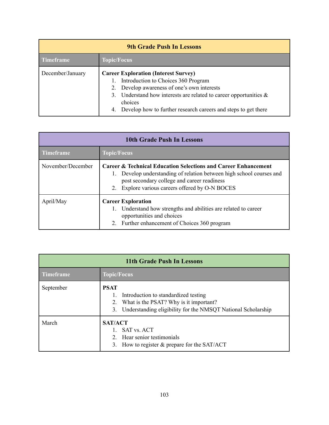| <b>9th Grade Push In Lessons</b> |                                                                                                                                                                                                                                                                                                 |  |  |  |
|----------------------------------|-------------------------------------------------------------------------------------------------------------------------------------------------------------------------------------------------------------------------------------------------------------------------------------------------|--|--|--|
| <b>Timeframe</b>                 | <b>Topic/Focus</b>                                                                                                                                                                                                                                                                              |  |  |  |
| December/January                 | <b>Career Exploration (Interest Survey)</b><br>1. Introduction to Choices 360 Program<br>2. Develop awareness of one's own interests<br>3. Understand how interests are related to career opportunities $\&$<br>choices<br>Develop how to further research careers and steps to get there<br>4. |  |  |  |

| 10th Grade Push In Lessons |                                                                                                                                                                                                                                                           |  |  |  |
|----------------------------|-----------------------------------------------------------------------------------------------------------------------------------------------------------------------------------------------------------------------------------------------------------|--|--|--|
| <b>Timeframe</b>           | <b>Topic/Focus</b>                                                                                                                                                                                                                                        |  |  |  |
| November/December          | <b>Career &amp; Technical Education Selections and Career Enhancement</b><br>Develop understanding of relation between high school courses and<br>1.<br>post secondary college and career readiness<br>Explore various careers offered by O-N BOCES<br>2. |  |  |  |
| April/May                  | <b>Career Exploration</b><br>Understand how strengths and abilities are related to career<br>1.<br>opportunities and choices<br>2. Further enhancement of Choices 360 program                                                                             |  |  |  |

| 11th Grade Push In Lessons |                                                                                                                                                                           |  |  |  |
|----------------------------|---------------------------------------------------------------------------------------------------------------------------------------------------------------------------|--|--|--|
| <b>Timeframe</b>           | <b>Topic/Focus</b>                                                                                                                                                        |  |  |  |
| September                  | <b>PSAT</b><br>Introduction to standardized testing<br>What is the PSAT? Why is it important?<br>2.<br>Understanding eligibility for the NMSQT National Scholarship<br>3. |  |  |  |
| March                      | <b>SAT/ACT</b><br><b>SAT</b> vs. ACT<br>Hear senior testimonials<br>$2^{\circ}$<br>How to register $\&$ prepare for the SAT/ACT<br>3.                                     |  |  |  |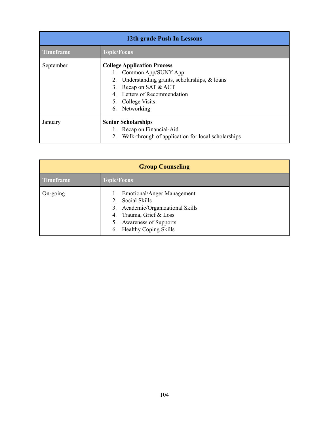| 12th grade Push In Lessons |                                                                                                                                                                                                                             |  |  |
|----------------------------|-----------------------------------------------------------------------------------------------------------------------------------------------------------------------------------------------------------------------------|--|--|
| <b>Timeframe</b>           | <b>Topic/Focus</b>                                                                                                                                                                                                          |  |  |
| September                  | <b>College Application Process</b><br>Common App/SUNY App<br>1.<br>Understanding grants, scholarships, & loans<br>2.<br>Recap on SAT & ACT<br>3.<br>Letters of Recommendation<br>4<br>5. College Visits<br>Networking<br>6. |  |  |
| January                    | <b>Senior Scholarships</b><br>1. Recap on Financial-Aid<br>2.<br>Walk-through of application for local scholarships                                                                                                         |  |  |

| <b>Group Counseling</b> |                                                                                                                                                                                                                  |
|-------------------------|------------------------------------------------------------------------------------------------------------------------------------------------------------------------------------------------------------------|
| <b>Timeframe</b>        | <b>Topic/Focus</b>                                                                                                                                                                                               |
| $On-going$              | <b>Emotional/Anger Management</b><br>1.<br>Social Skills<br>2.<br>Academic/Organizational Skills<br>3.<br>Trauma, Grief & Loss<br>4.<br><b>Awareness of Supports</b><br>5.<br><b>Healthy Coping Skills</b><br>6. |